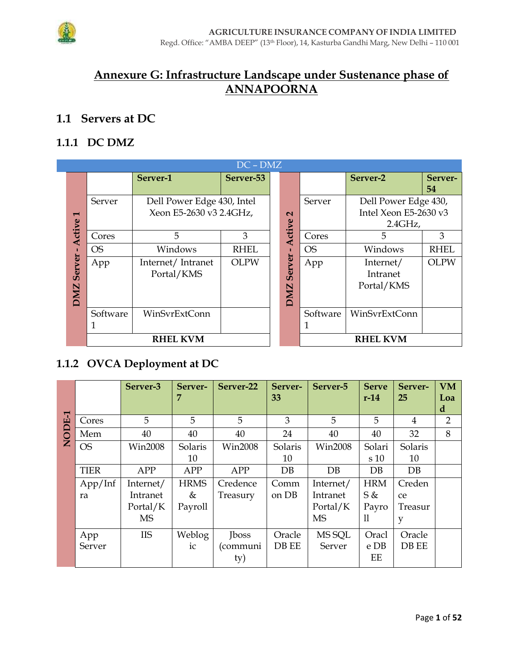

# Annexure G: Infrastructure Landscape under Sustenance phase of **ANNAPOORNA**

## 1.1 Servers at DC

### 1.1.1 DC DMZ

|                          |          |                                                       | $DC - DMZ$  |  |                             |           |                                                             |               |
|--------------------------|----------|-------------------------------------------------------|-------------|--|-----------------------------|-----------|-------------------------------------------------------------|---------------|
|                          |          | Server-1                                              | Server-53   |  |                             |           | Server-2                                                    | Server-<br>54 |
| $\blacksquare$<br>Active | Server   | Dell Power Edge 430, Intel<br>Xeon E5-2630 v3 2.4GHz, |             |  | $\mathbf{\Omega}$<br>Active | Server    | Dell Power Edge 430,<br>Intel Xeon E5-2630 v3<br>$2.4$ GHz, |               |
|                          | Cores    | 5                                                     | 3           |  |                             | Cores     | 5                                                           | 3             |
| <b>OS</b><br>п           |          | Windows                                               | <b>RHEL</b> |  |                             | <b>OS</b> | Windows                                                     | <b>RHEL</b>   |
| Server<br><b>DMZ</b>     | App      | Internet/Intranet<br>Portal/KMS                       | <b>OLPW</b> |  | Server<br><b>DMZ</b>        | App       | Internet/<br>Intranet<br>Portal/KMS                         | <b>OLPW</b>   |
|                          | Software | WinSvrExtConn                                         |             |  |                             | Software  | WinSvrExtConn                                               |               |
|                          |          | <b>RHEL KVM</b>                                       |             |  |                             |           | <b>RHEL KVM</b>                                             |               |

### 1.1.2 OVCA Deployment at DC

|              |             | Server-3       | Server-<br>7 | Server-22      | Server-<br>33 | Server-5       | <b>Serve</b><br>$r-14$ | Server-<br>25 | <b>VM</b><br>Loa<br>d |
|--------------|-------------|----------------|--------------|----------------|---------------|----------------|------------------------|---------------|-----------------------|
| <b>ODE-1</b> | Cores       | 5              | 5            | 5              | 3             | 5              | 5                      | 4             | $\overline{2}$        |
|              | Mem         | 40             | 40           | 40             | 24            | 40             | 40                     | 32            | 8                     |
| Ž            | <b>OS</b>   | <b>Win2008</b> | Solaris      | <b>Win2008</b> | Solaris       | <b>Win2008</b> | Solari                 | Solaris       |                       |
|              |             |                | 10           |                | 10            |                | s 10                   | 10            |                       |
|              | <b>TIER</b> | <b>APP</b>     | APP          | APP            | $DB$          | $DB$           | DB.                    | $DB$          |                       |
|              | App/Inf     | Internet/      | <b>HRMS</b>  | Credence       | Comm          | Internet/      | <b>HRM</b>             | Creden        |                       |
|              | ra          | Intranet       | &            | Treasury       | on DB         | Intranet       | S &                    | ce            |                       |
|              |             | Portal/K       | Payroll      |                |               | Portal/K       | Payro                  | Treasur       |                       |
|              |             | <b>MS</b>      |              |                |               | <b>MS</b>      | 11                     | y             |                       |
|              | App         | <b>IIS</b>     | Weblog       | <b>Iboss</b>   | Oracle        | MS SQL         | Oracl                  | Oracle        |                       |
|              | Server      |                | ic           | (communi       | DB EE         | Server         | e DB                   | DB EE         |                       |
|              |             |                |              | ty)            |               |                | EE                     |               |                       |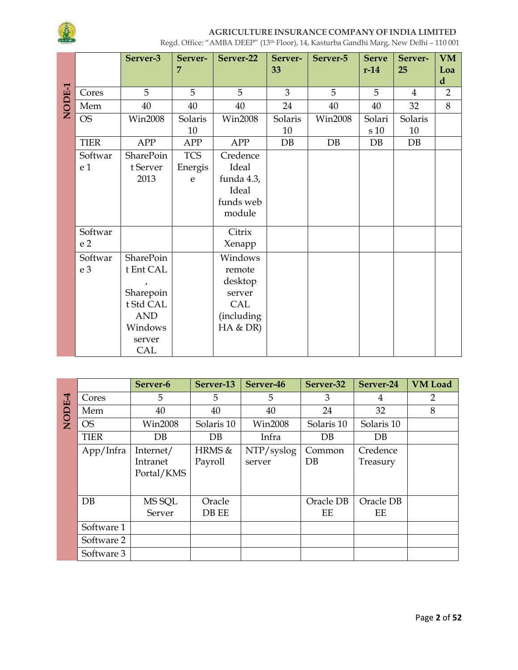

|        |                | Server-3         | Server-    | Server-22      | Server- | Server-5       | <b>Serve</b> | Server-        | <b>VM</b>          |
|--------|----------------|------------------|------------|----------------|---------|----------------|--------------|----------------|--------------------|
|        |                |                  | 7          |                | 33      |                | $r-14$       | 25             | Loa<br>$\mathbf d$ |
| NODE-1 | Cores          | 5                | 5          | 5              | 3       | 5              | 5            | $\overline{4}$ | $\overline{2}$     |
|        | Mem            | 40               | 40         | 40             | 24      | 40             | 40           | 32             | 8                  |
|        | <b>OS</b>      | <b>Win2008</b>   | Solaris    | <b>Win2008</b> | Solaris | <b>Win2008</b> | Solari       | Solaris        |                    |
|        |                |                  | 10         |                | 10      |                | $\rm s$ 10   | 10             |                    |
|        | <b>TIER</b>    | APP              | APP        | APP            | DB      | DB             | DB           | DB             |                    |
|        | Softwar        | <b>SharePoin</b> | <b>TCS</b> | Credence       |         |                |              |                |                    |
|        | e <sub>1</sub> | t Server         | Energis    | Ideal          |         |                |              |                |                    |
|        |                | 2013             | e          | funda 4.3,     |         |                |              |                |                    |
|        |                |                  |            | Ideal          |         |                |              |                |                    |
|        |                |                  |            | funds web      |         |                |              |                |                    |
|        |                |                  |            | module         |         |                |              |                |                    |
|        | Softwar        |                  |            | Citrix         |         |                |              |                |                    |
|        | e <sub>2</sub> |                  |            | Xenapp         |         |                |              |                |                    |
|        | Softwar        | SharePoin        |            | Windows        |         |                |              |                |                    |
|        | e <sub>3</sub> | t Ent CAL        |            | remote         |         |                |              |                |                    |
|        |                |                  |            | desktop        |         |                |              |                |                    |
|        |                | Sharepoin        |            | server         |         |                |              |                |                    |
|        |                | t Std CAL        |            | CAL            |         |                |              |                |                    |
|        |                | <b>AND</b>       |            | (including     |         |                |              |                |                    |
|        |                | Windows          |            | HA & DR)       |         |                |              |                |                    |
|        |                | server           |            |                |         |                |              |                |                    |
|        |                | CAL              |            |                |         |                |              |                |                    |

|              |             | Server-6       | Server-13  | Server-46      | Server-32  | Server-24  | <b>VM</b> Load |
|--------------|-------------|----------------|------------|----------------|------------|------------|----------------|
|              | Cores       | 5              | 5          | 5              | 3          | 4          | 2              |
| <b>NODE4</b> | Mem         | 40             | 40         | 40             | 24         | 32         | 8              |
|              | <b>OS</b>   | <b>Win2008</b> | Solaris 10 | <b>Win2008</b> | Solaris 10 | Solaris 10 |                |
|              | <b>TIER</b> | $DB$           | DB         | Infra          | $DB$       | $DB$       |                |
|              | App/Infra   | Internet/      | HRMS &     | NTP/syslog     | Common     | Credence   |                |
|              |             | Intranet       | Payroll    | server         | $DB$       | Treasury   |                |
|              |             | Portal/KMS     |            |                |            |            |                |
|              |             |                |            |                |            |            |                |
|              | DB          | MS SQL         | Oracle     |                | Oracle DB  | Oracle DB  |                |
|              |             | Server         | DB EE      |                | EE         | EE         |                |
|              | Software 1  |                |            |                |            |            |                |
|              | Software 2  |                |            |                |            |            |                |
|              | Software 3  |                |            |                |            |            |                |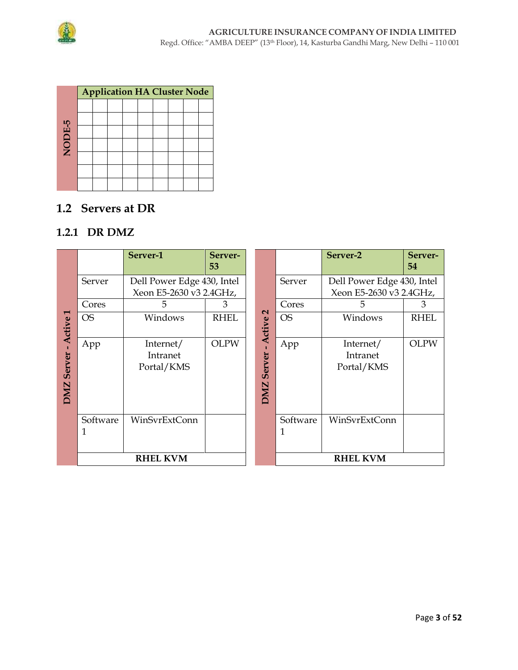

|        |  |  | <b>Application HA Cluster Node</b> |  |  |
|--------|--|--|------------------------------------|--|--|
|        |  |  |                                    |  |  |
|        |  |  |                                    |  |  |
|        |  |  |                                    |  |  |
| NODE-5 |  |  |                                    |  |  |
|        |  |  |                                    |  |  |
|        |  |  |                                    |  |  |
|        |  |  |                                    |  |  |

## **1.2 Servers at DR**

### **1.2.1 DR DMZ**

|                      |               | Server-1                                              | Server-<br>53 |                      |           |          | Server-2                                              | Server-<br>54 |
|----------------------|---------------|-------------------------------------------------------|---------------|----------------------|-----------|----------|-------------------------------------------------------|---------------|
|                      | Server        | Dell Power Edge 430, Intel<br>Xeon E5-2630 v3 2.4GHz, |               |                      | Server    |          | Dell Power Edge 430, Intel<br>Xeon E5-2630 v3 2.4GHz, |               |
|                      |               |                                                       |               |                      |           |          |                                                       |               |
|                      | Cores         | 5                                                     | 3             |                      | Cores     |          | 5                                                     | 3             |
| ٣<br>Active          | <b>OS</b>     | Windows                                               | <b>RHEL</b>   | $\sim$<br>Active     | <b>OS</b> |          | Windows                                               | <b>RHEL</b>   |
| Server<br><b>DMZ</b> | App           | Internet/<br>Intranet<br>Portal/KMS                   | <b>OLPW</b>   | Server<br><b>DMZ</b> | App       |          | Internet/<br>Intranet<br>Portal/KMS                   | <b>OLPW</b>   |
|                      | Software<br>1 | WinSvrExtConn                                         |               |                      | 1         | Software | WinSvrExtConn                                         |               |
|                      |               | <b>RHEL KVM</b>                                       |               |                      |           |          | <b>RHEL KVM</b>                                       |               |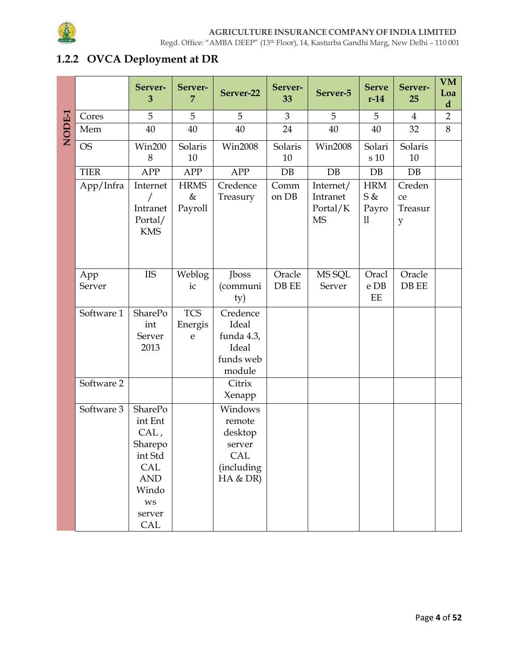

## 1.2.2 OVCA Deployment at DR

|        |               | Server-<br>3                                                                                                        | Server-<br>7                | Server-22                                                               | Server-<br>33   | Server-5                                       | <b>Serve</b><br>$r-14$                      | Server-<br>25                | <b>VM</b><br>Loa<br>$\mathbf d$ |
|--------|---------------|---------------------------------------------------------------------------------------------------------------------|-----------------------------|-------------------------------------------------------------------------|-----------------|------------------------------------------------|---------------------------------------------|------------------------------|---------------------------------|
|        | Cores         | 5                                                                                                                   | 5                           | 5                                                                       | 3               | 5                                              | 5                                           | $\overline{4}$               | $\overline{2}$                  |
| NODE-1 | Mem           | 40                                                                                                                  | 40                          | 40                                                                      | 24              | 40                                             | 40                                          | 32                           | 8                               |
|        | <b>OS</b>     | <b>Win200</b><br>8                                                                                                  | Solaris<br>10               | <b>Win2008</b>                                                          | Solaris<br>10   | <b>Win2008</b>                                 | Solari<br>s 10                              | Solaris<br>10                |                                 |
|        | <b>TIER</b>   | <b>APP</b>                                                                                                          | <b>APP</b>                  | APP                                                                     | DB              | DB                                             | DB                                          | DB                           |                                 |
|        | App/Infra     | Internet<br>Intranet<br>Portal/<br><b>KMS</b>                                                                       | <b>HRMS</b><br>&<br>Payroll | Credence<br>Treasury                                                    | Comm<br>on DB   | Internet/<br>Intranet<br>Portal/K<br><b>MS</b> | <b>HRM</b><br>S &<br>Payro<br>$\mathbf{11}$ | Creden<br>ce<br>Treasur<br>y |                                 |
|        | App<br>Server | <b>IIS</b>                                                                                                          | Weblog<br>ic                | Jboss<br>(communi<br>ty)                                                | Oracle<br>DB EE | MS SQL<br>Server                               | Oracl<br>e DB<br>EE                         | Oracle<br>DB EE              |                                 |
|        | Software 1    | SharePo<br>int<br>Server<br>2013                                                                                    | <b>TCS</b><br>Energis<br>e  | Credence<br>Ideal<br>funda 4.3,<br>Ideal<br>funds web<br>module         |                 |                                                |                                             |                              |                                 |
|        | Software 2    |                                                                                                                     |                             | Citrix<br>Xenapp                                                        |                 |                                                |                                             |                              |                                 |
|        | Software 3    | <b>SharePo</b><br>int Ent<br>CAL,<br>Sharepo<br>int Std<br>CAL<br><b>AND</b><br>Windo<br><b>WS</b><br>server<br>CAL |                             | Windows<br>remote<br>desktop<br>server<br>CAL<br>(including<br>HA & DR) |                 |                                                |                                             |                              |                                 |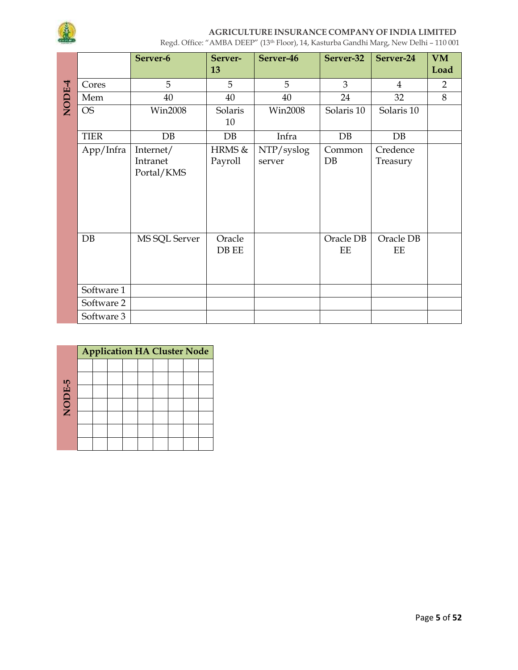

|        |             | Server-6       | Server-<br>13   | Server-46      | Server-32       | Server-24       | <b>VM</b><br>Load |
|--------|-------------|----------------|-----------------|----------------|-----------------|-----------------|-------------------|
|        | Cores       | 5              | 5               | 5              | $\overline{3}$  | $\overline{4}$  | $\overline{2}$    |
| NODE-4 | Mem         | 40             | 40              | 40             | 24              | 32              | 8                 |
|        | <b>OS</b>   | <b>Win2008</b> | Solaris<br>10   | <b>Win2008</b> | Solaris 10      | Solaris 10      |                   |
|        | <b>TIER</b> | DB             | DB              | Infra          | DB              | DB              |                   |
|        | App/Infra   | Internet/      | HRMS &          | NTP/syslog     | Common          | Credence        |                   |
|        |             | Intranet       | Payroll         | server         | DB              | Treasury        |                   |
|        |             | Portal/KMS     |                 |                |                 |                 |                   |
|        |             |                |                 |                |                 |                 |                   |
|        | DB          | MS SQL Server  | Oracle<br>DB EE |                | Oracle DB<br>EE | Oracle DB<br>EE |                   |
|        | Software 1  |                |                 |                |                 |                 |                   |
|        | Software 2  |                |                 |                |                 |                 |                   |
|        | Software 3  |                |                 |                |                 |                 |                   |

|        | <b>Application HA Cluster Node</b> |  |  |  |  |  |  |  |  |  |  |  |  |
|--------|------------------------------------|--|--|--|--|--|--|--|--|--|--|--|--|
|        |                                    |  |  |  |  |  |  |  |  |  |  |  |  |
|        |                                    |  |  |  |  |  |  |  |  |  |  |  |  |
|        |                                    |  |  |  |  |  |  |  |  |  |  |  |  |
| NODE-5 |                                    |  |  |  |  |  |  |  |  |  |  |  |  |
|        |                                    |  |  |  |  |  |  |  |  |  |  |  |  |
|        |                                    |  |  |  |  |  |  |  |  |  |  |  |  |
|        |                                    |  |  |  |  |  |  |  |  |  |  |  |  |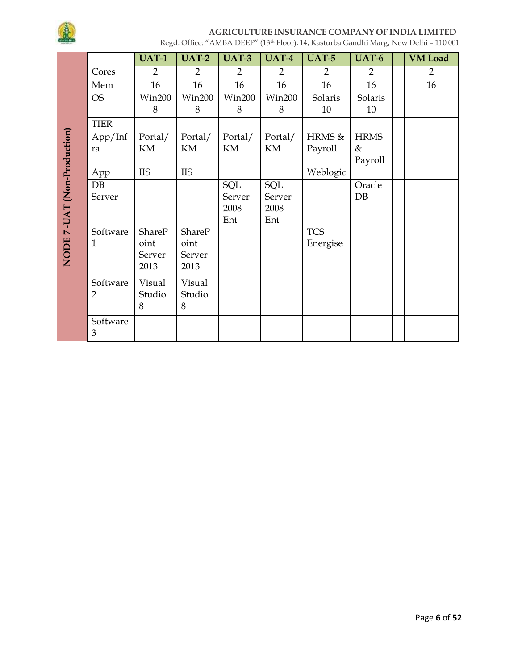

|                             |                | <b>UAT-1</b>   | <b>UAT-2</b>               | <b>UAT-3</b>  | <b>UAT-4</b>               | <b>UAT-5</b> | <b>UAT-6</b> | <b>VM</b> Load |
|-----------------------------|----------------|----------------|----------------------------|---------------|----------------------------|--------------|--------------|----------------|
|                             | Cores          | $\overline{2}$ | $\overline{2}$             | 2             | 2                          | 2            | 2            | $\overline{2}$ |
|                             | Mem            | 16             | 16                         | 16            | 16                         | 16           | 16           | 16             |
|                             | <b>OS</b>      | <b>Win200</b>  | <b>Win200</b>              | <b>Win200</b> | <b>Win200</b>              | Solaris      | Solaris      |                |
|                             |                | 8              | 8                          | 8             | 8                          | 10           | 10           |                |
|                             | <b>TIER</b>    |                |                            |               |                            |              |              |                |
| NODE 7-UAT (Non-Production) | App/Inf        | Portal/        | Portal/                    | Portal/       | Portal/                    | HRMS &       | <b>HRMS</b>  |                |
|                             | ra             | KM             | $\mathop{\rm KM}\nolimits$ | KM            | $\mathop{\rm KM}\nolimits$ | Payroll      | &            |                |
|                             |                |                |                            |               |                            |              | Payroll      |                |
|                             | App            | <b>IIS</b>     | <b>IIS</b>                 |               |                            | Weblogic     |              |                |
|                             | DB             |                |                            | SQL           | SQL                        |              | Oracle       |                |
|                             | Server         |                |                            | Server        | Server                     |              | DB           |                |
|                             |                |                |                            | 2008          | 2008                       |              |              |                |
|                             |                |                |                            | Ent           | Ent                        |              |              |                |
|                             | Software       | <b>ShareP</b>  | <b>ShareP</b>              |               |                            | <b>TCS</b>   |              |                |
|                             | 1              | oint           | oint                       |               |                            | Energise     |              |                |
|                             |                | Server<br>2013 | Server<br>2013             |               |                            |              |              |                |
|                             |                |                |                            |               |                            |              |              |                |
|                             | Software       | Visual         | Visual                     |               |                            |              |              |                |
|                             | $\overline{2}$ | Studio         | Studio                     |               |                            |              |              |                |
|                             |                | 8              | 8                          |               |                            |              |              |                |
|                             | Software       |                |                            |               |                            |              |              |                |
|                             | 3              |                |                            |               |                            |              |              |                |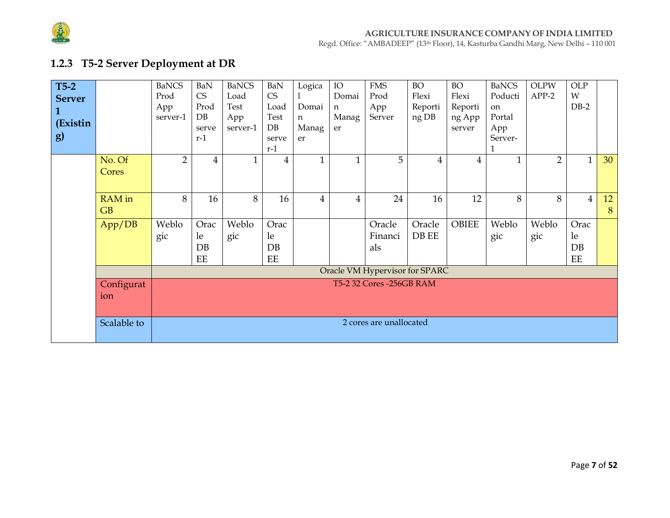

Regd. Office: "AMBADEEP" (13th Floor), 14, Kasturba Gandhi Marg, New Delhi – 110 001

# **1.2.3 T5-2 Server Deployment at DR**

| $T5-2$<br><b>Server</b><br>1<br>(Existin<br><b>g</b> ) |                   | <b>BaNCS</b><br>Prod<br>App<br>server-1 | BaN<br>CS<br>Prod<br>DB<br>serve<br>$r-1$ | <b>BaNCS</b><br>Load<br>Test<br>App<br>server-1 | BaN<br>CS<br>Load<br>Test<br>DB<br>serve<br>$r-1$ | Logica<br>Domai<br>n<br>Manag<br>er | IO<br>Domai<br>n<br>Manag<br>er | <b>FMS</b><br>Prod<br>App<br>Server | <b>BO</b><br>Flexi<br>Reporti<br>ng DB | <b>BO</b><br>Flexi<br>Reporti<br>ng App<br>server | <b>BaNCS</b><br>Poducti<br>on<br>Portal<br>App<br>Server- | <b>OLPW</b><br>$APP-2$ | OLP<br>W<br>$DB-2$     |         |
|--------------------------------------------------------|-------------------|-----------------------------------------|-------------------------------------------|-------------------------------------------------|---------------------------------------------------|-------------------------------------|---------------------------------|-------------------------------------|----------------------------------------|---------------------------------------------------|-----------------------------------------------------------|------------------------|------------------------|---------|
|                                                        | No. Of<br>Cores   | $\overline{2}$                          | 4                                         |                                                 | 4                                                 | $\mathbf{1}$                        | $\mathbf{1}$                    | 5                                   | 4                                      | $\overline{4}$                                    |                                                           | $\overline{2}$         | $\mathbf{1}$           | 30      |
|                                                        | RAM in<br>GB      | 8                                       | 16                                        | 8                                               | 16                                                | 4                                   | $\overline{4}$                  | 24                                  | 16                                     | 12                                                | 8                                                         | 8                      | $\overline{4}$         | 12<br>8 |
|                                                        | App/DB            | Weblo<br>gic                            | Orac<br>le<br>DB<br>$\operatorname{EE}$   | Weblo<br>gic                                    | Orac<br>le<br>DB<br>$\operatorname{EE}$           |                                     |                                 | Oracle<br>Financi<br>als            | Oracle<br>DB EE                        | <b>OBIEE</b>                                      | Weblo<br>gic                                              | Weblo<br>gic           | Orac<br>le<br>DB<br>EE |         |
|                                                        |                   |                                         |                                           |                                                 |                                                   |                                     |                                 | Oracle VM Hypervisor for SPARC      |                                        |                                                   |                                                           |                        |                        |         |
|                                                        | Configurat<br>ion |                                         |                                           |                                                 |                                                   |                                     |                                 | T5-2 32 Cores -256GB RAM            |                                        |                                                   |                                                           |                        |                        |         |
|                                                        | Scalable to       |                                         |                                           |                                                 |                                                   |                                     |                                 | 2 cores are unallocated             |                                        |                                                   |                                                           |                        |                        |         |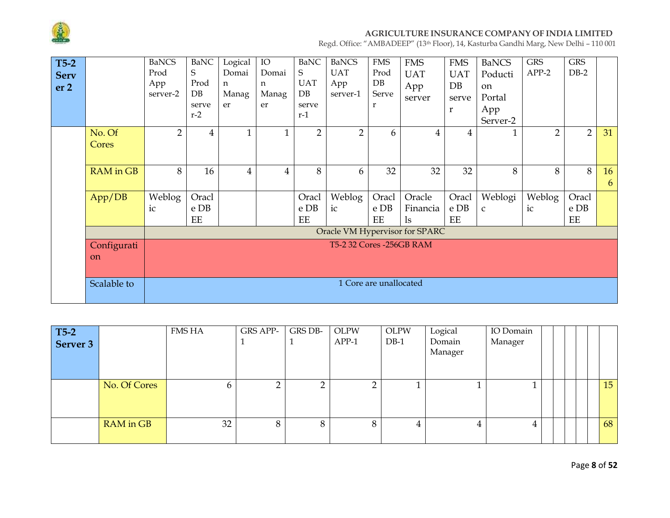

| $T5-2$<br><b>Serv</b><br>er <sub>2</sub> |                  | <b>BaNCS</b><br>Prod<br>App<br>server-2 | <b>BaNC</b><br>S<br>Prod<br>DB<br>serve<br>$r-2$ | Logical<br>Domai<br>n<br>Manag<br>er | IO<br>Domai<br>n<br>Manag<br>er | <b>BaNC</b><br>S<br><b>UAT</b><br>DB<br>serve<br>$r-1$ | <b>BaNCS</b><br><b>UAT</b><br>App<br>server-1 | <b>FMS</b><br>Prod<br>DB<br>Serve<br>r | <b>FMS</b><br><b>UAT</b><br>App<br>server | <b>FMS</b><br><b>UAT</b><br>DB<br>serve<br>$\mathbf{r}$ | <b>BaNCS</b><br>Poducti<br>on<br>Portal<br>App<br>Server-2 | <b>GRS</b><br>$APP-2$ | <b>GRS</b><br>$DB-2$ |         |
|------------------------------------------|------------------|-----------------------------------------|--------------------------------------------------|--------------------------------------|---------------------------------|--------------------------------------------------------|-----------------------------------------------|----------------------------------------|-------------------------------------------|---------------------------------------------------------|------------------------------------------------------------|-----------------------|----------------------|---------|
|                                          | No. Of<br>Cores  | $\overline{2}$                          | 4                                                | $\mathbf{1}$                         |                                 | $\overline{2}$                                         | $\overline{2}$                                | 6                                      | 4                                         | 4                                                       |                                                            | $\overline{2}$        | $\overline{2}$       | 31      |
|                                          | <b>RAM</b> in GB | 8                                       | 16                                               | $\overline{4}$                       | $\overline{4}$                  | 8                                                      | 6                                             | 32                                     | 32                                        | 32                                                      | 8                                                          | 8                     | 8                    | 16<br>6 |
|                                          | App/DB           | Weblog<br>ic                            | Oracl<br>e DB<br>$\mathbf{EE}$                   |                                      |                                 | Oracl<br>e DB<br>EE                                    | Weblog<br>ic                                  | Oracl<br>e DB<br>EE                    | Oracle<br>Financia<br>$\lg$               | Oracl<br>e DB<br>EE                                     | Weblogi<br>$\mathsf{C}$                                    | Weblog<br>ic          | Oracl<br>e DB<br>EE  |         |
|                                          |                  |                                         |                                                  |                                      |                                 |                                                        |                                               |                                        | Oracle VM Hypervisor for SPARC            |                                                         |                                                            |                       |                      |         |
|                                          | Configurati      |                                         |                                                  |                                      |                                 |                                                        | T5-2 32 Cores -256GB RAM                      |                                        |                                           |                                                         |                                                            |                       |                      |         |
|                                          | on               |                                         |                                                  |                                      |                                 |                                                        |                                               |                                        |                                           |                                                         |                                                            |                       |                      |         |
|                                          | Scalable to      |                                         | 1 Core are unallocated                           |                                      |                                 |                                                        |                                               |                                        |                                           |                                                         |                                                            |                       |                      |         |

| T5-2<br>Server 3 |              | FMS HA | <b>GRS APP-</b> | GRS DB- | <b>OLPW</b><br>$APP-1$ | <b>OLPW</b><br>$DB-1$ | Logical<br>Domain<br>Manager | IO Domain<br>Manager |  |  |                 |
|------------------|--------------|--------|-----------------|---------|------------------------|-----------------------|------------------------------|----------------------|--|--|-----------------|
|                  | No. Of Cores | b.     |                 |         |                        |                       |                              |                      |  |  | 15 <sup>1</sup> |
|                  | RAM in GB    | 32     | 8               |         | 8                      | 4                     | 4                            | 4                    |  |  | 68              |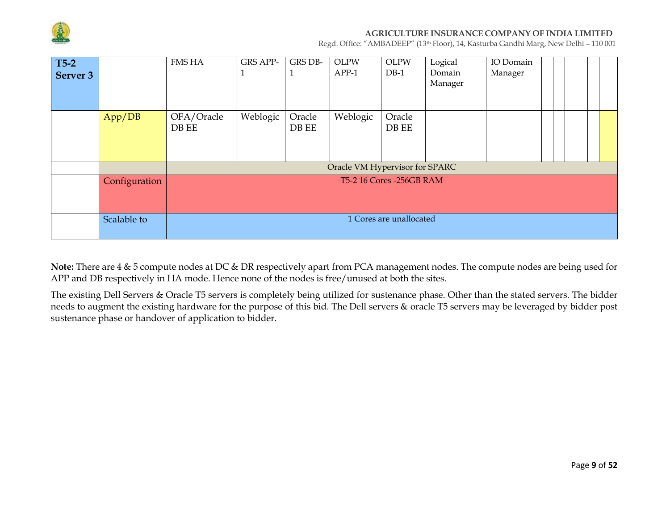

Regd. Office: "AMBADEEP" (13th Floor), 14, Kasturba Gandhi Marg, New Delhi – 110 001

| $T5-2$   |               | <b>FMS HA</b> | <b>GRS APP-</b> | <b>GRS DB-</b> | <b>OLPW</b>                    | <b>OLPW</b>               | Logical | IO Domain |  |  |  |
|----------|---------------|---------------|-----------------|----------------|--------------------------------|---------------------------|---------|-----------|--|--|--|
| Server 3 |               |               |                 | $\perp$        | APP-1                          | $DB-1$                    | Domain  | Manager   |  |  |  |
|          |               |               |                 |                |                                |                           | Manager |           |  |  |  |
|          |               |               |                 |                |                                |                           |         |           |  |  |  |
|          |               |               |                 |                |                                |                           |         |           |  |  |  |
|          | App/DB        | OFA/Oracle    | Weblogic        | Oracle         | Weblogic                       | Oracle                    |         |           |  |  |  |
|          |               | DB EE         |                 | DB EE          |                                | DB EE                     |         |           |  |  |  |
|          |               |               |                 |                |                                |                           |         |           |  |  |  |
|          |               |               |                 |                |                                |                           |         |           |  |  |  |
|          |               |               |                 |                | Oracle VM Hypervisor for SPARC |                           |         |           |  |  |  |
|          | Configuration |               |                 |                |                                | T5-2 16 Cores - 256GB RAM |         |           |  |  |  |
|          |               |               |                 |                |                                |                           |         |           |  |  |  |
|          |               |               |                 |                |                                |                           |         |           |  |  |  |
|          |               |               |                 |                |                                | 1 Cores are unallocated   |         |           |  |  |  |
|          | Scalable to   |               |                 |                |                                |                           |         |           |  |  |  |
|          |               |               |                 |                |                                |                           |         |           |  |  |  |

**Note:** There are 4 & 5 compute nodes at DC & DR respectively apart from PCA management nodes. The compute nodes are being used for APP and DB respectively in HA mode. Hence none of the nodes is free/unused at both the sites.

The existing Dell Servers & Oracle T5 servers is completely being utilized for sustenance phase. Other than the stated servers. The bidder needs to augment the existing hardware for the purpose of this bid. The Dell servers & oracle T5 servers may be leveraged by bidder post sustenance phase or handover of application to bidder.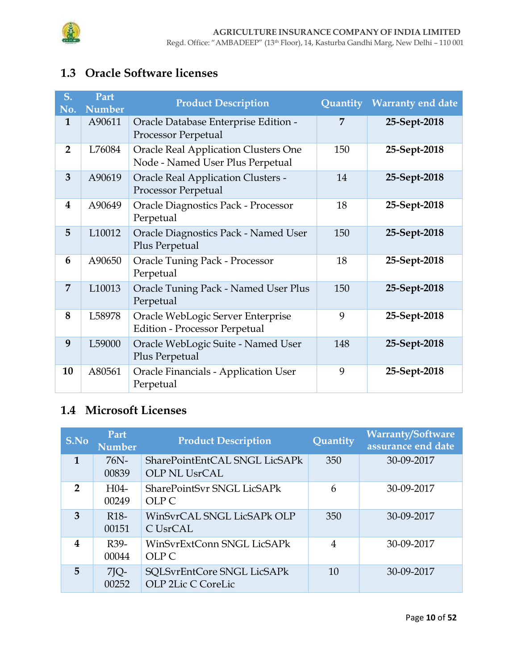

# **1.3 Oracle Software licenses**

| S.<br>No.      | Part<br><b>Number</b> | <b>Product Description</b>                                                      |     | Quantity Warranty end date |
|----------------|-----------------------|---------------------------------------------------------------------------------|-----|----------------------------|
| $\mathbf{1}$   | A90611                | Oracle Database Enterprise Edition -<br><b>Processor Perpetual</b>              | 7   | 25-Sept-2018               |
| $\overline{2}$ | L76084                | <b>Oracle Real Application Clusters One</b><br>Node - Named User Plus Perpetual | 150 | 25-Sept-2018               |
| 3              | A90619                | <b>Oracle Real Application Clusters -</b><br><b>Processor Perpetual</b>         | 14  | 25-Sept-2018               |
| 4              | A90649                | <b>Oracle Diagnostics Pack - Processor</b><br>Perpetual                         | 18  | 25-Sept-2018               |
| 5              | L10012                | Oracle Diagnostics Pack - Named User<br>Plus Perpetual                          | 150 | 25-Sept-2018               |
| 6              | A90650                | <b>Oracle Tuning Pack - Processor</b><br>Perpetual                              | 18  | 25-Sept-2018               |
| 7              | L10013                | Oracle Tuning Pack - Named User Plus<br>Perpetual                               | 150 | 25-Sept-2018               |
| 8              | L58978                | Oracle WebLogic Server Enterprise<br><b>Edition - Processor Perpetual</b>       | 9   | 25-Sept-2018               |
| 9              | L59000                | Oracle WebLogic Suite - Named User<br>Plus Perpetual                            | 148 | 25-Sept-2018               |
| 10             | A80561                | <b>Oracle Financials - Application User</b><br>Perpetual                        | 9   | 25-Sept-2018               |

# **1.4 Microsoft Licenses**

| S.No          | Part<br><b>Number</b>      | <b>Product Description</b>                       | Quantity       | <b>Warranty/Software</b><br>assurance end date |
|---------------|----------------------------|--------------------------------------------------|----------------|------------------------------------------------|
| 1             | 76N-<br>00839              | SharePointEntCAL SNGL LicSAPk<br>OLP NL UsrCAL   | 350            | 30-09-2017                                     |
| $\mathcal{P}$ | H <sub>04</sub><br>00249   | <b>SharePointSvr SNGL LicSAPk</b><br>OLP C       | 6              | 30-09-2017                                     |
| 3             | R <sub>18</sub> -<br>00151 | WinSvrCAL SNGL LicSAPk OLP<br>C UsrCAL           | 350            | 30-09-2017                                     |
| 4             | R <sub>39</sub> -<br>00044 | WinSvrExtConn SNGL LicSAPk<br>OLP C              | $\overline{4}$ | 30-09-2017                                     |
| 5             | $7$ $Q-$<br>00252          | SQLSvrEntCore SNGL LicSAPk<br>OLP 2Lic C CoreLic | 10             | 30-09-2017                                     |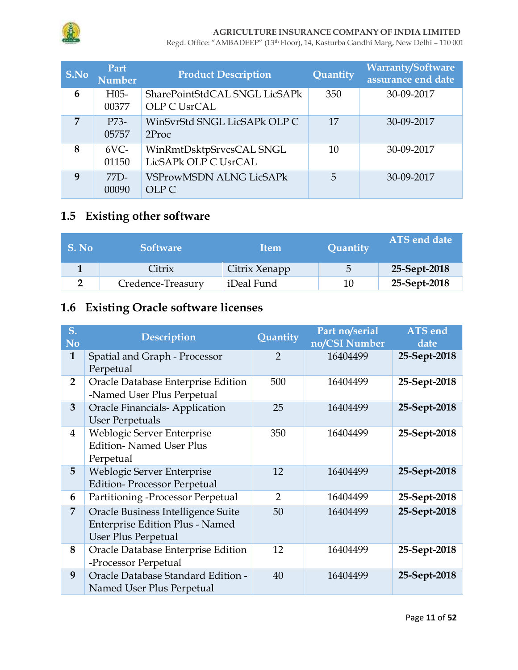

Regd. Office: "AMBADEEP" (13th Floor), 14, Kasturba Gandhi Marg, New Delhi – 110 001

| S.No | Part<br><b>Number</b> | <b>Product Description</b>                        | Quantity | <b>Warranty/Software</b><br>assurance end date |
|------|-----------------------|---------------------------------------------------|----------|------------------------------------------------|
| 6    | $H05-$<br>00377       | SharePointStdCAL SNGL LicSAPk<br>OLP C UsrCAL     | 350      | 30-09-2017                                     |
| 7    | P73-<br>05757         | WinSvrStd SNGL LicSAPk OLP C<br>2 <sub>Proc</sub> | 17       | 30-09-2017                                     |
| 8    | $6VC-$<br>01150       | WinRmtDsktpSrvcsCAL SNGL<br>LicSAPk OLP C UsrCAL  | 10       | 30-09-2017                                     |
| 9    | $77D-$<br>00090       | <b>VSProwMSDN ALNG LicSAPk</b><br>OLP C           | 5        | 30-09-2017                                     |

# **1.5 Existing other software**

| S. No | <b>Software</b>   | <b>Item</b>   | Quantity | ATS end date |
|-------|-------------------|---------------|----------|--------------|
|       | Citrix            | Citrix Xenapp | 5        | 25-Sept-2018 |
|       | Credence-Treasury | iDeal Fund    | 10       | 25-Sept-2018 |

# **1.6 Existing Oracle software licenses**

| S.<br><b>No</b>  | <b>Description</b>                                                                                  | Quantity      | Part no/serial<br>no/CSI Number | <b>ATS</b> end<br>date |
|------------------|-----------------------------------------------------------------------------------------------------|---------------|---------------------------------|------------------------|
| $\mathbf{1}$     | Spatial and Graph - Processor<br>Perpetual                                                          | $\mathcal{P}$ | 16404499                        | 25-Sept-2018           |
| $\overline{2}$   | Oracle Database Enterprise Edition<br>-Named User Plus Perpetual                                    | 500           | 16404499                        | 25-Sept-2018           |
| 3                | <b>Oracle Financials-Application</b><br>User Perpetuals                                             | 25            | 16404499                        | 25-Sept-2018           |
| $\boldsymbol{4}$ | Weblogic Server Enterprise<br><b>Edition-</b> Named User Plus<br>Perpetual                          | 350           | 16404499                        | 25-Sept-2018           |
| 5                | Weblogic Server Enterprise<br><b>Edition-Processor Perpetual</b>                                    | 12            | 16404499                        | 25-Sept-2018           |
| 6                | Partitioning -Processor Perpetual                                                                   | 2             | 16404499                        | 25-Sept-2018           |
| $\overline{7}$   | Oracle Business Intelligence Suite<br>Enterprise Edition Plus - Named<br><b>User Plus Perpetual</b> | 50            | 16404499                        | 25-Sept-2018           |
| 8                | Oracle Database Enterprise Edition<br>-Processor Perpetual                                          | 12            | 16404499                        | 25-Sept-2018           |
| 9                | Oracle Database Standard Edition -<br>Named User Plus Perpetual                                     | 40            | 16404499                        | 25-Sept-2018           |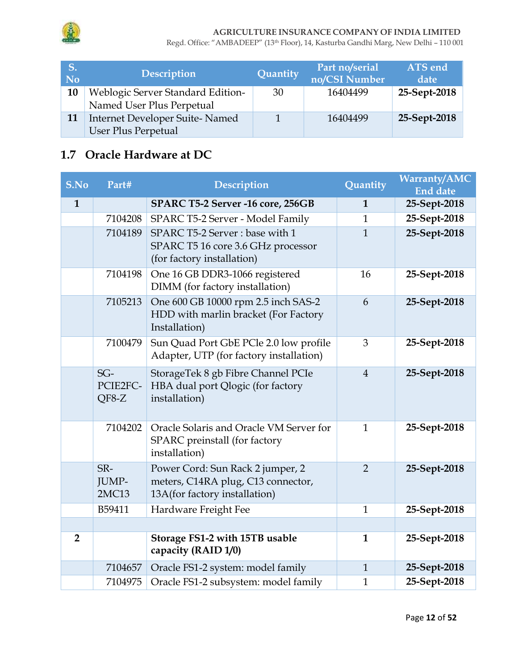

Regd. Office: "AMBADEEP" (13th Floor), 14, Kasturba Gandhi Marg, New Delhi – 110 001

| S.<br>No. | <b>Description</b>                                                  | Quantity | Part no/serial<br>no/CSI Number | ATS end<br>date |
|-----------|---------------------------------------------------------------------|----------|---------------------------------|-----------------|
| 10        | Weblogic Server Standard Edition-<br>Named User Plus Perpetual      | 30       | 16404499                        | 25-Sept-2018    |
| 11        | <b>Internet Developer Suite-Named</b><br><b>User Plus Perpetual</b> |          | 16404499                        | 25-Sept-2018    |

# **1.7 Oracle Hardware at DC**

| S.No           | Part#                      | <b>Description</b>                                                                                      | Quantity       | <b>Warranty/AMC</b><br><b>End date</b> |
|----------------|----------------------------|---------------------------------------------------------------------------------------------------------|----------------|----------------------------------------|
| $\mathbf{1}$   |                            | SPARC T5-2 Server -16 core, 256GB                                                                       | $\mathbf{1}$   | 25-Sept-2018                           |
|                | 7104208                    | SPARC T5-2 Server - Model Family                                                                        | $\mathbf{1}$   | 25-Sept-2018                           |
|                | 7104189                    | SPARC T5-2 Server: base with 1<br>SPARC T5 16 core 3.6 GHz processor<br>(for factory installation)      | $\mathbf{1}$   | 25-Sept-2018                           |
|                | 7104198                    | One 16 GB DDR3-1066 registered<br>DIMM (for factory installation)                                       | 16             | 25-Sept-2018                           |
|                | 7105213                    | One 600 GB 10000 rpm 2.5 inch SAS-2<br>HDD with marlin bracket (For Factory<br>Installation)            | 6              | 25-Sept-2018                           |
|                | 7100479                    | Sun Quad Port GbE PCle 2.0 low profile<br>Adapter, UTP (for factory installation)                       | 3              | 25-Sept-2018                           |
|                | $SG-$<br>PCIE2FC-<br>QF8-Z | StorageTek 8 gb Fibre Channel PCIe<br>HBA dual port Qlogic (for factory<br>installation)                | $\overline{4}$ | 25-Sept-2018                           |
|                | 7104202                    | Oracle Solaris and Oracle VM Server for<br>SPARC preinstall (for factory<br>installation)               | $\mathbf{1}$   | 25-Sept-2018                           |
|                | SR-<br>JUMP-<br>2MC13      | Power Cord: Sun Rack 2 jumper, 2<br>meters, C14RA plug, C13 connector,<br>13A(for factory installation) | $\overline{2}$ | 25-Sept-2018                           |
|                | B59411                     | Hardware Freight Fee                                                                                    | $\mathbf{1}$   | 25-Sept-2018                           |
|                |                            |                                                                                                         |                |                                        |
| $\overline{2}$ |                            | Storage FS1-2 with 15TB usable<br>capacity (RAID 1/0)                                                   | 1              | 25-Sept-2018                           |
|                | 7104657                    | Oracle FS1-2 system: model family                                                                       | $\mathbf{1}$   | 25-Sept-2018                           |
|                | 7104975                    | Oracle FS1-2 subsystem: model family                                                                    | $\mathbf{1}$   | 25-Sept-2018                           |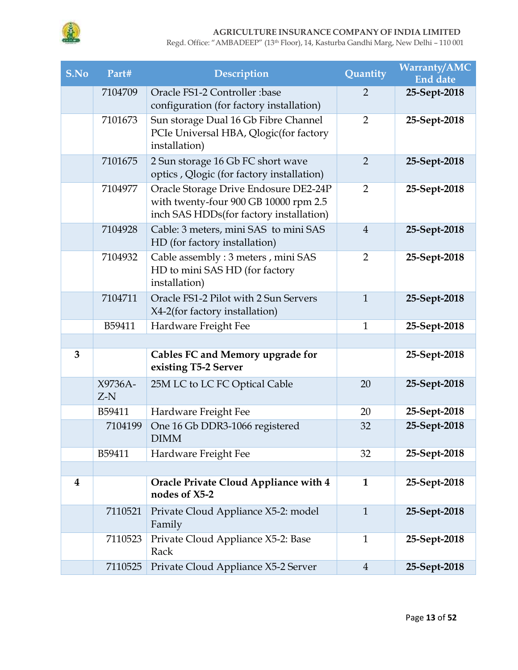

| S.No | Part#            | <b>Description</b>                                                                                                        | Quantity       | <b>Warranty/AMC</b><br><b>End date</b> |
|------|------------------|---------------------------------------------------------------------------------------------------------------------------|----------------|----------------------------------------|
|      | 7104709          | Oracle FS1-2 Controller :base<br>configuration (for factory installation)                                                 | $\overline{2}$ | 25-Sept-2018                           |
|      | 7101673          | Sun storage Dual 16 Gb Fibre Channel<br>PCIe Universal HBA, Qlogic(for factory<br>installation)                           | $\overline{2}$ | 25-Sept-2018                           |
|      | 7101675          | 2 Sun storage 16 Gb FC short wave<br>optics , Qlogic (for factory installation)                                           | $\overline{2}$ | 25-Sept-2018                           |
|      | 7104977          | Oracle Storage Drive Endosure DE2-24P<br>with twenty-four 900 GB 10000 rpm 2.5<br>inch SAS HDDs(for factory installation) | 2              | 25-Sept-2018                           |
|      | 7104928          | Cable: 3 meters, mini SAS to mini SAS<br>HD (for factory installation)                                                    | $\overline{4}$ | 25-Sept-2018                           |
|      | 7104932          | Cable assembly: 3 meters, mini SAS<br>HD to mini SAS HD (for factory<br>installation)                                     | $\overline{2}$ | 25-Sept-2018                           |
|      | 7104711          | Oracle FS1-2 Pilot with 2 Sun Servers<br>X4-2(for factory installation)                                                   | $\mathbf{1}$   | 25-Sept-2018                           |
|      | B59411           | Hardware Freight Fee                                                                                                      | $\mathbf{1}$   | 25-Sept-2018                           |
|      |                  |                                                                                                                           |                |                                        |
| 3    |                  | Cables FC and Memory upgrade for<br>existing T5-2 Server                                                                  |                | 25-Sept-2018                           |
|      | X9736A-<br>$Z-N$ | 25M LC to LC FC Optical Cable                                                                                             | 20             | 25-Sept-2018                           |
|      | B59411           | Hardware Freight Fee                                                                                                      | 20             | 25-Sept-2018                           |
|      | 7104199          | One 16 Gb DDR3-1066 registered<br><b>DIMM</b>                                                                             | 32             | 25-Sept-2018                           |
|      | B59411           | Hardware Freight Fee                                                                                                      | 32             | 25-Sept-2018                           |
|      |                  |                                                                                                                           |                |                                        |
| 4    |                  | Oracle Private Cloud Appliance with 4<br>nodes of X5-2                                                                    | $\mathbf{1}$   | 25-Sept-2018                           |
|      | 7110521          | Private Cloud Appliance X5-2: model<br>Family                                                                             | $\mathbf{1}$   | 25-Sept-2018                           |
|      | 7110523          | Private Cloud Appliance X5-2: Base<br>Rack                                                                                | $\mathbf 1$    | 25-Sept-2018                           |
|      | 7110525          | Private Cloud Appliance X5-2 Server                                                                                       | $\overline{4}$ | 25-Sept-2018                           |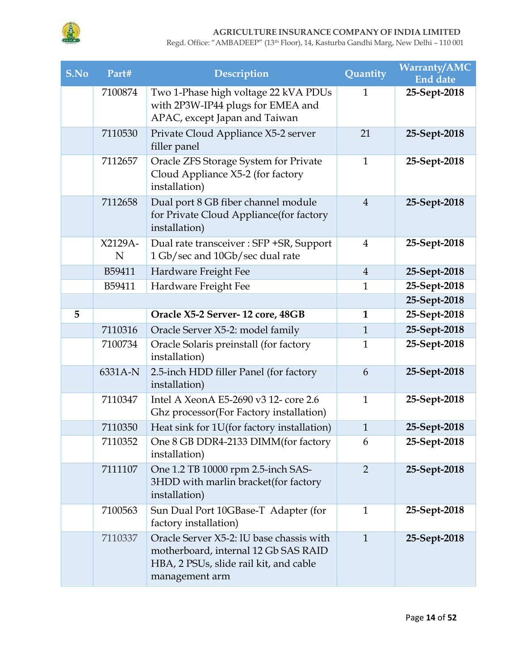

| S.No | Part#        | <b>Description</b>                                                                                                                           | Quantity       | <b>Warranty/AMC</b><br><b>End date</b> |
|------|--------------|----------------------------------------------------------------------------------------------------------------------------------------------|----------------|----------------------------------------|
|      | 7100874      | Two 1-Phase high voltage 22 kVA PDUs<br>with 2P3W-IP44 plugs for EMEA and<br>APAC, except Japan and Taiwan                                   | $\mathbf{1}$   | 25-Sept-2018                           |
|      | 7110530      | Private Cloud Appliance X5-2 server<br>filler panel                                                                                          | 21             | 25-Sept-2018                           |
|      | 7112657      | Oracle ZFS Storage System for Private<br>Cloud Appliance X5-2 (for factory<br>installation)                                                  | $\mathbf{1}$   | 25-Sept-2018                           |
|      | 7112658      | Dual port 8 GB fiber channel module<br>for Private Cloud Appliance (for factory<br>installation)                                             | $\overline{4}$ | 25-Sept-2018                           |
|      | X2129A-<br>N | Dual rate transceiver : SFP +SR, Support<br>1 Gb/sec and 10Gb/sec dual rate                                                                  | $\overline{4}$ | 25-Sept-2018                           |
|      | B59411       | Hardware Freight Fee                                                                                                                         | $\overline{4}$ | 25-Sept-2018                           |
|      | B59411       | Hardware Freight Fee                                                                                                                         | $\mathbf{1}$   | 25-Sept-2018                           |
|      |              |                                                                                                                                              |                | 25-Sept-2018                           |
| 5    |              | Oracle X5-2 Server-12 core, 48GB                                                                                                             | $\mathbf{1}$   | 25-Sept-2018                           |
|      | 7110316      | Oracle Server X5-2: model family                                                                                                             | $\mathbf{1}$   | 25-Sept-2018                           |
|      | 7100734      | Oracle Solaris preinstall (for factory<br>installation)                                                                                      | $\mathbf{1}$   | 25-Sept-2018                           |
|      | 6331A-N      | 2.5-inch HDD filler Panel (for factory<br>installation)                                                                                      | 6              | 25-Sept-2018                           |
|      | 7110347      | Intel A XeonA E5-2690 v3 12- core 2.6<br>Ghz processor (For Factory installation)                                                            | $\mathbf{1}$   | 25-Sept-2018                           |
|      | 7110350      | Heat sink for 1U(for factory installation)                                                                                                   | $\mathbf{1}$   | 25-Sept-2018                           |
|      | 7110352      | One 8 GB DDR4-2133 DIMM(for factory<br>installation)                                                                                         | 6              | 25-Sept-2018                           |
|      | 7111107      | One 1.2 TB 10000 rpm 2.5-inch SAS-<br>3HDD with marlin bracket(for factory<br>installation)                                                  | 2              | 25-Sept-2018                           |
|      | 7100563      | Sun Dual Port 10GBase-T Adapter (for<br>factory installation)                                                                                | $\mathbf{1}$   | 25-Sept-2018                           |
|      | 7110337      | Oracle Server X5-2: IU base chassis with<br>motherboard, internal 12 Gb SAS RAID<br>HBA, 2 PSUs, slide rail kit, and cable<br>management arm | $\mathbf{1}$   | 25-Sept-2018                           |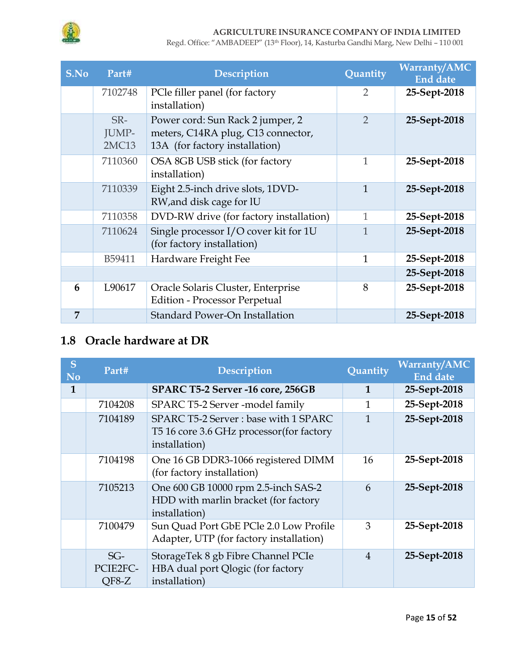

Regd. Office: "AMBADEEP" (13th Floor), 14, Kasturba Gandhi Marg, New Delhi – 110 001

| S.No | Part#                        | <b>Description</b>                                                                                       | Quantity       | <b>Warranty/AMC</b><br><b>End date</b> |
|------|------------------------------|----------------------------------------------------------------------------------------------------------|----------------|----------------------------------------|
|      | 7102748                      | PCle filler panel (for factory<br>installation)                                                          | $\overline{2}$ | 25-Sept-2018                           |
|      | SR-<br>JUMP-<br><b>2MC13</b> | Power cord: Sun Rack 2 jumper, 2<br>meters, C14RA plug, C13 connector,<br>13A (for factory installation) | $\overline{2}$ | 25-Sept-2018                           |
|      | 7110360                      | OSA 8GB USB stick (for factory<br>installation)                                                          | 1              | 25-Sept-2018                           |
|      | 7110339                      | Eight 2.5-inch drive slots, 1DVD-<br>RW, and disk cage for IU                                            | $\mathbf{1}$   | 25-Sept-2018                           |
|      | 7110358                      | DVD-RW drive (for factory installation)                                                                  | $\mathbf{1}$   | 25-Sept-2018                           |
|      | 7110624                      | Single processor I/O cover kit for 1U<br>(for factory installation)                                      | $\mathbf{1}$   | 25-Sept-2018                           |
|      | B59411                       | Hardware Freight Fee                                                                                     | $\mathbf{1}$   | 25-Sept-2018                           |
|      |                              |                                                                                                          |                | 25-Sept-2018                           |
| 6    | L90617                       | Oracle Solaris Cluster, Enterprise<br><b>Edition - Processor Perpetual</b>                               | 8              | 25-Sept-2018                           |
| 7    |                              | Standard Power-On Installation                                                                           |                | 25-Sept-2018                           |

## **1.8 Oracle hardware at DR**

| S<br><b>No</b> | Part#                        | Description                                                                                        | Quantity       | <b>Warranty/AMC</b><br><b>End date</b> |
|----------------|------------------------------|----------------------------------------------------------------------------------------------------|----------------|----------------------------------------|
| 1              |                              | SPARC T5-2 Server -16 core, 256GB                                                                  | 1              | 25-Sept-2018                           |
|                | 7104208                      | SPARC T5-2 Server -model family                                                                    | 1              | 25-Sept-2018                           |
|                | 7104189                      | SPARC T5-2 Server: base with 1 SPARC<br>T5 16 core 3.6 GHz processor (for factory<br>installation) | 1              | 25-Sept-2018                           |
|                | 7104198                      | One 16 GB DDR3-1066 registered DIMM<br>(for factory installation)                                  | 16             | 25-Sept-2018                           |
|                | 7105213                      | One 600 GB 10000 rpm 2.5-inch SAS-2<br>HDD with marlin bracket (for factory<br>installation)       | 6              | 25-Sept-2018                           |
|                | 7100479                      | Sun Quad Port GbE PCle 2.0 Low Profile<br>Adapter, UTP (for factory installation)                  | 3              | 25-Sept-2018                           |
|                | $SG-$<br>PCIE2FC-<br>$QF8-Z$ | StorageTek 8 gb Fibre Channel PCIe<br>HBA dual port Qlogic (for factory<br>installation)           | $\overline{4}$ | 25-Sept-2018                           |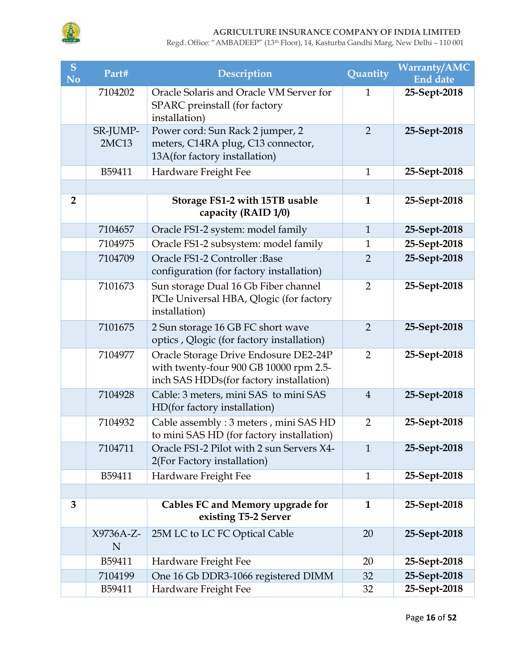

| S<br><b>No</b> | Part#             | <b>Description</b>                                                                                                         | Quantity       | <b>Warranty/AMC</b><br><b>End date</b> |
|----------------|-------------------|----------------------------------------------------------------------------------------------------------------------------|----------------|----------------------------------------|
|                | 7104202           | Oracle Solaris and Oracle VM Server for<br>SPARC preinstall (for factory<br>installation)                                  | $\mathbf{1}$   | 25-Sept-2018                           |
|                | SR-JUMP-<br>2MC13 | Power cord: Sun Rack 2 jumper, 2<br>meters, C14RA plug, C13 connector,<br>13A(for factory installation)                    | $\overline{2}$ | 25-Sept-2018                           |
|                | B59411            | Hardware Freight Fee                                                                                                       | $\mathbf{1}$   | 25-Sept-2018                           |
|                |                   |                                                                                                                            |                |                                        |
| $\overline{2}$ |                   | Storage FS1-2 with 15TB usable<br>capacity (RAID 1/0)                                                                      | $\mathbf{1}$   | 25-Sept-2018                           |
|                | 7104657           | Oracle FS1-2 system: model family                                                                                          | $\mathbf{1}$   | 25-Sept-2018                           |
|                | 7104975           | Oracle FS1-2 subsystem: model family                                                                                       | $\mathbf{1}$   | 25-Sept-2018                           |
|                | 7104709           | Oracle FS1-2 Controller: Base<br>configuration (for factory installation)                                                  | $\overline{2}$ | 25-Sept-2018                           |
|                | 7101673           | Sun storage Dual 16 Gb Fiber channel<br>PCIe Universal HBA, Qlogic (for factory<br>installation)                           | $\overline{2}$ | 25-Sept-2018                           |
|                | 7101675           | 2 Sun storage 16 GB FC short wave<br>optics , Qlogic (for factory installation)                                            | $\overline{2}$ | 25-Sept-2018                           |
|                | 7104977           | Oracle Storage Drive Endosure DE2-24P<br>with twenty-four 900 GB 10000 rpm 2.5-<br>inch SAS HDDs(for factory installation) | $\overline{2}$ | 25-Sept-2018                           |
|                | 7104928           | Cable: 3 meters, mini SAS to mini SAS<br>HD(for factory installation)                                                      | $\overline{4}$ | 25-Sept-2018                           |
|                | 7104932           | Cable assembly: 3 meters, mini SAS HD<br>to mini SAS HD (for factory installation)                                         | $\overline{2}$ | 25-Sept-2018                           |
|                | 7104711           | Oracle FS1-2 Pilot with 2 sun Servers X4-<br>2(For Factory installation)                                                   | $\mathbf{1}$   | 25-Sept-2018                           |
|                | B59411            | Hardware Freight Fee                                                                                                       | $\mathbf{1}$   | 25-Sept-2018                           |
|                |                   |                                                                                                                            |                |                                        |
| 3              |                   | Cables FC and Memory upgrade for<br>existing T5-2 Server                                                                   | $\mathbf{1}$   | 25-Sept-2018                           |
|                | X9736A-Z-<br>N    | 25M LC to LC FC Optical Cable                                                                                              | 20             | 25-Sept-2018                           |
|                | B59411            | Hardware Freight Fee                                                                                                       | 20             | 25-Sept-2018                           |
|                | 7104199           | One 16 Gb DDR3-1066 registered DIMM                                                                                        | 32             | 25-Sept-2018                           |
|                | B59411            | Hardware Freight Fee                                                                                                       | 32             | 25-Sept-2018                           |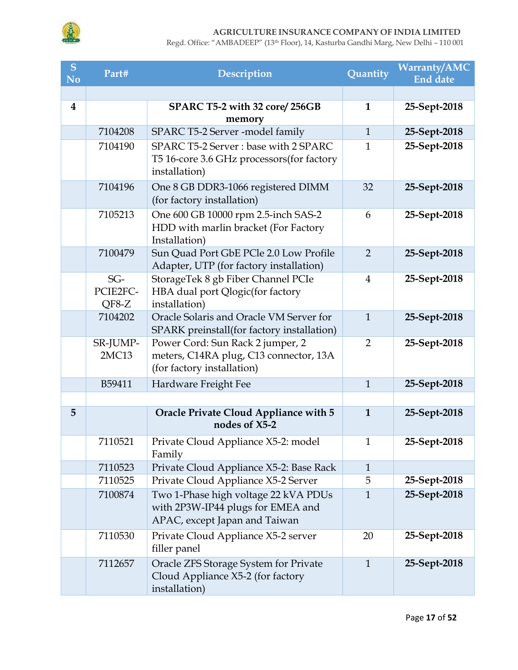

| S<br><b>No</b>          | Part#                        | Description                                                                                                | Quantity       | <b>Warranty/AMC</b><br><b>End date</b> |
|-------------------------|------------------------------|------------------------------------------------------------------------------------------------------------|----------------|----------------------------------------|
|                         |                              |                                                                                                            |                |                                        |
| $\overline{\mathbf{4}}$ |                              | SPARC T5-2 with 32 core/256GB<br>memory                                                                    | $\mathbf{1}$   | 25-Sept-2018                           |
|                         | 7104208                      | SPARC T5-2 Server -model family                                                                            | $\mathbf{1}$   | 25-Sept-2018                           |
|                         | 7104190                      | SPARC T5-2 Server: base with 2 SPARC<br>T5 16-core 3.6 GHz processors (for factory<br>installation)        | $\mathbf{1}$   | 25-Sept-2018                           |
|                         | 7104196                      | One 8 GB DDR3-1066 registered DIMM<br>(for factory installation)                                           | 32             | 25-Sept-2018                           |
|                         | 7105213                      | One 600 GB 10000 rpm 2.5-inch SAS-2<br>HDD with marlin bracket (For Factory<br>Installation)               | 6              | 25-Sept-2018                           |
|                         | 7100479                      | Sun Quad Port GbE PCle 2.0 Low Profile<br>Adapter, UTP (for factory installation)                          | $\overline{2}$ | 25-Sept-2018                           |
|                         | $SG-$<br>PCIE2FC-<br>$QF8-Z$ | StorageTek 8 gb Fiber Channel PCIe<br>HBA dual port Qlogic(for factory<br>installation)                    | $\overline{4}$ | 25-Sept-2018                           |
|                         | 7104202                      | Oracle Solaris and Oracle VM Server for<br>SPARK preinstall(for factory installation)                      | $\mathbf{1}$   | 25-Sept-2018                           |
|                         | SR-JUMP-<br>2MC13            | Power Cord: Sun Rack 2 jumper, 2<br>meters, C14RA plug, C13 connector, 13A<br>(for factory installation)   | $\overline{2}$ | 25-Sept-2018                           |
|                         | B59411                       | Hardware Freight Fee                                                                                       | $\mathbf{1}$   | 25-Sept-2018                           |
| 5                       |                              | Oracle Private Cloud Appliance with 5<br>nodes of X5-2                                                     | $\mathbf{1}$   | 25-Sept-2018                           |
|                         | 7110521                      | Private Cloud Appliance X5-2: model<br>Family                                                              | $\mathbf{1}$   | 25-Sept-2018                           |
|                         | 7110523                      | Private Cloud Appliance X5-2: Base Rack                                                                    | $\mathbf{1}$   |                                        |
|                         | 7110525                      | Private Cloud Appliance X5-2 Server                                                                        | 5              | 25-Sept-2018                           |
|                         | 7100874                      | Two 1-Phase high voltage 22 kVA PDUs<br>with 2P3W-IP44 plugs for EMEA and<br>APAC, except Japan and Taiwan | $\mathbf{1}$   | 25-Sept-2018                           |
|                         | 7110530                      | Private Cloud Appliance X5-2 server<br>filler panel                                                        | 20             | 25-Sept-2018                           |
|                         | 7112657                      | Oracle ZFS Storage System for Private<br>Cloud Appliance X5-2 (for factory<br>installation)                | $\mathbf{1}$   | 25-Sept-2018                           |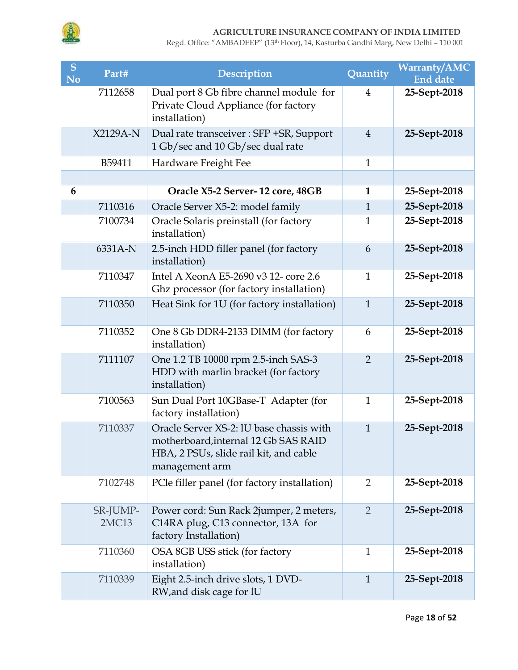

| S<br><b>No</b> | Part#             | <b>Description</b>                                                                                                                           | Quantity       | <b>Warranty/AMC</b><br><b>End date</b> |
|----------------|-------------------|----------------------------------------------------------------------------------------------------------------------------------------------|----------------|----------------------------------------|
|                | 7112658           | Dual port 8 Gb fibre channel module for<br>Private Cloud Appliance (for factory<br>installation)                                             | $\overline{4}$ | 25-Sept-2018                           |
|                | X2129A-N          | Dual rate transceiver : SFP +SR, Support<br>1 Gb/sec and 10 Gb/sec dual rate                                                                 | $\overline{4}$ | 25-Sept-2018                           |
|                | B59411            | Hardware Freight Fee                                                                                                                         | $\mathbf{1}$   |                                        |
|                |                   |                                                                                                                                              |                |                                        |
| 6              |                   | Oracle X5-2 Server-12 core, 48GB                                                                                                             | $\mathbf{1}$   | 25-Sept-2018                           |
|                | 7110316           | Oracle Server X5-2: model family                                                                                                             | $\mathbf{1}$   | 25-Sept-2018                           |
|                | 7100734           | Oracle Solaris preinstall (for factory<br>installation)                                                                                      | $\mathbf{1}$   | 25-Sept-2018                           |
|                | 6331A-N           | 2.5-inch HDD filler panel (for factory<br>installation)                                                                                      | 6              | 25-Sept-2018                           |
|                | 7110347           | Intel A XeonA E5-2690 v3 12- core 2.6<br>Ghz processor (for factory installation)                                                            | $\mathbf{1}$   | 25-Sept-2018                           |
|                | 7110350           | Heat Sink for 1U (for factory installation)                                                                                                  | $\mathbf{1}$   | 25-Sept-2018                           |
|                | 7110352           | One 8 Gb DDR4-2133 DIMM (for factory<br>installation)                                                                                        | 6              | 25-Sept-2018                           |
|                | 7111107           | One 1.2 TB 10000 rpm 2.5-inch SAS-3<br>HDD with marlin bracket (for factory<br>installation)                                                 | $\overline{2}$ | 25-Sept-2018                           |
|                | 7100563           | Sun Dual Port 10GBase-T Adapter (for<br>factory installation)                                                                                | $\mathbf{1}$   | 25-Sept-2018                           |
|                | 7110337           | Oracle Server XS-2: IU base chassis with<br>motherboard, internal 12 Gb SAS RAID<br>HBA, 2 PSUs, slide rail kit, and cable<br>management arm | $\mathbf{1}$   | 25-Sept-2018                           |
|                | 7102748           | PCle filler panel (for factory installation)                                                                                                 | $\overline{2}$ | 25-Sept-2018                           |
|                | SR-JUMP-<br>2MC13 | Power cord: Sun Rack 2 jumper, 2 meters,<br>C14RA plug, C13 connector, 13A for<br>factory Installation)                                      | $\overline{2}$ | 25-Sept-2018                           |
|                | 7110360           | OSA 8GB USS stick (for factory<br>installation)                                                                                              | $\mathbf{1}$   | 25-Sept-2018                           |
|                | 7110339           | Eight 2.5-inch drive slots, 1 DVD-<br>RW, and disk cage for IU                                                                               | $\mathbf{1}$   | 25-Sept-2018                           |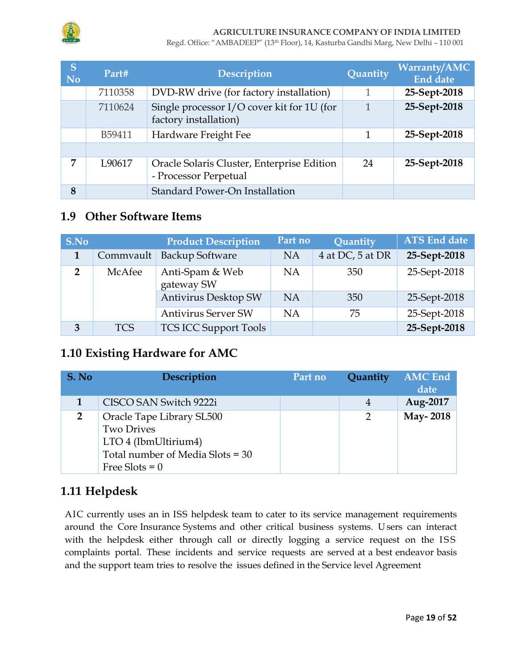

Regd. Office: "AMBADEEP" (13th Floor), 14, Kasturba Gandhi Marg, New Delhi – 110 001

| S<br><b>No</b> | Part#   | <b>Description</b>                                                  | Quantity | <b>Warranty/AMC</b><br><b>End date</b> |
|----------------|---------|---------------------------------------------------------------------|----------|----------------------------------------|
|                | 7110358 | DVD-RW drive (for factory installation)                             | 1        | 25-Sept-2018                           |
|                | 7110624 | Single processor I/O cover kit for 1U (for<br>factory installation) | 1        | 25-Sept-2018                           |
|                | B59411  | Hardware Freight Fee                                                | 1        | 25-Sept-2018                           |
|                |         |                                                                     |          |                                        |
| 7              | L90617  | Oracle Solaris Cluster, Enterprise Edition<br>- Processor Perpetual | 24       | 25-Sept-2018                           |
| 8              |         | <b>Standard Power-On Installation</b>                               |          |                                        |

### **1.9 Other Software Items**

| S.No           |            | <b>Product Description</b>    | Part no   | Quantity         | <b>ATS End date</b> |
|----------------|------------|-------------------------------|-----------|------------------|---------------------|
|                | Commvault  | <b>Backup Software</b>        | <b>NA</b> | 4 at DC, 5 at DR | 25-Sept-2018        |
| $\overline{2}$ | McAfee     | Anti-Spam & Web<br>gateway SW | <b>NA</b> | 350              | 25-Sept-2018        |
|                |            | Antivirus Desktop SW          | <b>NA</b> | 350              | 25-Sept-2018        |
|                |            | <b>Antivirus Server SW</b>    | <b>NA</b> | 75               | 25-Sept-2018        |
| 3              | <b>TCS</b> | <b>TCS ICC Support Tools</b>  |           |                  | 25-Sept-2018        |

### **1.10 Existing Hardware for AMC**

| S. No          | Description                                                                                                | Part no | Quantity      | <b>AMC</b> End<br>date |
|----------------|------------------------------------------------------------------------------------------------------------|---------|---------------|------------------------|
|                | CISCO SAN Switch 9222i                                                                                     |         | 4             | Aug-2017               |
| $\overline{2}$ | Oracle Tape Library SL500<br><b>Two Drives</b><br>LTO 4 (IbmUltirium4)<br>Total number of Media Slots = 30 |         | $\mathcal{P}$ | May-2018               |
|                | Free Slots = $0$                                                                                           |         |               |                        |

### **1.11 Helpdesk**

AIC currently uses an in ISS helpdesk team to cater to its service management requirements around the Core Insurance Systems and other critical business systems. U sers can interact with the helpdesk either through call or directly logging a service request on the ISS complaints portal. These incidents and service requests are served at a best endeavor basis and the support team tries to resolve the issues defined in the Service level Agreement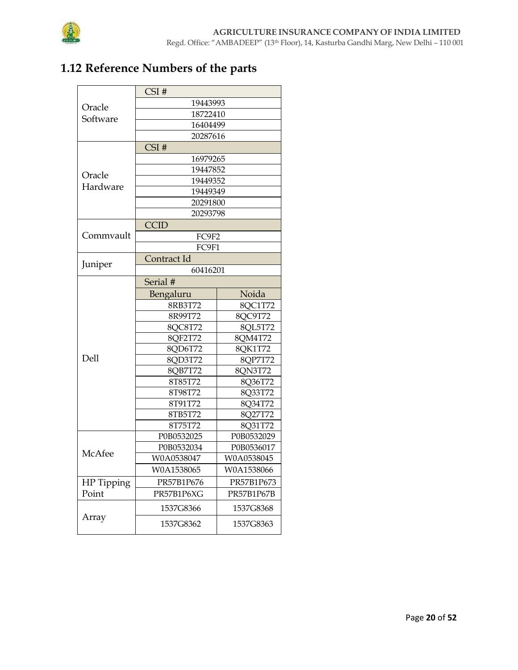

# **1.12 Reference Numbers of the parts**

|            | CSI#        |            |  |  |  |  |  |  |
|------------|-------------|------------|--|--|--|--|--|--|
| Oracle     | 19443993    |            |  |  |  |  |  |  |
| Software   | 18722410    |            |  |  |  |  |  |  |
|            | 16404499    |            |  |  |  |  |  |  |
|            | 20287616    |            |  |  |  |  |  |  |
|            | CSI#        |            |  |  |  |  |  |  |
|            | 16979265    |            |  |  |  |  |  |  |
| Oracle     | 19447852    |            |  |  |  |  |  |  |
| Hardware   | 19449352    |            |  |  |  |  |  |  |
|            | 19449349    |            |  |  |  |  |  |  |
|            | 20291800    |            |  |  |  |  |  |  |
|            | 20293798    |            |  |  |  |  |  |  |
|            | <b>CCID</b> |            |  |  |  |  |  |  |
| Commvault  | FC9F2       |            |  |  |  |  |  |  |
|            | FC9F1       |            |  |  |  |  |  |  |
| Juniper    | Contract Id |            |  |  |  |  |  |  |
|            | 60416201    |            |  |  |  |  |  |  |
|            | Serial #    |            |  |  |  |  |  |  |
|            | Bengaluru   | Noida      |  |  |  |  |  |  |
|            | 8RB3T72     | 8OC1T72    |  |  |  |  |  |  |
|            | 8R99T72     | 8QC9T72    |  |  |  |  |  |  |
|            | 8QC8T72     | 8OL5T72    |  |  |  |  |  |  |
|            | 8QF2T72     | 8QM4T72    |  |  |  |  |  |  |
|            | 8QD6T72     | 8QK1T72    |  |  |  |  |  |  |
| Dell       | 8QD3T72     | 8QP7T72    |  |  |  |  |  |  |
|            | 8QB7T72     | 8QN3T72    |  |  |  |  |  |  |
|            | 8T85T72     | 8Q36T72    |  |  |  |  |  |  |
|            | 8T98T72     | 8Q33T72    |  |  |  |  |  |  |
|            | 8T91T72     | 8Q34T72    |  |  |  |  |  |  |
|            | 8TB5T72     | 8Q27T72    |  |  |  |  |  |  |
|            | 8T75T72     | 8Q31T72    |  |  |  |  |  |  |
|            | P0B0532025  | P0B0532029 |  |  |  |  |  |  |
| McAfee     | P0B0532034  | P0B0536017 |  |  |  |  |  |  |
|            | W0A0538047  | W0A0538045 |  |  |  |  |  |  |
|            | W0A1538065  | W0A1538066 |  |  |  |  |  |  |
| HP Tipping | PR57B1P676  | PR57B1P673 |  |  |  |  |  |  |
| Point      | PR57B1P6XG  | PR57B1P67B |  |  |  |  |  |  |
|            | 1537G8366   | 1537G8368  |  |  |  |  |  |  |
| Array      | 1537G8362   | 1537G8363  |  |  |  |  |  |  |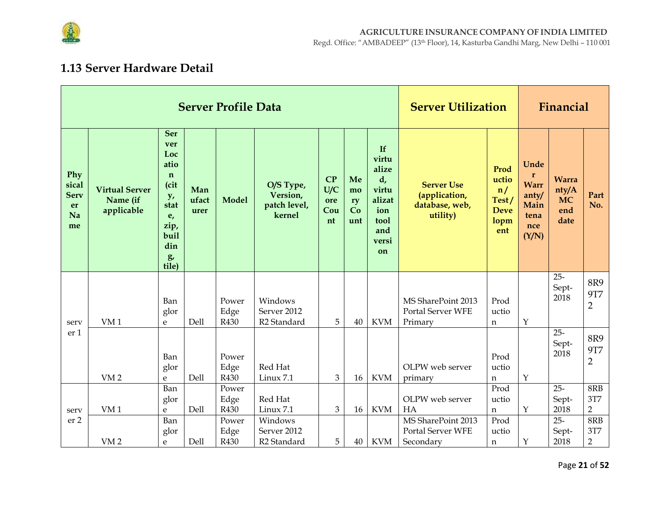

## 1.13 Server Hardware Detail

|                                               |                                                 |                                                                                                                  |                      | <b>Server Profile Data</b>    |                                                                | <b>Server Utilization</b>     | Financial                   |                                                                                              |                                                                   |                                                                        |                                                                              |                                                   |                                                |
|-----------------------------------------------|-------------------------------------------------|------------------------------------------------------------------------------------------------------------------|----------------------|-------------------------------|----------------------------------------------------------------|-------------------------------|-----------------------------|----------------------------------------------------------------------------------------------|-------------------------------------------------------------------|------------------------------------------------------------------------|------------------------------------------------------------------------------|---------------------------------------------------|------------------------------------------------|
| Phy<br>sical<br><b>Serv</b><br>er<br>Na<br>me | <b>Virtual Server</b><br>Name (if<br>applicable | <b>Ser</b><br>ver<br>Loc<br>atio<br>$\mathbf n$<br>(cit<br>y,<br>stat<br>e,<br>zip,<br>buil<br>din<br>g<br>tile) | Man<br>ufact<br>urer | <b>Model</b>                  | O/S Type,<br>Version,<br>patch level,<br>kernel                | CP<br>U/C<br>ore<br>Cou<br>nt | Me<br>mo<br>ry<br>Co<br>unt | If<br>virtu<br>alize<br>$d_{\prime}$<br>virtu<br>alizat<br>ion<br>tool<br>and<br>versi<br>on | <b>Server Use</b><br>(application,<br>database, web,<br>utility)  | Prod<br>uctio<br>$\overline{n}$<br>Test/<br><b>Deve</b><br>lopm<br>ent | Unde<br>$\mathbf{r}$<br><b>Warr</b><br>anty/<br>Main<br>tena<br>nce<br>(Y/N) | <b>Warra</b><br>nty/A<br><b>MC</b><br>end<br>date | Part<br>No.                                    |
| serv                                          | VM <sub>1</sub>                                 | Ban<br>glor<br>e                                                                                                 | Dell                 | Power<br>Edge<br>R430         | Windows<br>Server 2012<br>R <sub>2</sub> Standard              | 5                             | 40                          | <b>KVM</b>                                                                                   | MS SharePoint 2013<br>Portal Server WFE<br>Primary                | Prod<br>uctio<br>n                                                     | $\mathbf Y$                                                                  | $25 -$<br>Sept-<br>2018                           | 8R9<br><b>9T7</b><br>$\overline{2}$            |
| er <sub>1</sub>                               | VM <sub>2</sub>                                 | Ban<br>glor<br>e                                                                                                 | Dell                 | Power<br>Edge<br>R430         | Red Hat<br>Linux 7.1                                           | 3                             | 16                          | <b>KVM</b>                                                                                   | OLPW web server<br>primary                                        | Prod<br>uctio<br>$\mathbf n$                                           | $\mathbf Y$                                                                  | $25 -$<br>Sept-<br>2018                           | 8R9<br><b>9T7</b><br>2                         |
|                                               |                                                 | Ban<br>glor                                                                                                      |                      | Power<br>Edge                 | Red Hat                                                        |                               |                             |                                                                                              | OLPW web server                                                   | Prod<br>uctio                                                          |                                                                              | $25 -$<br>Sept-                                   | 8RB<br>3T7                                     |
| serv<br>er 2                                  | VM <sub>1</sub><br>VM <sub>2</sub>              | e<br>Ban<br>glor<br>e                                                                                            | Dell<br>Dell         | R430<br>Power<br>Edge<br>R430 | Linux 7.1<br>Windows<br>Server 2012<br>R <sub>2</sub> Standard | 3<br>5                        | 16<br>40                    | <b>KVM</b><br><b>KVM</b>                                                                     | HA<br>MS SharePoint 2013<br><b>Portal Server WFE</b><br>Secondary | n<br>Prod<br>uctio<br>n                                                | $\mathbf Y$<br>$\mathbf Y$                                                   | 2018<br>$25 -$<br>Sept-<br>2018                   | $\overline{2}$<br>8RB<br>3T7<br>$\overline{2}$ |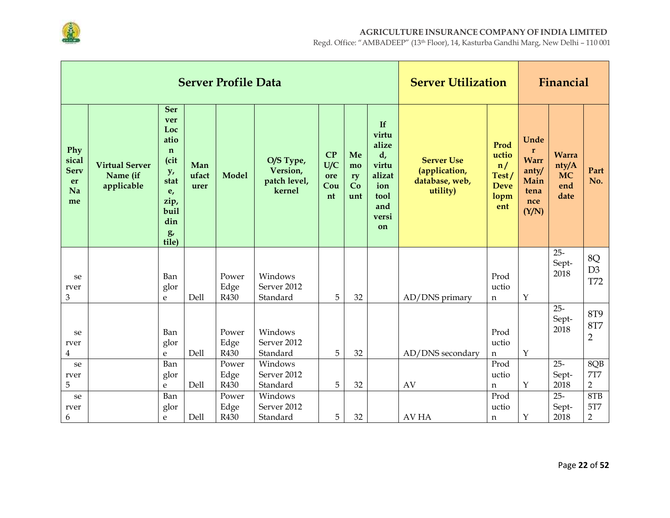

|                                               |                                                 |                                                                                                                  |                      | <b>Server Profile Data</b> |                                                 | <b>Server Utilization</b>     |                             | Financial                                                                                          |                                                                  |                                                            |                                                                              |                                                   |                                            |
|-----------------------------------------------|-------------------------------------------------|------------------------------------------------------------------------------------------------------------------|----------------------|----------------------------|-------------------------------------------------|-------------------------------|-----------------------------|----------------------------------------------------------------------------------------------------|------------------------------------------------------------------|------------------------------------------------------------|------------------------------------------------------------------------------|---------------------------------------------------|--------------------------------------------|
| Phy<br>sical<br><b>Serv</b><br>er<br>Na<br>me | <b>Virtual Server</b><br>Name (if<br>applicable | <b>Ser</b><br>ver<br>Loc<br>atio<br>$\mathbf n$<br>(cit<br>y,<br>stat<br>e,<br>zip,<br>buil<br>din<br>g<br>tile) | Man<br>ufact<br>urer | <b>Model</b>               | O/S Type,<br>Version,<br>patch level,<br>kernel | CP<br>U/C<br>ore<br>Cou<br>nt | Me<br>mo<br>ry<br>Co<br>unt | <b>If</b><br>virtu<br>alize<br>$d_{\iota}$<br>virtu<br>alizat<br>ion<br>tool<br>and<br>versi<br>on | <b>Server Use</b><br>(application,<br>database, web,<br>utility) | Prod<br>uctio<br>n/<br>Test/<br><b>Deve</b><br>lopm<br>ent | Unde<br>$\mathbf{r}$<br><b>Warr</b><br>anty/<br>Main<br>tena<br>nce<br>(Y/N) | <b>Warra</b><br>nty/A<br><b>MC</b><br>end<br>date | Part<br>No.                                |
| se<br>rver                                    |                                                 | Ban<br>glor                                                                                                      |                      | Power<br>Edge              | Windows<br>Server 2012                          |                               |                             |                                                                                                    |                                                                  | Prod<br>uctio                                              |                                                                              | $25 -$<br>Sept-<br>2018                           | 8Q<br>D <sub>3</sub><br><b>T72</b>         |
| 3                                             |                                                 | ${\bf e}$                                                                                                        | Dell                 | R430                       | Standard                                        | 5                             | 32                          |                                                                                                    | AD/DNS primary                                                   | n                                                          | Y                                                                            |                                                   |                                            |
| se<br>rver<br>$\overline{4}$                  |                                                 | Ban<br>glor<br>e                                                                                                 | Dell                 | Power<br>Edge<br>R430      | Windows<br>Server 2012<br>Standard              | 5                             | 32                          |                                                                                                    | AD/DNS secondary                                                 | Prod<br>uctio<br>$\mathbf n$                               | $\mathbf Y$                                                                  | $25 -$<br>Sept-<br>2018                           | <b>8T9</b><br><b>8T7</b><br>$\overline{2}$ |
| se                                            |                                                 | Ban                                                                                                              |                      | Power                      | Windows                                         |                               |                             |                                                                                                    |                                                                  | Prod                                                       |                                                                              | $25 -$                                            | 8QB                                        |
| rver                                          |                                                 | glor                                                                                                             |                      | Edge                       | Server 2012                                     |                               |                             |                                                                                                    |                                                                  | uctio                                                      |                                                                              | Sept-                                             | <b>7T7</b>                                 |
| 5                                             |                                                 | $\mathbf{e}$                                                                                                     | Dell                 | R430                       | Standard                                        | 5                             | 32                          |                                                                                                    | AV                                                               | n                                                          | Y                                                                            | 2018                                              | $\overline{2}$                             |
| se                                            |                                                 | Ban                                                                                                              |                      | Power                      | Windows                                         |                               |                             |                                                                                                    |                                                                  | Prod                                                       |                                                                              | $25 -$                                            | 8TB                                        |
| rver                                          |                                                 | glor                                                                                                             |                      | Edge                       | Server 2012                                     |                               |                             |                                                                                                    |                                                                  | uctio                                                      |                                                                              | Sept-                                             | 5T7                                        |
| 6                                             |                                                 | ${\bf e}$                                                                                                        | Dell                 | R430                       | Standard                                        | 5                             | 32                          |                                                                                                    | <b>AV HA</b>                                                     | n                                                          | Υ                                                                            | 2018                                              | $\overline{2}$                             |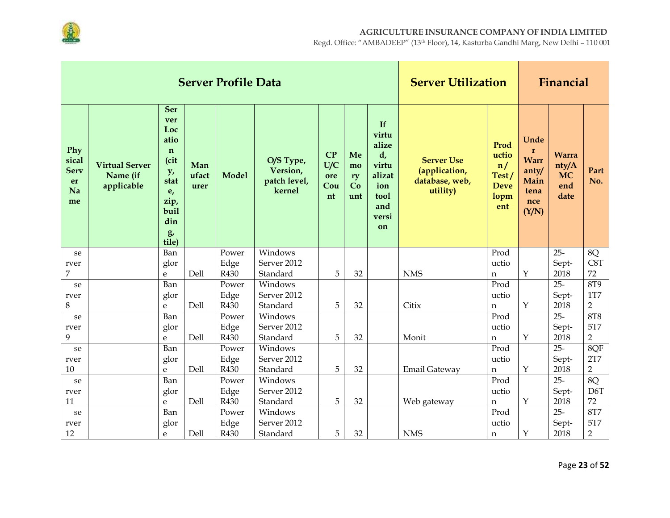

|                                               |                                                 |                                                                                                                  |                      | <b>Server Profile Data</b> |                                                 | <b>Server Utilization</b>     | Financial                   |                                                                                              |                                                                  |                                                            |                                                                   |                                                   |                  |
|-----------------------------------------------|-------------------------------------------------|------------------------------------------------------------------------------------------------------------------|----------------------|----------------------------|-------------------------------------------------|-------------------------------|-----------------------------|----------------------------------------------------------------------------------------------|------------------------------------------------------------------|------------------------------------------------------------|-------------------------------------------------------------------|---------------------------------------------------|------------------|
| Phy<br>sical<br><b>Serv</b><br>er<br>Na<br>me | <b>Virtual Server</b><br>Name (if<br>applicable | <b>Ser</b><br>ver<br>Loc<br>atio<br>$\mathbf n$<br>(cit<br>y,<br>stat<br>e,<br>zip,<br>buil<br>din<br>g<br>tile) | Man<br>ufact<br>urer | <b>Model</b>               | O/S Type,<br>Version,<br>patch level,<br>kernel | CP<br>U/C<br>ore<br>Cou<br>nt | Me<br>mo<br>ry<br>Co<br>unt | If<br>virtu<br>alize<br>$d_{\prime}$<br>virtu<br>alizat<br>ion<br>tool<br>and<br>versi<br>on | <b>Server Use</b><br>(application,<br>database, web,<br>utility) | Prod<br>uctio<br>n/<br>Test/<br><b>Deve</b><br>lopm<br>ent | Unde<br>r<br><b>Warr</b><br>anty/<br>Main<br>tena<br>nce<br>(Y/N) | <b>Warra</b><br>nty/A<br><b>MC</b><br>end<br>date | Part<br>No.      |
| se                                            |                                                 | Ban                                                                                                              |                      | Power                      | Windows                                         |                               |                             |                                                                                              |                                                                  | Prod                                                       |                                                                   | $25 -$                                            | 8Q               |
| rver                                          |                                                 | glor                                                                                                             |                      | Edge                       | Server 2012                                     |                               |                             |                                                                                              |                                                                  | uctio                                                      |                                                                   | Sept-                                             | C8T              |
| 7                                             |                                                 | e                                                                                                                | Dell                 | R430                       | Standard                                        | 5                             | 32                          |                                                                                              | <b>NMS</b>                                                       | n                                                          | Υ                                                                 | 2018                                              | 72               |
| se                                            |                                                 | Ban                                                                                                              |                      | Power                      | Windows                                         |                               |                             |                                                                                              |                                                                  | Prod                                                       |                                                                   | $25 -$                                            | <b>8T9</b>       |
| rver                                          |                                                 | glor                                                                                                             |                      | Edge                       | Server 2012                                     |                               |                             |                                                                                              |                                                                  | uctio                                                      |                                                                   | Sept-                                             | <b>1T7</b>       |
| $\,8\,$                                       |                                                 | $\mathbf{e}$                                                                                                     | Dell                 | R430                       | Standard                                        | 5                             | 32                          |                                                                                              | Citix                                                            | n                                                          | $\mathbf Y$                                                       | 2018                                              | $\overline{2}$   |
| se                                            |                                                 | Ban                                                                                                              |                      | Power                      | Windows                                         |                               |                             |                                                                                              |                                                                  | Prod                                                       |                                                                   | $25 -$                                            | 8T8              |
| rver                                          |                                                 | glor                                                                                                             |                      | Edge                       | Server 2012                                     |                               |                             |                                                                                              |                                                                  | uctio                                                      |                                                                   | Sept-                                             | 5T7              |
| 9                                             |                                                 | $\mathbf{e}$                                                                                                     | Dell                 | R430                       | Standard                                        | 5                             | 32                          |                                                                                              | Monit                                                            | $\mathbf n$                                                | $\mathbf Y$                                                       | 2018                                              | $\overline{2}$   |
| se                                            |                                                 | Ban                                                                                                              |                      | Power                      | Windows                                         |                               |                             |                                                                                              |                                                                  | Prod                                                       |                                                                   | $25 -$                                            | 8QF              |
| rver                                          |                                                 | glor                                                                                                             |                      | Edge                       | Server 2012                                     |                               |                             |                                                                                              |                                                                  | uctio                                                      |                                                                   | Sept-                                             | 2T7              |
| 10                                            |                                                 | e                                                                                                                | Dell                 | R430                       | Standard                                        | 5                             | 32                          |                                                                                              | Email Gateway                                                    | n                                                          | $\mathbf{Y}$                                                      | 2018                                              | $\overline{2}$   |
| se                                            |                                                 | Ban                                                                                                              |                      | Power                      | Windows                                         |                               |                             |                                                                                              |                                                                  | Prod                                                       |                                                                   | $25 -$                                            | 8Q               |
| rver                                          |                                                 | glor                                                                                                             |                      | Edge                       | Server 2012                                     |                               |                             |                                                                                              |                                                                  | uctio                                                      |                                                                   | Sept-                                             | D <sub>6</sub> T |
| 11                                            |                                                 | e                                                                                                                | Dell                 | R430                       | Standard                                        | 5                             | 32                          |                                                                                              | Web gateway                                                      | $\mathbf n$                                                | $\mathbf Y$                                                       | 2018                                              | 72               |
| se                                            |                                                 | Ban                                                                                                              |                      | Power                      | Windows                                         |                               |                             |                                                                                              |                                                                  | Prod                                                       |                                                                   | $25 -$                                            | <b>8T7</b>       |
| rver                                          |                                                 | glor                                                                                                             |                      | Edge                       | Server 2012                                     |                               |                             |                                                                                              |                                                                  | uctio                                                      |                                                                   | Sept-                                             | 5T7              |
| 12                                            |                                                 | e                                                                                                                | Dell                 | R430                       | Standard                                        | 5                             | 32                          |                                                                                              | <b>NMS</b>                                                       | n                                                          | $\mathbf Y$                                                       | 2018                                              | $\overline{2}$   |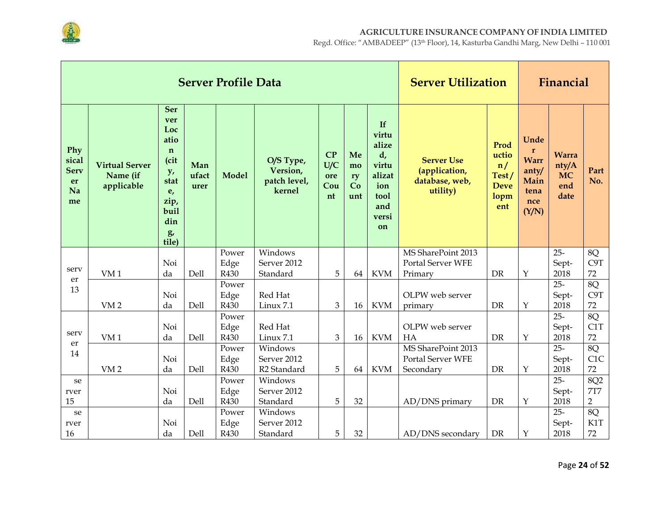

|                                               |                                                 |                                                                                                                              |                      | <b>Server Profile Data</b> |                                                 | <b>Server Utilization</b>     | Financial                   |                                                                                             |                                                                  |                                                            |                                                                              |                                                   |                              |
|-----------------------------------------------|-------------------------------------------------|------------------------------------------------------------------------------------------------------------------------------|----------------------|----------------------------|-------------------------------------------------|-------------------------------|-----------------------------|---------------------------------------------------------------------------------------------|------------------------------------------------------------------|------------------------------------------------------------|------------------------------------------------------------------------------|---------------------------------------------------|------------------------------|
| Phy<br>sical<br><b>Serv</b><br>er<br>Na<br>me | <b>Virtual Server</b><br>Name (if<br>applicable | <b>Ser</b><br>ver<br>Loc<br>atio<br>$\mathbf n$<br>(cit<br>y,<br>stat<br>e <sub>r</sub><br>zip,<br>buil<br>din<br>g<br>tile) | Man<br>ufact<br>urer | <b>Model</b>               | O/S Type,<br>Version,<br>patch level,<br>kernel | CP<br>U/C<br>ore<br>Cou<br>nt | Me<br>mo<br>ry<br>Co<br>unt | If<br>virtu<br>alize<br>$d_{\iota}$<br>virtu<br>alizat<br>ion<br>tool<br>and<br>versi<br>on | <b>Server Use</b><br>(application,<br>database, web,<br>utility) | Prod<br>uctio<br>n/<br>Test/<br><b>Deve</b><br>lopm<br>ent | Unde<br>$\mathbf{r}$<br><b>Warr</b><br>anty/<br>Main<br>tena<br>nce<br>(Y/N) | <b>Warra</b><br>nty/A<br><b>MC</b><br>end<br>date | Part<br>No.                  |
|                                               |                                                 |                                                                                                                              |                      | Power                      | Windows                                         |                               |                             |                                                                                             | MS SharePoint 2013                                               |                                                            |                                                                              | $25 -$                                            | 8Q                           |
| serv                                          |                                                 | Noi                                                                                                                          |                      | Edge                       | Server 2012                                     |                               |                             |                                                                                             | Portal Server WFE                                                |                                                            |                                                                              | Sept-                                             | C9T                          |
| er                                            | VM <sub>1</sub>                                 | da                                                                                                                           | Dell                 | R430                       | Standard                                        | 5                             | 64                          | <b>KVM</b>                                                                                  | Primary                                                          | <b>DR</b>                                                  | Υ                                                                            | 2018                                              | 72                           |
| 13                                            |                                                 |                                                                                                                              |                      | Power                      |                                                 |                               |                             |                                                                                             |                                                                  |                                                            |                                                                              | $25 -$                                            | 8Q                           |
|                                               |                                                 | Noi                                                                                                                          |                      | Edge                       | Red Hat                                         |                               |                             |                                                                                             | OLPW web server                                                  |                                                            |                                                                              | Sept-                                             | C9T                          |
|                                               | VM <sub>2</sub>                                 | da                                                                                                                           | Dell                 | R430                       | Linux 7.1                                       | 3                             | 16                          | <b>KVM</b>                                                                                  | primary                                                          | <b>DR</b>                                                  | $\mathbf Y$                                                                  | 2018                                              | 72                           |
|                                               |                                                 |                                                                                                                              |                      | Power                      |                                                 |                               |                             |                                                                                             |                                                                  |                                                            |                                                                              | $25 -$                                            | 8Q                           |
| serv                                          |                                                 | Noi                                                                                                                          |                      | Edge                       | Red Hat                                         |                               |                             |                                                                                             | OLPW web server                                                  |                                                            |                                                                              | Sept-                                             | C1T                          |
| er                                            | VM <sub>1</sub>                                 | da                                                                                                                           | <b>Dell</b>          | R430                       | Linux 7.1                                       | 3                             | 16                          | <b>KVM</b>                                                                                  | HA                                                               | <b>DR</b>                                                  | Y                                                                            | 2018                                              | 72                           |
| 14                                            |                                                 |                                                                                                                              |                      | Power                      | Windows                                         |                               |                             |                                                                                             | MS SharePoint 2013                                               |                                                            |                                                                              | $25 -$                                            | 8Q                           |
|                                               |                                                 | Noi                                                                                                                          |                      | Edge                       | Server 2012                                     |                               |                             |                                                                                             | <b>Portal Server WFE</b>                                         |                                                            |                                                                              | Sept-                                             | C1C                          |
|                                               | VM <sub>2</sub>                                 | da                                                                                                                           | Dell                 | R430                       | R <sub>2</sub> Standard                         | 5                             | 64                          | <b>KVM</b>                                                                                  | Secondary                                                        | <b>DR</b>                                                  | $\mathbf Y$                                                                  | 2018                                              | 72                           |
| se                                            |                                                 |                                                                                                                              |                      | Power                      | Windows                                         |                               |                             |                                                                                             |                                                                  |                                                            |                                                                              | $25 -$                                            | 8Q2                          |
| rver<br>15                                    |                                                 | Noi<br>da                                                                                                                    | Dell                 | Edge<br>R430               | Server 2012<br>Standard                         | 5                             | 32                          |                                                                                             | AD/DNS primary                                                   | <b>DR</b>                                                  | $\mathbf Y$                                                                  | Sept-<br>2018                                     | <b>7T7</b><br>$\overline{2}$ |
|                                               |                                                 |                                                                                                                              |                      | Power                      | Windows                                         |                               |                             |                                                                                             |                                                                  |                                                            |                                                                              | $25 -$                                            | 8Q                           |
| se                                            |                                                 | Noi                                                                                                                          |                      |                            | Server 2012                                     |                               |                             |                                                                                             |                                                                  |                                                            |                                                                              |                                                   | K1T                          |
| rver<br>16                                    |                                                 | da                                                                                                                           | Dell                 | Edge<br>R430               | Standard                                        | 5                             | 32                          |                                                                                             | AD/DNS secondary                                                 | DR                                                         | Y                                                                            | Sept-<br>2018                                     | 72                           |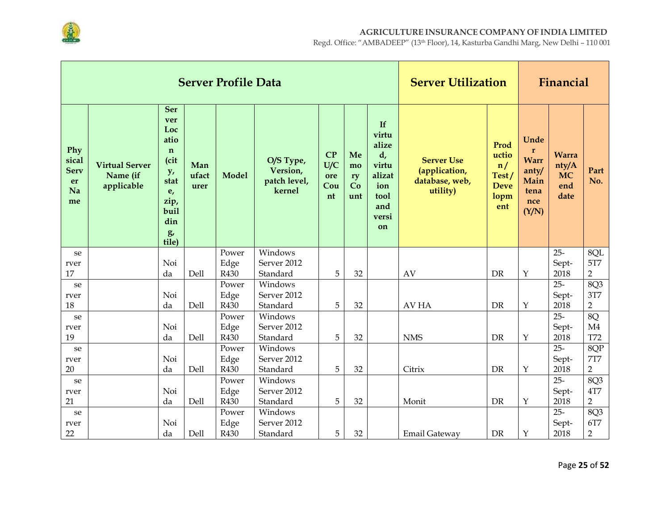

|                                               |                                                 |                                                                                                                  |                      | <b>Server Profile Data</b> |                                                 |                               |                             |                                                                                    | <b>Server Utilization</b>                                        |                                                            |                                                                              | Financial                                         |                  |
|-----------------------------------------------|-------------------------------------------------|------------------------------------------------------------------------------------------------------------------|----------------------|----------------------------|-------------------------------------------------|-------------------------------|-----------------------------|------------------------------------------------------------------------------------|------------------------------------------------------------------|------------------------------------------------------------|------------------------------------------------------------------------------|---------------------------------------------------|------------------|
| Phy<br>sical<br><b>Serv</b><br>er<br>Na<br>me | <b>Virtual Server</b><br>Name (if<br>applicable | <b>Ser</b><br>ver<br>Loc<br>atio<br>$\mathbf n$<br>(cit<br>y,<br>stat<br>e,<br>zip,<br>buil<br>din<br>g<br>tile) | Man<br>ufact<br>urer | <b>Model</b>               | O/S Type,<br>Version,<br>patch level,<br>kernel | CP<br>U/C<br>ore<br>Cou<br>nt | Me<br>mo<br>ry<br>Co<br>unt | If<br>virtu<br>alize<br>d,<br>virtu<br>alizat<br>ion<br>tool<br>and<br>versi<br>on | <b>Server Use</b><br>(application,<br>database, web,<br>utility) | Prod<br>uctio<br>n/<br>Test/<br><b>Deve</b><br>lopm<br>ent | Unde<br>$\mathbf{r}$<br><b>Warr</b><br>anty/<br>Main<br>tena<br>nce<br>(Y/N) | <b>Warra</b><br>nty/A<br><b>MC</b><br>end<br>date | Part<br>No.      |
| se                                            |                                                 |                                                                                                                  |                      | Power                      | Windows                                         |                               |                             |                                                                                    |                                                                  |                                                            |                                                                              | $25 -$                                            | 8QL              |
| rver                                          |                                                 | Noi                                                                                                              |                      | Edge                       | Server 2012                                     |                               |                             |                                                                                    |                                                                  |                                                            |                                                                              | Sept-                                             | <b>5T7</b>       |
| 17                                            |                                                 | da                                                                                                               | Dell                 | R430                       | Standard                                        | 5                             | 32                          |                                                                                    | AV                                                               | DR                                                         | $\mathbf Y$                                                                  | 2018                                              | $\overline{2}$   |
| se                                            |                                                 |                                                                                                                  |                      | Power                      | Windows                                         |                               |                             |                                                                                    |                                                                  |                                                            |                                                                              | $25 -$                                            | 8Q3              |
| rver                                          |                                                 | Noi                                                                                                              |                      | Edge                       | Server 2012                                     |                               |                             |                                                                                    |                                                                  |                                                            |                                                                              | Sept-                                             | 3T7              |
| 18                                            |                                                 | da                                                                                                               | Dell                 | R430                       | Standard                                        | 5                             | 32                          |                                                                                    | AV HA                                                            | DR                                                         | $\mathbf Y$                                                                  | 2018                                              | $\overline{2}$   |
| se                                            |                                                 |                                                                                                                  |                      | Power                      | Windows                                         |                               |                             |                                                                                    |                                                                  |                                                            |                                                                              | $25 -$                                            | 8Q               |
| rver<br>19                                    |                                                 | Noi<br>da                                                                                                        | Dell                 | Edge<br>R430               | Server 2012<br>Standard                         | 5                             | 32                          |                                                                                    | <b>NMS</b>                                                       | <b>DR</b>                                                  | $\mathbf Y$                                                                  | Sept-<br>2018                                     | M4<br><b>T72</b> |
|                                               |                                                 |                                                                                                                  |                      | Power                      | Windows                                         |                               |                             |                                                                                    |                                                                  |                                                            |                                                                              | $25 -$                                            | 8QP              |
| se                                            |                                                 | Noi                                                                                                              |                      | Edge                       | Server 2012                                     |                               |                             |                                                                                    |                                                                  |                                                            |                                                                              | Sept-                                             | <b>7T7</b>       |
| rver<br>20                                    |                                                 | da                                                                                                               | Dell                 | R430                       | Standard                                        | 5                             | 32                          |                                                                                    | Citrix                                                           | <b>DR</b>                                                  | $\mathbf Y$                                                                  | 2018                                              | $\overline{2}$   |
| se                                            |                                                 |                                                                                                                  |                      | Power                      | Windows                                         |                               |                             |                                                                                    |                                                                  |                                                            |                                                                              | $25 -$                                            | 8Q3              |
| rver                                          |                                                 | Noi                                                                                                              |                      | Edge                       | Server 2012                                     |                               |                             |                                                                                    |                                                                  |                                                            |                                                                              | Sept-                                             | <b>4T7</b>       |
| 21                                            |                                                 | da                                                                                                               | Dell                 | R430                       | Standard                                        | 5                             | 32                          |                                                                                    | Monit                                                            | <b>DR</b>                                                  | $\mathbf Y$                                                                  | 2018                                              | $\overline{2}$   |
| se                                            |                                                 |                                                                                                                  |                      | Power                      | Windows                                         |                               |                             |                                                                                    |                                                                  |                                                            |                                                                              | $25 -$                                            | 8Q3              |
| rver                                          |                                                 | Noi                                                                                                              |                      | Edge                       | Server 2012                                     |                               |                             |                                                                                    |                                                                  |                                                            |                                                                              | Sept-                                             | 6T7              |
| 22                                            |                                                 | da                                                                                                               | Dell                 | R430                       | Standard                                        | 5                             | 32                          |                                                                                    | Email Gateway                                                    | DR                                                         | $\mathbf Y$                                                                  | 2018                                              | $\overline{2}$   |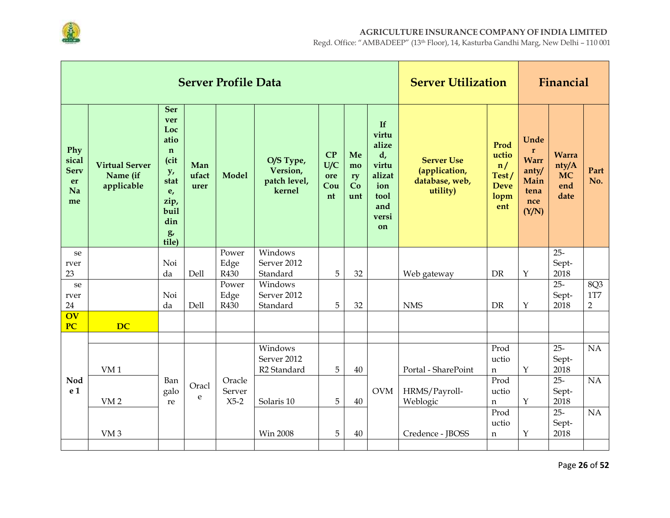

|                                               |                                                 |                                                                                                                  |                      | <b>Server Profile Data</b> |                                                   |                               |                             |                                                                                    | <b>Server Utilization</b>                                        |                                                            |                                                                             | Financial                                         |                |
|-----------------------------------------------|-------------------------------------------------|------------------------------------------------------------------------------------------------------------------|----------------------|----------------------------|---------------------------------------------------|-------------------------------|-----------------------------|------------------------------------------------------------------------------------|------------------------------------------------------------------|------------------------------------------------------------|-----------------------------------------------------------------------------|---------------------------------------------------|----------------|
| Phy<br>sical<br><b>Serv</b><br>er<br>Na<br>me | <b>Virtual Server</b><br>Name (if<br>applicable | <b>Ser</b><br>ver<br>Loc<br>atio<br>$\mathbf n$<br>(cit<br>y,<br>stat<br>e,<br>zip,<br>buil<br>din<br>g<br>tile) | Man<br>ufact<br>urer | <b>Model</b>               | O/S Type,<br>Version,<br>patch level,<br>kernel   | CP<br>U/C<br>ore<br>Cou<br>nt | Me<br>mo<br>ry<br>Co<br>unt | If<br>virtu<br>alize<br>d,<br>virtu<br>alizat<br>ion<br>tool<br>and<br>versi<br>on | <b>Server Use</b><br>(application,<br>database, web,<br>utility) | Prod<br>uctio<br>n/<br>Test/<br><b>Deve</b><br>lopm<br>ent | Unde<br>$\mathbf r$<br><b>Warr</b><br>anty/<br>Main<br>tena<br>nce<br>(Y/N) | <b>Warra</b><br>nty/A<br><b>MC</b><br>end<br>date | Part<br>No.    |
| se                                            |                                                 | Noi                                                                                                              |                      | Power                      | Windows                                           |                               |                             |                                                                                    |                                                                  |                                                            |                                                                             | $25 -$                                            |                |
| rver<br>23                                    |                                                 | da                                                                                                               | Dell                 | Edge<br>R430               | Server 2012<br>Standard                           | 5                             | 32                          |                                                                                    | Web gateway                                                      | <b>DR</b>                                                  | $\mathbf{Y}$                                                                | Sept-<br>2018                                     |                |
| se                                            |                                                 |                                                                                                                  |                      | Power                      | Windows                                           |                               |                             |                                                                                    |                                                                  |                                                            |                                                                             | $25 -$                                            | 8Q3            |
| rver                                          |                                                 | Noi                                                                                                              |                      | Edge                       | Server 2012                                       |                               |                             |                                                                                    |                                                                  |                                                            |                                                                             | Sept-                                             | $1\mathrm{T}7$ |
| 24                                            |                                                 | da                                                                                                               | Dell                 | R430                       | Standard                                          | 5                             | 32                          |                                                                                    | <b>NMS</b>                                                       | <b>DR</b>                                                  | $\mathbf Y$                                                                 | 2018                                              | $\overline{2}$ |
| $\overline{\text{OV}}$<br><b>PC</b>           | <b>DC</b>                                       |                                                                                                                  |                      |                            |                                                   |                               |                             |                                                                                    |                                                                  |                                                            |                                                                             |                                                   |                |
|                                               |                                                 |                                                                                                                  |                      |                            |                                                   |                               |                             |                                                                                    |                                                                  |                                                            |                                                                             |                                                   |                |
|                                               | VM <sub>1</sub>                                 |                                                                                                                  |                      |                            | Windows<br>Server 2012<br>R <sub>2</sub> Standard | 5                             | 40                          |                                                                                    | Portal - SharePoint                                              | Prod<br>uctio<br>$\mathsf{n}$                              | $\mathbf{Y}$                                                                | $25 -$<br>Sept-<br>2018                           | NA             |
| Nod<br>e 1                                    | VM <sub>2</sub>                                 | Ban<br>galo<br>re                                                                                                | Oracl<br>e           | Oracle<br>Server<br>$X5-2$ | Solaris 10                                        | 5                             | 40                          | <b>OVM</b>                                                                         | HRMS/Payroll-<br>Weblogic                                        | Prod<br>uctio<br>$\mathbf n$                               | $\mathbf Y$                                                                 | $25 -$<br>Sept-<br>2018                           | NA             |
|                                               | VM <sub>3</sub>                                 |                                                                                                                  |                      |                            | <b>Win 2008</b>                                   | 5                             | 40                          |                                                                                    | Credence - JBOSS                                                 | Prod<br>uctio<br>$\mathbf n$                               | $\mathbf Y$                                                                 | $25 -$<br>Sept-<br>2018                           | $\rm NA$       |
|                                               |                                                 |                                                                                                                  |                      |                            |                                                   |                               |                             |                                                                                    |                                                                  |                                                            |                                                                             |                                                   |                |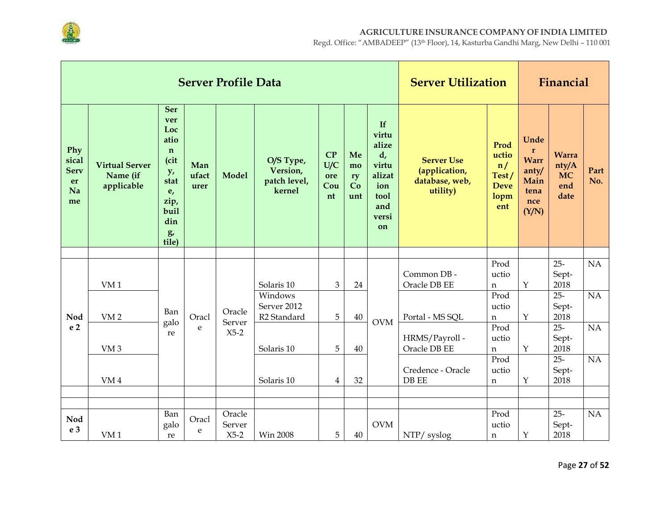

|                                               |                                                 |                                                                                                                  |                      | <b>Server Profile Data</b> |                                                   |                               |                             |                                                                                             | <b>Server Utilization</b>                                        |                                                            |                                                                              | Financial                                         |                 |
|-----------------------------------------------|-------------------------------------------------|------------------------------------------------------------------------------------------------------------------|----------------------|----------------------------|---------------------------------------------------|-------------------------------|-----------------------------|---------------------------------------------------------------------------------------------|------------------------------------------------------------------|------------------------------------------------------------|------------------------------------------------------------------------------|---------------------------------------------------|-----------------|
| Phy<br>sical<br><b>Serv</b><br>er<br>Na<br>me | <b>Virtual Server</b><br>Name (if<br>applicable | <b>Ser</b><br>ver<br>Loc<br>atio<br>$\mathbf n$<br>(cit<br>y,<br>stat<br>e,<br>zip,<br>buil<br>din<br>g<br>tile) | Man<br>ufact<br>urer | <b>Model</b>               | O/S Type,<br>Version,<br>patch level,<br>kernel   | CP<br>U/C<br>ore<br>Cou<br>nt | Me<br>mo<br>ry<br>Co<br>unt | If<br>virtu<br>alize<br>$d_{\iota}$<br>virtu<br>alizat<br>ion<br>tool<br>and<br>versi<br>on | <b>Server Use</b><br>(application,<br>database, web,<br>utility) | Prod<br>uctio<br>n/<br>Test/<br><b>Deve</b><br>lopm<br>ent | Unde<br>$\mathbf{r}$<br><b>Warr</b><br>anty/<br>Main<br>tena<br>nce<br>(Y/N) | <b>Warra</b><br>nty/A<br><b>MC</b><br>end<br>date | Part<br>No.     |
|                                               |                                                 |                                                                                                                  |                      |                            |                                                   |                               |                             |                                                                                             |                                                                  | Prod                                                       |                                                                              | $25 -$                                            | $\overline{NA}$ |
|                                               | VM <sub>1</sub>                                 |                                                                                                                  |                      |                            | Solaris 10                                        | 3                             | 24                          |                                                                                             | Common DB -<br>Oracle DB EE                                      | uctio<br>$\mathbf n$                                       | $\mathbf Y$                                                                  | Sept-<br>2018                                     |                 |
| Nod                                           | VM <sub>2</sub>                                 | Ban                                                                                                              | Oracl                | Oracle                     | Windows<br>Server 2012<br>R <sub>2</sub> Standard | 5                             | 40                          | <b>OVM</b>                                                                                  | Portal - MS SQL                                                  | Prod<br>uctio<br>n                                         | $\mathbf Y$                                                                  | $25 -$<br>Sept-<br>2018                           | NA              |
| e <sub>2</sub>                                | VM <sub>3</sub>                                 | galo<br>re                                                                                                       | e                    | Server<br>$X5-2$           | Solaris 10                                        | 5                             | 40                          |                                                                                             | HRMS/Payroll-<br>Oracle DB EE                                    | Prod<br>uctio<br>$\mathbf n$                               | $\mathbf Y$                                                                  | $25 -$<br>Sept-<br>2018                           | NA              |
|                                               | VM <sub>4</sub>                                 |                                                                                                                  |                      |                            | Solaris 10                                        | $\overline{4}$                | 32                          |                                                                                             | Credence - Oracle<br>DB EE                                       | Prod<br>uctio<br>n                                         | Υ                                                                            | $25 -$<br>Sept-<br>2018                           | NA              |
|                                               |                                                 |                                                                                                                  |                      |                            |                                                   |                               |                             |                                                                                             |                                                                  |                                                            |                                                                              |                                                   |                 |
| Nod<br>e 3                                    | VM <sub>1</sub>                                 | Ban<br>galo<br>re                                                                                                | Oracl<br>e           | Oracle<br>Server<br>$X5-2$ | Win 2008                                          | 5                             | 40                          | <b>OVM</b>                                                                                  | NTP/ syslog                                                      | Prod<br>uctio<br>n                                         | $\mathbf Y$                                                                  | $25 -$<br>Sept-<br>2018                           | NA              |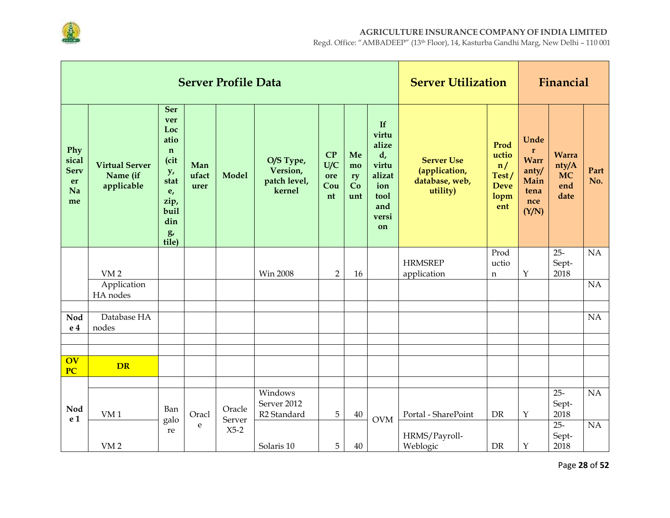

|                                               |                                                 |                                                                                                           |                      | <b>Server Profile Data</b> |                                                   |                               |                             |                                                                                    | <b>Server Utilization</b>                                        |                                                            |                                                                              | Financial                                         |                 |
|-----------------------------------------------|-------------------------------------------------|-----------------------------------------------------------------------------------------------------------|----------------------|----------------------------|---------------------------------------------------|-------------------------------|-----------------------------|------------------------------------------------------------------------------------|------------------------------------------------------------------|------------------------------------------------------------|------------------------------------------------------------------------------|---------------------------------------------------|-----------------|
| Phy<br>sical<br><b>Serv</b><br>er<br>Na<br>me | <b>Virtual Server</b><br>Name (if<br>applicable | Ser<br>ver<br>Loc<br>atio<br>$\mathbf n$<br>(cit<br>y,<br>stat<br>e,<br>zip,<br>buil<br>din<br>g<br>tile) | Man<br>ufact<br>urer | <b>Model</b>               | O/S Type,<br>Version,<br>patch level,<br>kernel   | CP<br>U/C<br>ore<br>Cou<br>nt | Me<br>mo<br>ry<br>Co<br>unt | If<br>virtu<br>alize<br>d,<br>virtu<br>alizat<br>ion<br>tool<br>and<br>versi<br>on | <b>Server Use</b><br>(application,<br>database, web,<br>utility) | Prod<br>uctio<br>n/<br>Test/<br><b>Deve</b><br>lopm<br>ent | Unde<br>$\mathbf{r}$<br><b>Warr</b><br>anty/<br>Main<br>tena<br>nce<br>(Y/N) | <b>Warra</b><br>nty/A<br><b>MC</b><br>end<br>date | Part<br>No.     |
|                                               | VM <sub>2</sub>                                 |                                                                                                           |                      |                            | <b>Win 2008</b>                                   | $\overline{2}$                | 16                          |                                                                                    | <b>HRMSREP</b><br>application                                    | Prod<br>uctio<br>n                                         | $\mathbf Y$                                                                  | $25 -$<br>Sept-<br>2018                           | NA              |
|                                               | Application<br>HA nodes                         |                                                                                                           |                      |                            |                                                   |                               |                             |                                                                                    |                                                                  |                                                            |                                                                              |                                                   | NA              |
|                                               |                                                 |                                                                                                           |                      |                            |                                                   |                               |                             |                                                                                    |                                                                  |                                                            |                                                                              |                                                   |                 |
| <b>Nod</b><br>e 4                             | Database HA<br>nodes                            |                                                                                                           |                      |                            |                                                   |                               |                             |                                                                                    |                                                                  |                                                            |                                                                              |                                                   | NA              |
|                                               |                                                 |                                                                                                           |                      |                            |                                                   |                               |                             |                                                                                    |                                                                  |                                                            |                                                                              |                                                   |                 |
| <b>OV</b><br>PC                               | <b>DR</b>                                       |                                                                                                           |                      |                            |                                                   |                               |                             |                                                                                    |                                                                  |                                                            |                                                                              |                                                   |                 |
|                                               |                                                 |                                                                                                           |                      |                            |                                                   |                               |                             |                                                                                    |                                                                  |                                                            |                                                                              |                                                   |                 |
| Nod<br>e 1                                    | VM <sub>1</sub>                                 | Ban                                                                                                       | Oracl                | Oracle                     | Windows<br>Server 2012<br>R <sub>2</sub> Standard | 5                             | 40                          | <b>OVM</b>                                                                         | Portal - SharePoint                                              | <b>DR</b>                                                  | $\mathbf Y$                                                                  | $25 -$<br>Sept-<br>2018                           | $\overline{NA}$ |
|                                               |                                                 | galo<br>re                                                                                                | ${\bf e}$            | Server<br>$X5-2$           |                                                   |                               |                             |                                                                                    |                                                                  |                                                            |                                                                              | $25 -$                                            | NA              |
|                                               | VM <sub>2</sub>                                 |                                                                                                           |                      |                            | Solaris 10                                        | 5                             | 40                          |                                                                                    | HRMS/Payroll-<br>Weblogic                                        | <b>DR</b>                                                  | $\mathbf Y$                                                                  | Sept-<br>2018                                     |                 |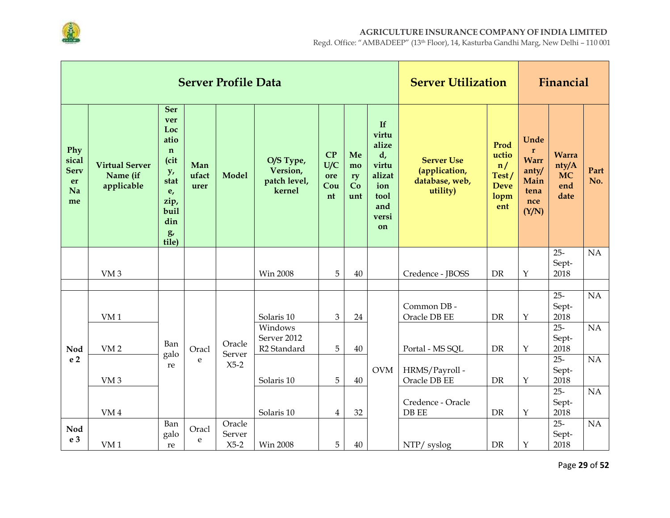

|                                               |                                                 |                                                                                                                  |                      | <b>Server Profile Data</b> |                                                   |                               |                             |                                                                                             | <b>Server Utilization</b>                                        |                                                            |                                                                              | Financial                                         |             |
|-----------------------------------------------|-------------------------------------------------|------------------------------------------------------------------------------------------------------------------|----------------------|----------------------------|---------------------------------------------------|-------------------------------|-----------------------------|---------------------------------------------------------------------------------------------|------------------------------------------------------------------|------------------------------------------------------------|------------------------------------------------------------------------------|---------------------------------------------------|-------------|
| Phy<br>sical<br><b>Serv</b><br>er<br>Na<br>me | <b>Virtual Server</b><br>Name (if<br>applicable | <b>Ser</b><br>ver<br>Loc<br>atio<br>$\mathbf n$<br>(cit<br>y,<br>stat<br>e,<br>zip,<br>buil<br>din<br>g<br>tile) | Man<br>ufact<br>urer | <b>Model</b>               | O/S Type,<br>Version,<br>patch level,<br>kernel   | CP<br>U/C<br>ore<br>Cou<br>nt | Me<br>mo<br>ry<br>Co<br>unt | If<br>virtu<br>alize<br>$d_{\iota}$<br>virtu<br>alizat<br>ion<br>tool<br>and<br>versi<br>on | <b>Server Use</b><br>(application,<br>database, web,<br>utility) | Prod<br>uctio<br>n/<br>Test/<br><b>Deve</b><br>lopm<br>ent | Unde<br>$\mathbf{r}$<br><b>Warr</b><br>anty/<br>Main<br>tena<br>nce<br>(Y/N) | <b>Warra</b><br>nty/A<br><b>MC</b><br>end<br>date | Part<br>No. |
|                                               | VM <sub>3</sub>                                 |                                                                                                                  |                      |                            | Win 2008                                          | 5                             | 40                          |                                                                                             | Credence - JBOSS                                                 | <b>DR</b>                                                  | $\mathbf Y$                                                                  | $25 -$<br>Sept-<br>2018                           | NA          |
|                                               |                                                 |                                                                                                                  |                      |                            |                                                   |                               |                             |                                                                                             |                                                                  |                                                            |                                                                              |                                                   |             |
|                                               | VM <sub>1</sub>                                 |                                                                                                                  |                      |                            | Solaris 10                                        | 3                             | 24                          |                                                                                             | Common DB -<br>Oracle DB EE                                      | <b>DR</b>                                                  | $\mathbf{Y}$                                                                 | $25 -$<br>Sept-<br>2018                           | NA          |
| Nod                                           | VM <sub>2</sub>                                 | Ban<br>galo                                                                                                      | Oracl                | Oracle<br>Server           | Windows<br>Server 2012<br>R <sub>2</sub> Standard | 5                             | 40                          |                                                                                             | Portal - MS SQL                                                  | DR                                                         | $\mathbf Y$                                                                  | $25 -$<br>Sept-<br>2018                           | NA          |
| e <sub>2</sub>                                | VM <sub>3</sub>                                 | re                                                                                                               | e                    | $X5-2$                     | Solaris 10                                        | 5                             | 40                          | <b>OVM</b>                                                                                  | HRMS/Payroll-<br>Oracle DB EE                                    | DR                                                         | $\mathbf Y$                                                                  | $25 -$<br>Sept-<br>2018                           | NA          |
|                                               | $\it VM\,4$                                     |                                                                                                                  |                      |                            | Solaris 10                                        | 4                             | 32                          |                                                                                             | Credence - Oracle<br>DB EE                                       | DR                                                         | $\mathbf Y$                                                                  | $25 -$<br>Sept-<br>2018                           | NA          |
| Nod<br>e 3                                    | VM <sub>1</sub>                                 | Ban<br>galo<br>re                                                                                                | Oracl<br>e           | Oracle<br>Server<br>$X5-2$ | <b>Win 2008</b>                                   | 5                             | 40                          |                                                                                             | NTP/ syslog                                                      | DR                                                         | $\mathbf Y$                                                                  | $25 -$<br>Sept-<br>2018                           | NA          |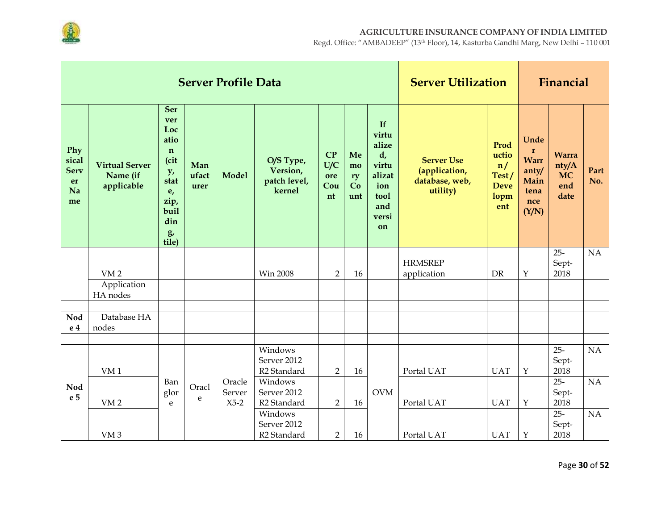

|                                               |                                                 |                                                                                                                  |                      | <b>Server Profile Data</b> |                                                   |                               | <b>Server Utilization</b>   |                                                                                    |                                                                  | Financial                                                  |                                                                              |                                                   |                 |
|-----------------------------------------------|-------------------------------------------------|------------------------------------------------------------------------------------------------------------------|----------------------|----------------------------|---------------------------------------------------|-------------------------------|-----------------------------|------------------------------------------------------------------------------------|------------------------------------------------------------------|------------------------------------------------------------|------------------------------------------------------------------------------|---------------------------------------------------|-----------------|
| Phy<br>sical<br><b>Serv</b><br>er<br>Na<br>me | <b>Virtual Server</b><br>Name (if<br>applicable | <b>Ser</b><br>ver<br>Loc<br>atio<br>$\mathbf n$<br>(cit<br>y,<br>stat<br>e,<br>zip,<br>buil<br>din<br>g<br>tile) | Man<br>ufact<br>urer | <b>Model</b>               | O/S Type,<br>Version,<br>patch level,<br>kernel   | CP<br>U/C<br>ore<br>Cou<br>nt | Me<br>mo<br>ry<br>Co<br>unt | If<br>virtu<br>alize<br>d,<br>virtu<br>alizat<br>ion<br>tool<br>and<br>versi<br>on | <b>Server Use</b><br>(application,<br>database, web,<br>utility) | Prod<br>uctio<br>n/<br>Test/<br><b>Deve</b><br>lopm<br>ent | Unde<br>$\mathbf{r}$<br><b>Warr</b><br>anty/<br>Main<br>tena<br>nce<br>(Y/N) | <b>Warra</b><br>nty/A<br><b>MC</b><br>end<br>date | Part<br>No.     |
|                                               | VM <sub>2</sub>                                 |                                                                                                                  |                      |                            | <b>Win 2008</b>                                   | $\overline{2}$                | 16                          |                                                                                    | <b>HRMSREP</b><br>application                                    | <b>DR</b>                                                  | $\mathbf Y$                                                                  | $25 -$<br>Sept-<br>2018                           | NA              |
|                                               | Application<br>HA nodes                         |                                                                                                                  |                      |                            |                                                   |                               |                             |                                                                                    |                                                                  |                                                            |                                                                              |                                                   |                 |
| Nod<br>e 4                                    | Database HA<br>nodes                            |                                                                                                                  |                      |                            |                                                   |                               |                             |                                                                                    |                                                                  |                                                            |                                                                              |                                                   |                 |
|                                               | VM <sub>1</sub>                                 |                                                                                                                  |                      |                            | Windows<br>Server 2012<br>R <sub>2</sub> Standard | $\overline{2}$                | 16                          |                                                                                    | Portal UAT                                                       | <b>UAT</b>                                                 | Y                                                                            | $25 -$<br>Sept-<br>2018                           | NA              |
| <b>Nod</b><br>e 5                             | VM <sub>2</sub>                                 | Ban<br>glor<br>e                                                                                                 | Oracl<br>e           | Oracle<br>Server<br>$X5-2$ | Windows<br>Server 2012<br>R <sub>2</sub> Standard | $\overline{2}$                | 16                          | <b>OVM</b>                                                                         | Portal UAT                                                       | <b>UAT</b>                                                 | $\mathbf Y$                                                                  | $25 -$<br>Sept-<br>2018                           | NA              |
|                                               | VM <sub>3</sub>                                 |                                                                                                                  |                      |                            | Windows<br>Server 2012<br>R <sub>2</sub> Standard | $\overline{2}$                | 16                          |                                                                                    | Portal UAT                                                       | <b>UAT</b>                                                 | $\mathbf Y$                                                                  | $25 -$<br>Sept-<br>2018                           | $\overline{NA}$ |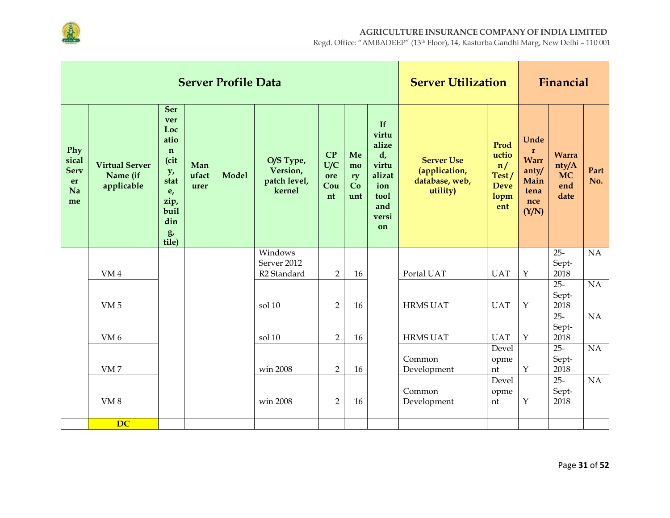

|                                               |                                                 |                                                                                                                  |                      | <b>Server Profile Data</b> |                                                 |                               |                             |                                                                                              | <b>Server Utilization</b>                                        |                                                            |                                                                             | Financial                                         |             |
|-----------------------------------------------|-------------------------------------------------|------------------------------------------------------------------------------------------------------------------|----------------------|----------------------------|-------------------------------------------------|-------------------------------|-----------------------------|----------------------------------------------------------------------------------------------|------------------------------------------------------------------|------------------------------------------------------------|-----------------------------------------------------------------------------|---------------------------------------------------|-------------|
| Phy<br>sical<br><b>Serv</b><br>er<br>Na<br>me | <b>Virtual Server</b><br>Name (if<br>applicable | <b>Ser</b><br>ver<br>Loc<br>atio<br>$\mathbf n$<br>(cit<br>y,<br>stat<br>e,<br>zip,<br>buil<br>din<br>g<br>tile) | Man<br>ufact<br>urer | <b>Model</b>               | O/S Type,<br>Version,<br>patch level,<br>kernel | CP<br>U/C<br>ore<br>Cou<br>nt | Me<br>mo<br>ry<br>Co<br>unt | If<br>virtu<br>alize<br>$d_{\prime}$<br>virtu<br>alizat<br>ion<br>tool<br>and<br>versi<br>on | <b>Server Use</b><br>(application,<br>database, web,<br>utility) | Prod<br>uctio<br>n/<br>Test/<br><b>Deve</b><br>lopm<br>ent | Unde<br>$\mathbf r$<br><b>Warr</b><br>anty/<br>Main<br>tena<br>nce<br>(Y/N) | <b>Warra</b><br>nty/A<br><b>MC</b><br>end<br>date | Part<br>No. |
|                                               |                                                 |                                                                                                                  |                      |                            | Windows<br>Server 2012                          |                               |                             |                                                                                              |                                                                  |                                                            |                                                                             | $25 -$<br>Sept-                                   | NA          |
|                                               | VM <sub>4</sub>                                 |                                                                                                                  |                      |                            | R <sub>2</sub> Standard                         | $\overline{2}$                | 16                          |                                                                                              | Portal UAT                                                       | <b>UAT</b>                                                 | $\mathbf Y$                                                                 | 2018                                              |             |
|                                               | VM <sub>5</sub>                                 |                                                                                                                  |                      |                            | sol 10                                          | $\overline{2}$                | 16                          |                                                                                              | <b>HRMS UAT</b>                                                  | <b>UAT</b>                                                 | Y                                                                           | $25 -$<br>Sept-<br>2018                           | NA          |
|                                               | VM <sub>6</sub>                                 |                                                                                                                  |                      |                            | sol 10                                          | $\overline{2}$                | 16                          |                                                                                              | <b>HRMS UAT</b>                                                  | <b>UAT</b>                                                 | $\mathbf Y$                                                                 | $25 -$<br>Sept-<br>2018                           | NA          |
|                                               | VM <sub>7</sub>                                 |                                                                                                                  |                      |                            | win 2008                                        | $\overline{2}$                | 16                          |                                                                                              | Common<br>Development                                            | Devel<br>opme<br>nt                                        | $\mathbf Y$                                                                 | $25 -$<br>Sept-<br>2018                           | NA          |
|                                               | VM <sub>8</sub>                                 |                                                                                                                  |                      |                            | win 2008                                        | $\overline{2}$                | 16                          |                                                                                              | Common<br>Development                                            | Devel<br>opme<br>nt                                        | Y                                                                           | $25 -$<br>Sept-<br>2018                           | NA          |
|                                               | <b>DC</b>                                       |                                                                                                                  |                      |                            |                                                 |                               |                             |                                                                                              |                                                                  |                                                            |                                                                             |                                                   |             |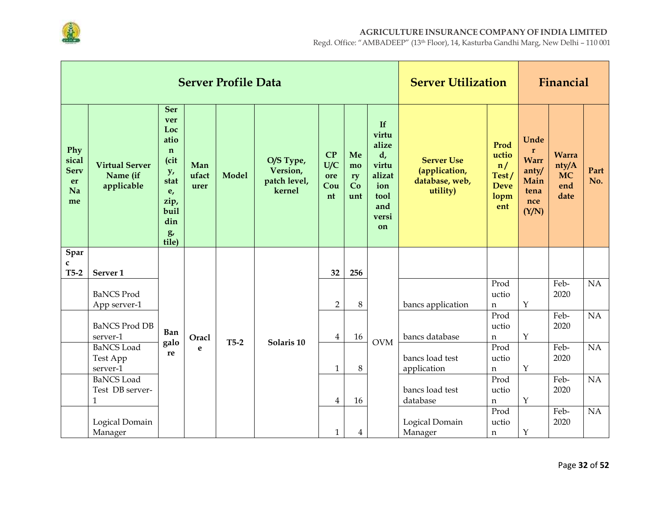

|                                               |                                                 |                                                                                                                  |                      | <b>Server Profile Data</b> |                                                 |                               |                             |                                                                                    | <b>Server Utilization</b>                                        |                                                            |                                                                              | Financial                                         |             |
|-----------------------------------------------|-------------------------------------------------|------------------------------------------------------------------------------------------------------------------|----------------------|----------------------------|-------------------------------------------------|-------------------------------|-----------------------------|------------------------------------------------------------------------------------|------------------------------------------------------------------|------------------------------------------------------------|------------------------------------------------------------------------------|---------------------------------------------------|-------------|
| Phy<br>sical<br><b>Serv</b><br>er<br>Na<br>me | <b>Virtual Server</b><br>Name (if<br>applicable | <b>Ser</b><br>ver<br>Loc<br>atio<br>$\mathbf n$<br>(cit<br>y,<br>stat<br>e,<br>zip,<br>buil<br>din<br>g<br>tile) | Man<br>ufact<br>urer | <b>Model</b>               | O/S Type,<br>Version,<br>patch level,<br>kernel | CP<br>U/C<br>ore<br>Cou<br>nt | Me<br>mo<br>ry<br>Co<br>unt | If<br>virtu<br>alize<br>d,<br>virtu<br>alizat<br>ion<br>tool<br>and<br>versi<br>on | <b>Server Use</b><br>(application,<br>database, web,<br>utility) | Prod<br>uctio<br>n/<br>Test/<br><b>Deve</b><br>lopm<br>ent | Unde<br>$\mathbf{r}$<br><b>Warr</b><br>anty/<br>Main<br>tena<br>nce<br>(Y/N) | <b>Warra</b><br>nty/A<br><b>MC</b><br>end<br>date | Part<br>No. |
| Spar<br>c                                     |                                                 |                                                                                                                  |                      |                            |                                                 |                               |                             |                                                                                    |                                                                  |                                                            |                                                                              |                                                   |             |
| $T5-2$                                        | Server <sub>1</sub>                             |                                                                                                                  |                      |                            |                                                 | 32                            | 256                         |                                                                                    |                                                                  |                                                            |                                                                              |                                                   |             |
|                                               |                                                 |                                                                                                                  |                      |                            |                                                 |                               |                             |                                                                                    |                                                                  | Prod                                                       |                                                                              | Feb-                                              | NA          |
|                                               | <b>BaNCS Prod</b>                               |                                                                                                                  |                      |                            |                                                 | $\overline{2}$                | 8                           |                                                                                    | bancs application                                                | uctio                                                      | $\mathbf Y$                                                                  | 2020                                              |             |
|                                               | App server-1                                    |                                                                                                                  |                      |                            |                                                 |                               |                             |                                                                                    |                                                                  | n<br>Prod                                                  |                                                                              | Feb-                                              | NA          |
|                                               | <b>BaNCS Prod DB</b>                            |                                                                                                                  |                      |                            |                                                 |                               |                             |                                                                                    |                                                                  | uctio                                                      |                                                                              | 2020                                              |             |
|                                               | server-1                                        | Ban                                                                                                              | Oracl                | $T5-2$                     | Solaris 10                                      | $\overline{4}$                | 16                          | <b>OVM</b>                                                                         | bancs database                                                   | n                                                          | $\mathbf Y$                                                                  |                                                   |             |
|                                               | <b>BaNCS</b> Load                               | galo<br>re                                                                                                       | e                    |                            |                                                 |                               |                             |                                                                                    |                                                                  | Prod                                                       |                                                                              | Feb-                                              | NA          |
|                                               | Test App                                        |                                                                                                                  |                      |                            |                                                 |                               |                             |                                                                                    | bancs load test                                                  | uctio                                                      |                                                                              | 2020                                              |             |
|                                               | server-1                                        |                                                                                                                  |                      |                            |                                                 | $\mathbf{1}$                  | 8                           |                                                                                    | application                                                      | $\mathbf n$                                                | $\mathbf{Y}$                                                                 |                                                   |             |
|                                               | <b>BaNCS</b> Load<br>Test DB server-            |                                                                                                                  |                      |                            |                                                 |                               |                             |                                                                                    | bancs load test                                                  | Prod<br>uctio                                              |                                                                              | Feb-<br>2020                                      | NA          |
|                                               | $\mathbf{1}$                                    |                                                                                                                  |                      |                            |                                                 | $\overline{4}$                | 16                          |                                                                                    | database                                                         | $\mathbf n$                                                | $\mathbf Y$                                                                  |                                                   |             |
|                                               |                                                 |                                                                                                                  |                      |                            |                                                 |                               |                             |                                                                                    |                                                                  | Prod                                                       |                                                                              | Feb-                                              | NA          |
|                                               | Logical Domain                                  |                                                                                                                  |                      |                            |                                                 |                               |                             |                                                                                    | Logical Domain                                                   | uctio                                                      |                                                                              | 2020                                              |             |
|                                               | Manager                                         |                                                                                                                  |                      |                            |                                                 | $\mathbf{1}$                  | 4                           |                                                                                    | Manager                                                          | n                                                          | $\mathbf Y$                                                                  |                                                   |             |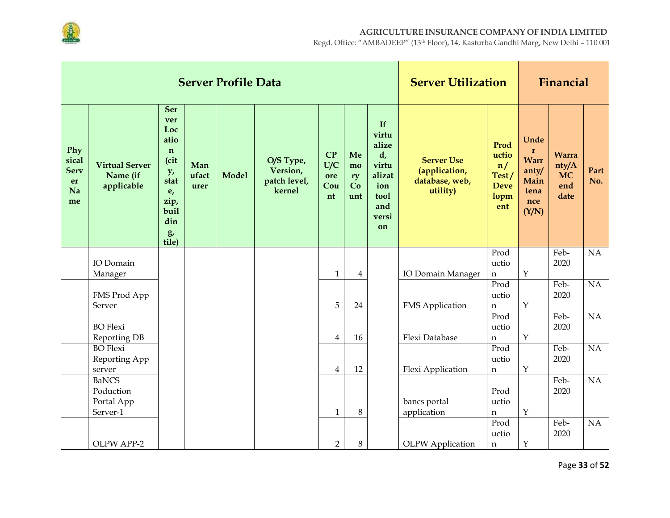

|                                               |                                                     |                                                                                                               |                      | <b>Server Profile Data</b> |                                                 |                               |                             |                                                                                              | <b>Server Utilization</b>                                        |                                                            |                                                                              | Financial                                         |                 |
|-----------------------------------------------|-----------------------------------------------------|---------------------------------------------------------------------------------------------------------------|----------------------|----------------------------|-------------------------------------------------|-------------------------------|-----------------------------|----------------------------------------------------------------------------------------------|------------------------------------------------------------------|------------------------------------------------------------|------------------------------------------------------------------------------|---------------------------------------------------|-----------------|
| Phy<br>sical<br><b>Serv</b><br>er<br>Na<br>me | <b>Virtual Server</b><br>Name (if<br>applicable     | Ser<br>ver<br>Loc<br>atio<br>$\mathbf n$<br>(cit<br>y,<br>stat<br>e,<br>zip,<br>buil<br>din<br>$g$ ,<br>tile) | Man<br>ufact<br>urer | <b>Model</b>               | O/S Type,<br>Version,<br>patch level,<br>kernel | CP<br>U/C<br>ore<br>Cou<br>nt | Me<br>mo<br>ry<br>Co<br>unt | If<br>virtu<br>alize<br>$d_{\prime}$<br>virtu<br>alizat<br>ion<br>tool<br>and<br>versi<br>on | <b>Server Use</b><br>(application,<br>database, web,<br>utility) | Prod<br>uctio<br>n/<br>Test/<br><b>Deve</b><br>lopm<br>ent | Unde<br>$\mathbf{r}$<br><b>Warr</b><br>anty/<br>Main<br>tena<br>nce<br>(Y/N) | <b>Warra</b><br>nty/A<br><b>MC</b><br>end<br>date | Part<br>No.     |
|                                               | IO Domain<br>Manager                                |                                                                                                               |                      |                            |                                                 | $\mathbf{1}$                  | $\overline{4}$              |                                                                                              | IO Domain Manager                                                | Prod<br>uctio<br>n                                         | $\mathbf Y$                                                                  | Feb-<br>2020                                      | NA              |
|                                               | FMS Prod App<br>Server                              |                                                                                                               |                      |                            |                                                 | 5                             | 24                          |                                                                                              | <b>FMS</b> Application                                           | Prod<br>uctio<br>n                                         | $\mathbf Y$                                                                  | Feb-<br>2020                                      | $\overline{NA}$ |
|                                               | <b>BO</b> Flexi<br>Reporting DB                     |                                                                                                               |                      |                            |                                                 | $\overline{4}$                | 16                          |                                                                                              | Flexi Database                                                   | Prod<br>uctio<br>$\mathbf n$                               | $\mathbf{Y}$                                                                 | Feb-<br>2020                                      | $\overline{NA}$ |
|                                               | <b>BO</b> Flexi<br>Reporting App<br>server          |                                                                                                               |                      |                            |                                                 | $\overline{4}$                | 12                          |                                                                                              | Flexi Application                                                | Prod<br>uctio<br>$\mathbf n$                               | $\mathbf Y$                                                                  | Feb-<br>2020                                      | $\overline{NA}$ |
|                                               | <b>BaNCS</b><br>Poduction<br>Portal App<br>Server-1 |                                                                                                               |                      |                            |                                                 | $\mathbf{1}$                  | $\,8\,$                     |                                                                                              | bancs portal<br>application                                      | Prod<br>uctio<br>n                                         | $\mathbf Y$                                                                  | Feb-<br>2020                                      | NA              |
|                                               | OLPW APP-2                                          |                                                                                                               |                      |                            |                                                 | $\overline{2}$                | 8                           |                                                                                              | <b>OLPW</b> Application                                          | Prod<br>uctio<br>n                                         | $\mathbf Y$                                                                  | Feb-<br>2020                                      | NA              |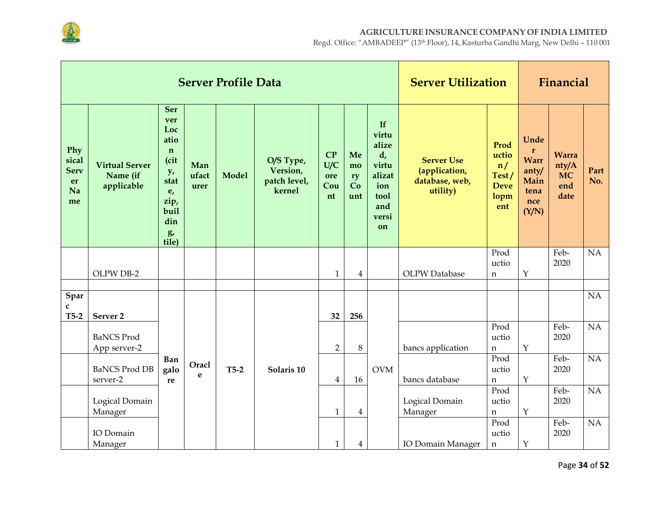

|                                               |                                                 |                                                                                                           |                      | <b>Server Profile Data</b> |                                                 |                               |                             |                                                                                    | <b>Server Utilization</b>                                        |                                                            |                                                                             | Financial                                         |             |
|-----------------------------------------------|-------------------------------------------------|-----------------------------------------------------------------------------------------------------------|----------------------|----------------------------|-------------------------------------------------|-------------------------------|-----------------------------|------------------------------------------------------------------------------------|------------------------------------------------------------------|------------------------------------------------------------|-----------------------------------------------------------------------------|---------------------------------------------------|-------------|
| Phy<br>sical<br><b>Serv</b><br>er<br>Na<br>me | <b>Virtual Server</b><br>Name (if<br>applicable | Ser<br>ver<br>Loc<br>atio<br>$\mathbf n$<br>(cit<br>y,<br>stat<br>e,<br>zip,<br>buil<br>din<br>g<br>tile) | Man<br>ufact<br>urer | <b>Model</b>               | O/S Type,<br>Version,<br>patch level,<br>kernel | CP<br>U/C<br>ore<br>Cou<br>nt | Me<br>mo<br>ry<br>Co<br>unt | If<br>virtu<br>alize<br>d,<br>virtu<br>alizat<br>ion<br>tool<br>and<br>versi<br>on | <b>Server Use</b><br>(application,<br>database, web,<br>utility) | Prod<br>uctio<br>n/<br>Test/<br><b>Deve</b><br>lopm<br>ent | Unde<br>$\mathbf r$<br><b>Warr</b><br>anty/<br>Main<br>tena<br>nce<br>(Y/N) | <b>Warra</b><br>nty/A<br><b>MC</b><br>end<br>date | Part<br>No. |
|                                               |                                                 |                                                                                                           |                      |                            |                                                 |                               |                             |                                                                                    |                                                                  | Prod<br>uctio                                              |                                                                             | Feb-<br>2020                                      | NA          |
|                                               | OLPW DB-2                                       |                                                                                                           |                      |                            |                                                 | $\mathbf{1}$                  | $\overline{4}$              |                                                                                    | <b>OLPW</b> Database                                             | n                                                          | $\mathbf Y$                                                                 |                                                   |             |
| Spar                                          |                                                 |                                                                                                           |                      |                            |                                                 |                               |                             |                                                                                    |                                                                  |                                                            |                                                                             |                                                   | NA          |
| C<br>$T5-2$                                   | Server <sub>2</sub>                             |                                                                                                           |                      |                            |                                                 | 32                            | 256                         |                                                                                    |                                                                  |                                                            |                                                                             |                                                   |             |
|                                               | <b>BaNCS Prod</b><br>App server-2               |                                                                                                           |                      |                            |                                                 | $\overline{2}$                | 8                           |                                                                                    | bancs application                                                | Prod<br>uctio<br>n                                         | $\mathbf Y$                                                                 | Feb-<br>2020                                      | NA          |
|                                               | <b>BaNCS Prod DB</b><br>server-2                | Ban<br>galo<br>re                                                                                         | Oracl<br>e           | $T5-2$                     | Solaris 10                                      | $\overline{4}$                | 16                          | <b>OVM</b>                                                                         | bancs database                                                   | Prod<br>uctio<br>n                                         | $\mathbf Y$                                                                 | Feb-<br>2020                                      | NA          |
|                                               | Logical Domain<br>Manager                       |                                                                                                           |                      |                            |                                                 | $\mathbf{1}$                  | $\overline{4}$              |                                                                                    | Logical Domain<br>Manager                                        | Prod<br>uctio<br>n                                         | $\mathbf Y$                                                                 | Feb-<br>2020                                      | NA          |
|                                               | IO Domain<br>Manager                            |                                                                                                           |                      |                            |                                                 | $\mathbf{1}$                  | $\overline{4}$              |                                                                                    | <b>IO Domain Manager</b>                                         | Prod<br>uctio<br>n                                         | $\mathbf Y$                                                                 | Feb-<br>2020                                      | NA          |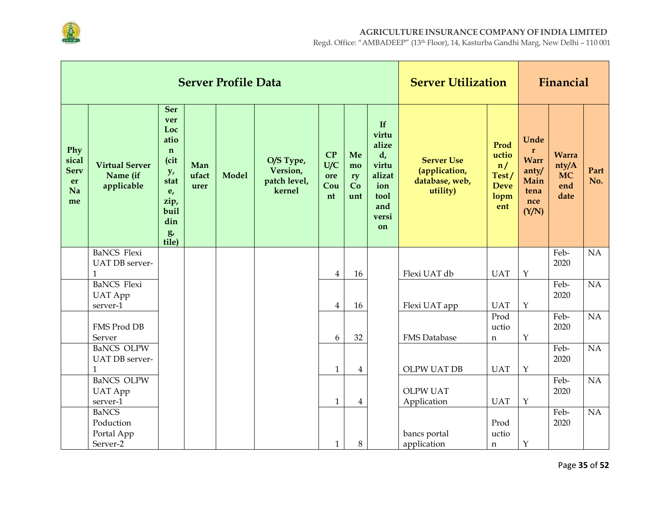

|                                               |                                                      |                                                                                                                  |                      | <b>Server Profile Data</b> |                                                 |                               |                             |                                                                                    | <b>Server Utilization</b>                                        |                                                            |                                                                             | Financial                                         |                 |
|-----------------------------------------------|------------------------------------------------------|------------------------------------------------------------------------------------------------------------------|----------------------|----------------------------|-------------------------------------------------|-------------------------------|-----------------------------|------------------------------------------------------------------------------------|------------------------------------------------------------------|------------------------------------------------------------|-----------------------------------------------------------------------------|---------------------------------------------------|-----------------|
| Phy<br>sical<br><b>Serv</b><br>er<br>Na<br>me | <b>Virtual Server</b><br>Name (if<br>applicable      | <b>Ser</b><br>ver<br>Loc<br>atio<br>$\mathbf n$<br>(cit<br>y,<br>stat<br>e,<br>zip,<br>buil<br>din<br>g<br>tile) | Man<br>ufact<br>urer | <b>Model</b>               | O/S Type,<br>Version,<br>patch level,<br>kernel | CP<br>U/C<br>ore<br>Cou<br>nt | Me<br>mo<br>ry<br>Co<br>unt | If<br>virtu<br>alize<br>d,<br>virtu<br>alizat<br>ion<br>tool<br>and<br>versi<br>on | <b>Server Use</b><br>(application,<br>database, web,<br>utility) | Prod<br>uctio<br>n/<br>Test/<br><b>Deve</b><br>lopm<br>ent | Unde<br>$\mathbf r$<br><b>Warr</b><br>anty/<br>Main<br>tena<br>nce<br>(Y/N) | <b>Warra</b><br>nty/A<br><b>MC</b><br>end<br>date | Part<br>No.     |
|                                               | <b>BaNCS</b> Flexi<br>UAT DB server-<br>$\mathbf{1}$ |                                                                                                                  |                      |                            |                                                 | $\overline{4}$                | 16                          |                                                                                    | Flexi UAT db                                                     | <b>UAT</b>                                                 | $\mathbf Y$                                                                 | Feb-<br>2020                                      | NA              |
|                                               | <b>BaNCS</b> Flexi                                   |                                                                                                                  |                      |                            |                                                 |                               |                             |                                                                                    |                                                                  |                                                            |                                                                             | Feb-                                              | NA              |
|                                               | <b>UAT</b> App<br>server-1                           |                                                                                                                  |                      |                            |                                                 | $\overline{4}$                | 16                          |                                                                                    | Flexi UAT app                                                    | <b>UAT</b>                                                 | $\mathbf Y$                                                                 | 2020                                              |                 |
|                                               | FMS Prod DB<br>Server                                |                                                                                                                  |                      |                            |                                                 | 6                             | 32                          |                                                                                    | <b>FMS</b> Database                                              | Prod<br>uctio<br>n                                         | $\mathbf Y$                                                                 | Feb-<br>2020                                      | $\overline{NA}$ |
|                                               | <b>BaNCS OLPW</b><br>UAT DB server-<br>$\mathbf{1}$  |                                                                                                                  |                      |                            |                                                 | $\mathbf{1}$                  | 4                           |                                                                                    | <b>OLPW UAT DB</b>                                               | <b>UAT</b>                                                 | $\mathbf Y$                                                                 | Feb-<br>2020                                      | NA              |
|                                               | <b>BaNCS OLPW</b><br><b>UAT App</b><br>server-1      |                                                                                                                  |                      |                            |                                                 | $\mathbf{1}$                  | $\overline{4}$              |                                                                                    | <b>OLPW UAT</b><br>Application                                   | <b>UAT</b>                                                 | $\mathbf Y$                                                                 | Feb-<br>2020                                      | NA              |
|                                               | <b>BaNCS</b><br>Poduction<br>Portal App<br>Server-2  |                                                                                                                  |                      |                            |                                                 | $\mathbf{1}$                  | 8                           |                                                                                    | bancs portal<br>application                                      | Prod<br>uctio<br>n                                         | $\mathbf Y$                                                                 | Feb-<br>2020                                      | NA              |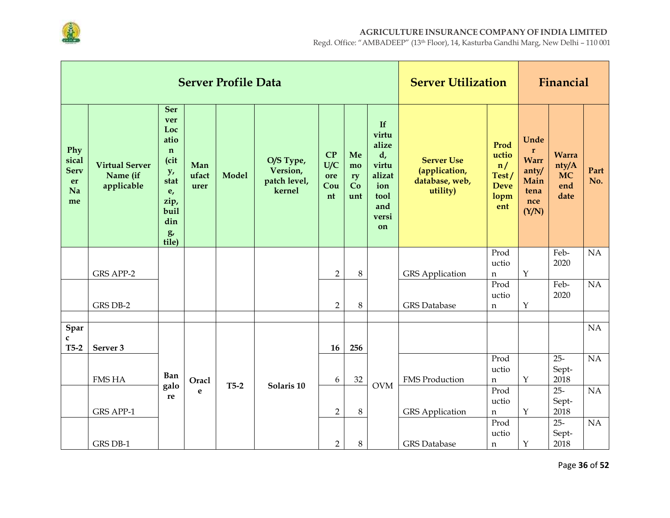

|                                               |                                                 |                                                                                                                      |                      | <b>Server Profile Data</b> |                                                 |                               |                             |                                                                                    | <b>Server Utilization</b>                                        |                                                            |                                                                              | Financial                                         |                 |
|-----------------------------------------------|-------------------------------------------------|----------------------------------------------------------------------------------------------------------------------|----------------------|----------------------------|-------------------------------------------------|-------------------------------|-----------------------------|------------------------------------------------------------------------------------|------------------------------------------------------------------|------------------------------------------------------------|------------------------------------------------------------------------------|---------------------------------------------------|-----------------|
| Phy<br>sical<br><b>Serv</b><br>er<br>Na<br>me | <b>Virtual Server</b><br>Name (if<br>applicable | <b>Ser</b><br>ver<br>Loc<br>atio<br>$\mathbf n$<br>(cit<br>y,<br>stat<br>e,<br>zip,<br>buil<br>din<br>$g$ ,<br>tile) | Man<br>ufact<br>urer | <b>Model</b>               | O/S Type,<br>Version,<br>patch level,<br>kernel | CP<br>U/C<br>ore<br>Cou<br>nt | Me<br>mo<br>ry<br>Co<br>unt | If<br>virtu<br>alize<br>d,<br>virtu<br>alizat<br>ion<br>tool<br>and<br>versi<br>on | <b>Server Use</b><br>(application,<br>database, web,<br>utility) | Prod<br>uctio<br>n/<br>Test/<br><b>Deve</b><br>lopm<br>ent | Unde<br>$\mathbf{r}$<br><b>Warr</b><br>anty/<br>Main<br>tena<br>nce<br>(Y/N) | <b>Warra</b><br>nty/A<br><b>MC</b><br>end<br>date | Part<br>No.     |
|                                               |                                                 |                                                                                                                      |                      |                            |                                                 |                               |                             |                                                                                    |                                                                  | Prod<br>uctio                                              |                                                                              | Feb-<br>2020                                      | NA              |
|                                               | <b>GRS APP-2</b>                                |                                                                                                                      |                      |                            |                                                 | $\overline{2}$                | $8\,$                       |                                                                                    | <b>GRS</b> Application                                           | n                                                          | $\mathbf Y$                                                                  |                                                   |                 |
|                                               |                                                 |                                                                                                                      |                      |                            |                                                 |                               |                             |                                                                                    |                                                                  | Prod<br>uctio                                              |                                                                              | Feb-<br>2020                                      | NA              |
|                                               | GRS DB-2                                        |                                                                                                                      |                      |                            |                                                 | $\overline{2}$                | 8                           |                                                                                    | <b>GRS</b> Database                                              | n                                                          | $\mathbf Y$                                                                  |                                                   |                 |
|                                               |                                                 |                                                                                                                      |                      |                            |                                                 |                               |                             |                                                                                    |                                                                  |                                                            |                                                                              |                                                   |                 |
| Spar<br>C<br>$T5-2$                           | Server 3                                        |                                                                                                                      |                      |                            |                                                 | 16                            | 256                         |                                                                                    |                                                                  |                                                            |                                                                              |                                                   | $\overline{NA}$ |
|                                               |                                                 |                                                                                                                      |                      |                            |                                                 |                               |                             |                                                                                    |                                                                  | Prod                                                       |                                                                              | $25 -$                                            | $\overline{NA}$ |
|                                               | <b>FMS HA</b>                                   | Ban                                                                                                                  | Oracl                |                            |                                                 | 6                             | 32                          |                                                                                    | <b>FMS Production</b>                                            | uctio<br>$\mathbf n$                                       | $\mathbf Y$                                                                  | Sept-<br>2018                                     |                 |
|                                               |                                                 | galo                                                                                                                 | e                    | $T5-2$                     | Solaris 10                                      |                               |                             | <b>OVM</b>                                                                         |                                                                  | Prod                                                       |                                                                              | $25 -$                                            | NA              |
|                                               |                                                 | re                                                                                                                   |                      |                            |                                                 |                               |                             |                                                                                    |                                                                  | uctio                                                      |                                                                              | Sept-                                             |                 |
|                                               | <b>GRS APP-1</b>                                |                                                                                                                      |                      |                            |                                                 | $\overline{2}$                | $\,8\,$                     |                                                                                    | <b>GRS</b> Application                                           | $\mathbf n$<br>Prod                                        | $\mathbf Y$                                                                  | 2018<br>$25 -$                                    | NA              |
|                                               |                                                 |                                                                                                                      |                      |                            |                                                 |                               |                             |                                                                                    |                                                                  | uctio                                                      |                                                                              | Sept-                                             |                 |
|                                               | GRS DB-1                                        |                                                                                                                      |                      |                            |                                                 | $\overline{2}$                | 8                           |                                                                                    | <b>GRS</b> Database                                              | n                                                          | $\mathbf Y$                                                                  | 2018                                              |                 |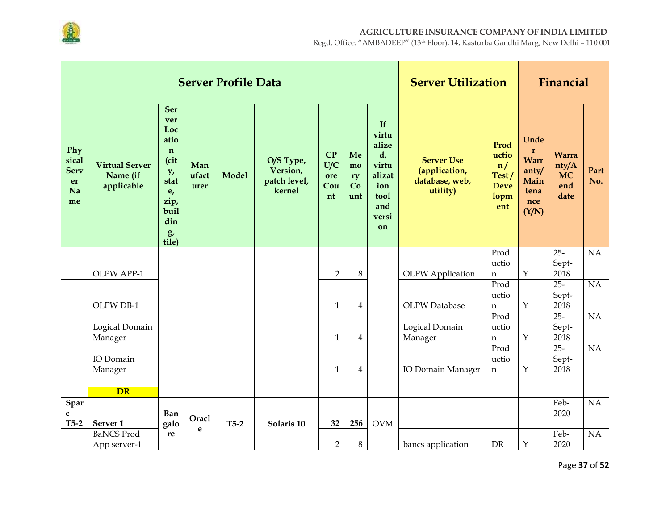

|                                               |                                                 |                                                                                                                  |                      | <b>Server Profile Data</b> |                                                 |                               |                             |                                                                                    | <b>Server Utilization</b>                                        |                                                            |                                                                             | Financial                                         |                 |
|-----------------------------------------------|-------------------------------------------------|------------------------------------------------------------------------------------------------------------------|----------------------|----------------------------|-------------------------------------------------|-------------------------------|-----------------------------|------------------------------------------------------------------------------------|------------------------------------------------------------------|------------------------------------------------------------|-----------------------------------------------------------------------------|---------------------------------------------------|-----------------|
| Phy<br>sical<br><b>Serv</b><br>er<br>Na<br>me | <b>Virtual Server</b><br>Name (if<br>applicable | <b>Ser</b><br>ver<br>Loc<br>atio<br>$\mathbf n$<br>(cit<br>y,<br>stat<br>e,<br>zip,<br>buil<br>din<br>g<br>tile) | Man<br>ufact<br>urer | <b>Model</b>               | O/S Type,<br>Version,<br>patch level,<br>kernel | CP<br>U/C<br>ore<br>Cou<br>nt | Me<br>mo<br>ry<br>Co<br>unt | If<br>virtu<br>alize<br>d,<br>virtu<br>alizat<br>ion<br>tool<br>and<br>versi<br>on | <b>Server Use</b><br>(application,<br>database, web,<br>utility) | Prod<br>uctio<br>n/<br>Test/<br><b>Deve</b><br>lopm<br>ent | Unde<br>$\mathbf r$<br><b>Warr</b><br>anty/<br>Main<br>tena<br>nce<br>(Y/N) | <b>Warra</b><br>nty/A<br><b>MC</b><br>end<br>date | Part<br>No.     |
|                                               |                                                 |                                                                                                                  |                      |                            |                                                 |                               |                             |                                                                                    |                                                                  | Prod<br>uctio                                              |                                                                             | $25 -$<br>Sept-                                   | $\overline{NA}$ |
|                                               | OLPW APP-1                                      |                                                                                                                  |                      |                            |                                                 | $\overline{2}$                | 8                           |                                                                                    | <b>OLPW</b> Application                                          | $\mathbf n$                                                | $\mathbf Y$                                                                 | 2018                                              |                 |
|                                               |                                                 |                                                                                                                  |                      |                            |                                                 |                               |                             |                                                                                    |                                                                  | Prod<br>uctio                                              |                                                                             | $25 -$<br>Sept-                                   | NA              |
|                                               | OLPW DB-1                                       |                                                                                                                  |                      |                            |                                                 | $\mathbf{1}$                  | 4                           |                                                                                    | <b>OLPW</b> Database                                             | $\mathbf n$                                                | $\mathbf Y$                                                                 | 2018                                              |                 |
|                                               | Logical Domain<br>Manager                       |                                                                                                                  |                      |                            |                                                 | $\mathbf{1}$                  | $\overline{4}$              |                                                                                    | Logical Domain<br>Manager                                        | Prod<br>uctio<br>$\mathbf n$                               | $\mathbf Y$                                                                 | $25 -$<br>Sept-<br>2018                           | $\overline{NA}$ |
|                                               |                                                 |                                                                                                                  |                      |                            |                                                 |                               |                             |                                                                                    |                                                                  | Prod                                                       |                                                                             | $25 -$                                            | N <sub>A</sub>  |
|                                               | IO Domain<br>Manager                            |                                                                                                                  |                      |                            |                                                 | $\mathbf{1}$                  |                             |                                                                                    | <b>IO Domain Manager</b>                                         | uctio                                                      | $\mathbf Y$                                                                 | Sept-<br>2018                                     |                 |
|                                               |                                                 |                                                                                                                  |                      |                            |                                                 |                               | 4                           |                                                                                    |                                                                  | $\mathbf n$                                                |                                                                             |                                                   |                 |
|                                               | <b>DR</b>                                       |                                                                                                                  |                      |                            |                                                 |                               |                             |                                                                                    |                                                                  |                                                            |                                                                             |                                                   |                 |
| Spar<br>$\mathbf{C}$                          |                                                 | <b>Ban</b>                                                                                                       | Oracl                |                            |                                                 |                               |                             |                                                                                    |                                                                  |                                                            |                                                                             | Feb-<br>2020                                      | NA              |
| $T5-2$                                        | Server <sub>1</sub><br><b>BaNCS Prod</b>        | galo<br>re                                                                                                       | e                    | $T5-2$                     | Solaris 10                                      | 32                            | 256                         | <b>OVM</b>                                                                         |                                                                  |                                                            |                                                                             | Feb-                                              | NA              |
|                                               | App server-1                                    |                                                                                                                  |                      |                            |                                                 | $\overline{2}$                | 8                           |                                                                                    | bancs application                                                | <b>DR</b>                                                  | $\mathbf Y$                                                                 | 2020                                              |                 |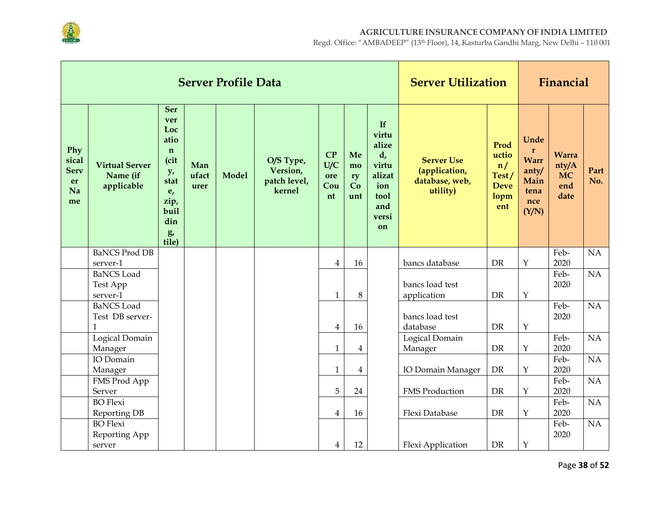

|                                               |                                                 |                                                                                                                              |                      | <b>Server Profile Data</b> |                                                 |                               |                             |                                                                                              | <b>Server Utilization</b>                                        |                                                            |                                                                              | Financial                                         |             |
|-----------------------------------------------|-------------------------------------------------|------------------------------------------------------------------------------------------------------------------------------|----------------------|----------------------------|-------------------------------------------------|-------------------------------|-----------------------------|----------------------------------------------------------------------------------------------|------------------------------------------------------------------|------------------------------------------------------------|------------------------------------------------------------------------------|---------------------------------------------------|-------------|
| Phy<br>sical<br><b>Serv</b><br>er<br>Na<br>me | <b>Virtual Server</b><br>Name (if<br>applicable | <b>Ser</b><br>ver<br>Loc<br>atio<br>$\mathbf n$<br>(cit<br>y <sub>r</sub><br>stat<br>e,<br>zip,<br>buil<br>din<br>g<br>tile) | Man<br>ufact<br>urer | <b>Model</b>               | O/S Type,<br>Version,<br>patch level,<br>kernel | CP<br>U/C<br>ore<br>Cou<br>nt | Me<br>mo<br>ry<br>Co<br>unt | If<br>virtu<br>alize<br>$d_{\prime}$<br>virtu<br>alizat<br>ion<br>tool<br>and<br>versi<br>on | <b>Server Use</b><br>(application,<br>database, web,<br>utility) | Prod<br>uctio<br>n/<br>Test/<br><b>Deve</b><br>lopm<br>ent | Unde<br>$\mathbf{r}$<br><b>Warr</b><br>anty/<br>Main<br>tena<br>nce<br>(Y/N) | <b>Warra</b><br>nty/A<br><b>MC</b><br>end<br>date | Part<br>No. |
|                                               | <b>BaNCS Prod DB</b><br>server-1                |                                                                                                                              |                      |                            |                                                 | $\overline{4}$                | 16                          |                                                                                              | bancs database                                                   | <b>DR</b>                                                  | Y                                                                            | Feb-<br>2020                                      | NA          |
|                                               | <b>BaNCS</b> Load                               |                                                                                                                              |                      |                            |                                                 |                               |                             |                                                                                              |                                                                  |                                                            |                                                                              | Feb-                                              | NA          |
|                                               | Test App                                        |                                                                                                                              |                      |                            |                                                 |                               |                             |                                                                                              | bancs load test                                                  |                                                            |                                                                              | 2020                                              |             |
|                                               | server-1<br><b>BaNCS</b> Load                   |                                                                                                                              |                      |                            |                                                 | $\mathbf{1}$                  | 8                           |                                                                                              | application                                                      | <b>DR</b>                                                  | $\mathbf Y$                                                                  | Feb-                                              | NA          |
|                                               | Test DB server-                                 |                                                                                                                              |                      |                            |                                                 |                               |                             |                                                                                              | bancs load test                                                  |                                                            |                                                                              | 2020                                              |             |
|                                               | $\mathbf{1}$                                    |                                                                                                                              |                      |                            |                                                 | $\overline{4}$                | 16                          |                                                                                              | database                                                         | <b>DR</b>                                                  | $\mathbf Y$                                                                  |                                                   |             |
|                                               | Logical Domain                                  |                                                                                                                              |                      |                            |                                                 |                               |                             |                                                                                              | Logical Domain                                                   |                                                            |                                                                              | Feb-                                              | NA          |
|                                               | Manager                                         |                                                                                                                              |                      |                            |                                                 | $\mathbf{1}$                  | $\overline{4}$              |                                                                                              | Manager                                                          | <b>DR</b>                                                  | $\mathbf Y$                                                                  | 2020                                              |             |
|                                               | IO Domain                                       |                                                                                                                              |                      |                            |                                                 |                               |                             |                                                                                              |                                                                  |                                                            |                                                                              | Feb-                                              | NA          |
|                                               | Manager                                         |                                                                                                                              |                      |                            |                                                 | $\mathbf{1}$                  | $\overline{4}$              |                                                                                              | IO Domain Manager                                                | DR                                                         | $\mathbf Y$                                                                  | 2020                                              |             |
|                                               | FMS Prod App                                    |                                                                                                                              |                      |                            |                                                 | 5                             |                             |                                                                                              |                                                                  |                                                            |                                                                              | Feb-                                              | NA          |
|                                               | Server<br><b>BO</b> Flexi                       |                                                                                                                              |                      |                            |                                                 |                               | 24                          |                                                                                              | <b>FMS Production</b>                                            | <b>DR</b>                                                  | $\mathbf{Y}$                                                                 | 2020<br>Feb-                                      | NA          |
|                                               | Reporting DB                                    |                                                                                                                              |                      |                            |                                                 | $\overline{4}$                | 16                          |                                                                                              | Flexi Database                                                   | DR                                                         | $\mathbf Y$                                                                  | 2020                                              |             |
|                                               | <b>BO</b> Flexi                                 |                                                                                                                              |                      |                            |                                                 |                               |                             |                                                                                              |                                                                  |                                                            |                                                                              | Feb-                                              | NA          |
|                                               | Reporting App                                   |                                                                                                                              |                      |                            |                                                 |                               |                             |                                                                                              |                                                                  |                                                            |                                                                              | 2020                                              |             |
|                                               | server                                          |                                                                                                                              |                      |                            |                                                 | $\overline{4}$                | 12                          |                                                                                              | Flexi Application                                                | DR                                                         | $\mathbf Y$                                                                  |                                                   |             |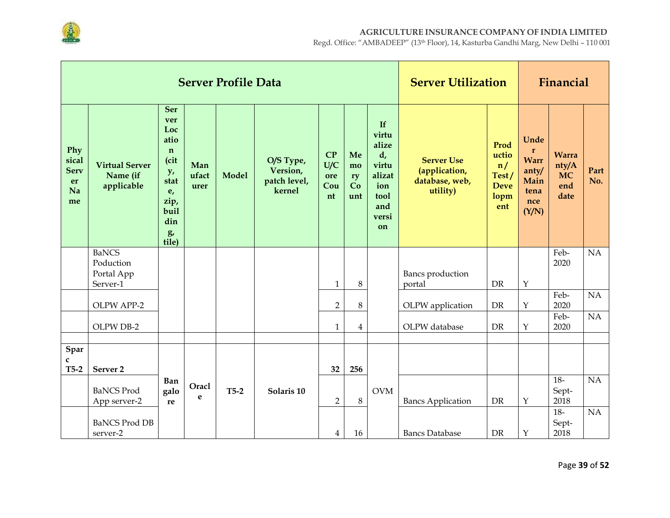

|                                               |                                                 |                                                                                                                  |                      | <b>Server Profile Data</b> |                                                 |                               | <b>Server Utilization</b>   |                                                                                             |                                                                  | Financial                                                  |                                                                              |                                                   |             |
|-----------------------------------------------|-------------------------------------------------|------------------------------------------------------------------------------------------------------------------|----------------------|----------------------------|-------------------------------------------------|-------------------------------|-----------------------------|---------------------------------------------------------------------------------------------|------------------------------------------------------------------|------------------------------------------------------------|------------------------------------------------------------------------------|---------------------------------------------------|-------------|
| Phy<br>sical<br><b>Serv</b><br>er<br>Na<br>me | <b>Virtual Server</b><br>Name (if<br>applicable | <b>Ser</b><br>ver<br>Loc<br>atio<br>$\mathbf n$<br>(cit<br>y,<br>stat<br>e,<br>zip,<br>buil<br>din<br>g<br>tile) | Man<br>ufact<br>urer | <b>Model</b>               | O/S Type,<br>Version,<br>patch level,<br>kernel | CP<br>U/C<br>ore<br>Cou<br>nt | Me<br>mo<br>ry<br>Co<br>unt | If<br>virtu<br>alize<br>$d_{\iota}$<br>virtu<br>alizat<br>ion<br>tool<br>and<br>versi<br>on | <b>Server Use</b><br>(application,<br>database, web,<br>utility) | Prod<br>uctio<br>n/<br>Test/<br><b>Deve</b><br>lopm<br>ent | Unde<br>$\mathbf{r}$<br><b>Warr</b><br>anty/<br>Main<br>tena<br>nce<br>(Y/N) | <b>Warra</b><br>nty/A<br><b>MC</b><br>end<br>date | Part<br>No. |
|                                               | <b>BaNCS</b><br>Poduction                       |                                                                                                                  |                      |                            |                                                 |                               |                             |                                                                                             |                                                                  |                                                            |                                                                              | Feb-<br>2020                                      | NA          |
|                                               | Portal App<br>Server-1                          |                                                                                                                  |                      |                            |                                                 | $\mathbf{1}$                  | 8                           |                                                                                             | Bancs production<br>portal                                       | DR                                                         | $\mathbf Y$                                                                  |                                                   |             |
|                                               | OLPW APP-2                                      |                                                                                                                  |                      |                            |                                                 | $\overline{2}$                | 8                           |                                                                                             | OLPW application                                                 | <b>DR</b>                                                  | $\mathbf Y$                                                                  | Feb-<br>2020                                      | NA          |
|                                               | OLPW DB-2                                       |                                                                                                                  |                      |                            |                                                 | $\mathbf{1}$                  | $\overline{4}$              |                                                                                             | OLPW database                                                    | <b>DR</b>                                                  | $\mathbf Y$                                                                  | Feb-<br>2020                                      | NA          |
| Spar                                          |                                                 |                                                                                                                  |                      |                            |                                                 |                               |                             |                                                                                             |                                                                  |                                                            |                                                                              |                                                   |             |
| C<br>$T5-2$                                   | Server <sub>2</sub>                             |                                                                                                                  |                      |                            |                                                 | 32                            | 256                         |                                                                                             |                                                                  |                                                            |                                                                              |                                                   |             |
|                                               | <b>BaNCS Prod</b><br>App server-2               | Ban<br>galo<br>re                                                                                                | Oracl<br>e           | $T5-2$                     | Solaris 10                                      | $\overline{2}$                | $\,8\,$                     | <b>OVM</b>                                                                                  | <b>Bancs Application</b>                                         | <b>DR</b>                                                  | $\mathbf Y$                                                                  | $18-$<br>Sept-<br>2018                            | NA          |
|                                               | <b>BaNCS Prod DB</b><br>server-2                |                                                                                                                  |                      |                            |                                                 | $\overline{4}$                | 16                          |                                                                                             | <b>Bancs Database</b>                                            | DR                                                         | $\mathbf Y$                                                                  | $18-$<br>Sept-<br>2018                            | NA          |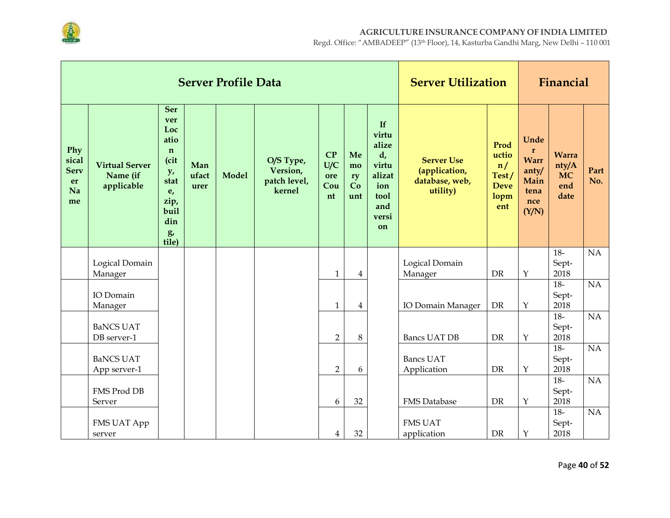

|                                               |                                                 |                                                                                                                  |                      | <b>Server Profile Data</b> |                                                 |                               | <b>Server Utilization</b>   |                                                                                              |                                                                  | Financial                                                  |                                                                       |                                                   |             |
|-----------------------------------------------|-------------------------------------------------|------------------------------------------------------------------------------------------------------------------|----------------------|----------------------------|-------------------------------------------------|-------------------------------|-----------------------------|----------------------------------------------------------------------------------------------|------------------------------------------------------------------|------------------------------------------------------------|-----------------------------------------------------------------------|---------------------------------------------------|-------------|
| Phy<br>sical<br><b>Serv</b><br>er<br>Na<br>me | <b>Virtual Server</b><br>Name (if<br>applicable | <b>Ser</b><br>ver<br>Loc<br>atio<br>$\mathbf n$<br>(cit<br>y,<br>stat<br>e,<br>zip,<br>buil<br>din<br>g<br>tile) | Man<br>ufact<br>urer | <b>Model</b>               | O/S Type,<br>Version,<br>patch level,<br>kernel | CP<br>U/C<br>ore<br>Cou<br>nt | Me<br>mo<br>ry<br>Co<br>unt | If<br>virtu<br>alize<br>$d_{\prime}$<br>virtu<br>alizat<br>ion<br>tool<br>and<br>versi<br>on | <b>Server Use</b><br>(application,<br>database, web,<br>utility) | Prod<br>uctio<br>n/<br>Test/<br><b>Deve</b><br>lopm<br>ent | Unde<br>$\mathbf{r}$<br>Warr<br>anty/<br>Main<br>tena<br>nce<br>(Y/N) | <b>Warra</b><br>nty/A<br><b>MC</b><br>end<br>date | Part<br>No. |
|                                               | Logical Domain                                  |                                                                                                                  |                      |                            |                                                 |                               |                             |                                                                                              | Logical Domain                                                   |                                                            |                                                                       | $18-$<br>Sept-                                    | NA          |
|                                               | Manager                                         |                                                                                                                  |                      |                            |                                                 | $\mathbf{1}$                  | 4                           |                                                                                              | Manager                                                          | DR                                                         | $\mathbf Y$                                                           | 2018                                              |             |
|                                               | IO Domain<br>Manager                            |                                                                                                                  |                      |                            |                                                 | $\mathbf{1}$                  | 4                           |                                                                                              | IO Domain Manager                                                | DR                                                         | $\mathbf Y$                                                           | $18-$<br>Sept-<br>2018                            | NA          |
|                                               | <b>BaNCS UAT</b>                                |                                                                                                                  |                      |                            |                                                 |                               |                             |                                                                                              |                                                                  |                                                            |                                                                       | $18-$<br>Sept-                                    | NA          |
|                                               | DB server-1                                     |                                                                                                                  |                      |                            |                                                 | $\overline{2}$                | 8                           |                                                                                              | <b>Bancs UAT DB</b>                                              | DR                                                         | $\mathbf Y$                                                           | 2018<br>$18-$                                     | NA          |
|                                               | <b>BaNCS UAT</b>                                |                                                                                                                  |                      |                            |                                                 |                               |                             |                                                                                              | <b>Bancs UAT</b>                                                 |                                                            |                                                                       | Sept-                                             |             |
|                                               | App server-1                                    |                                                                                                                  |                      |                            |                                                 | $\overline{2}$                | 6                           |                                                                                              | Application                                                      | <b>DR</b>                                                  | $\mathbf{Y}$                                                          | 2018<br>$18-$                                     | NA          |
|                                               | FMS Prod DB                                     |                                                                                                                  |                      |                            |                                                 |                               |                             |                                                                                              |                                                                  |                                                            |                                                                       | Sept-                                             |             |
|                                               | Server                                          |                                                                                                                  |                      |                            |                                                 | 6                             | 32                          |                                                                                              | <b>FMS</b> Database                                              | <b>DR</b>                                                  | $\mathbf Y$                                                           | 2018                                              |             |
|                                               |                                                 |                                                                                                                  |                      |                            |                                                 |                               |                             |                                                                                              |                                                                  |                                                            |                                                                       | $18-$                                             | NA          |
|                                               | FMS UAT App                                     |                                                                                                                  |                      |                            |                                                 |                               |                             |                                                                                              | <b>FMS UAT</b>                                                   |                                                            |                                                                       | Sept-                                             |             |
|                                               | server                                          |                                                                                                                  |                      |                            |                                                 | $\overline{4}$                | 32                          |                                                                                              | application                                                      | DR                                                         | $\mathbf Y$                                                           | 2018                                              |             |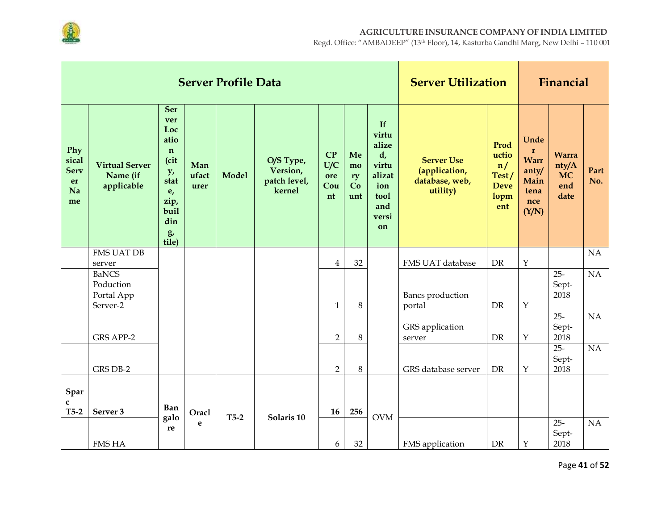

|                                               |                                                     |                                                                                                                              |                      | <b>Server Profile Data</b> |                                                 |                               | <b>Server Utilization</b>   |                                                                                    |                                                                  | Financial                                                  |                                                                             |                                                   |                 |
|-----------------------------------------------|-----------------------------------------------------|------------------------------------------------------------------------------------------------------------------------------|----------------------|----------------------------|-------------------------------------------------|-------------------------------|-----------------------------|------------------------------------------------------------------------------------|------------------------------------------------------------------|------------------------------------------------------------|-----------------------------------------------------------------------------|---------------------------------------------------|-----------------|
| Phy<br>sical<br><b>Serv</b><br>er<br>Na<br>me | <b>Virtual Server</b><br>Name (if<br>applicable     | <b>Ser</b><br>ver<br>Loc<br>atio<br>$\mathbf n$<br>(cit<br>y <sub>r</sub><br>stat<br>e,<br>zip,<br>buil<br>din<br>g<br>tile) | Man<br>ufact<br>urer | <b>Model</b>               | O/S Type,<br>Version,<br>patch level,<br>kernel | CP<br>U/C<br>ore<br>Cou<br>nt | Me<br>mo<br>ry<br>Co<br>unt | If<br>virtu<br>alize<br>d,<br>virtu<br>alizat<br>ion<br>tool<br>and<br>versi<br>on | <b>Server Use</b><br>(application,<br>database, web,<br>utility) | Prod<br>uctio<br>n/<br>Test/<br><b>Deve</b><br>lopm<br>ent | Unde<br>$\mathbf r$<br><b>Warr</b><br>anty/<br>Main<br>tena<br>nce<br>(Y/N) | <b>Warra</b><br>nty/A<br><b>MC</b><br>end<br>date | Part<br>No.     |
|                                               | <b>FMS UAT DB</b><br>server                         |                                                                                                                              |                      |                            |                                                 | $\overline{4}$                | 32                          |                                                                                    | FMS UAT database                                                 | <b>DR</b>                                                  | $\mathbf Y$                                                                 |                                                   | NA              |
|                                               | <b>BaNCS</b><br>Poduction<br>Portal App<br>Server-2 |                                                                                                                              |                      |                            |                                                 | $\mathbf{1}$                  | 8                           |                                                                                    | Bancs production<br>portal                                       | DR                                                         | $\mathbf Y$                                                                 | $25 -$<br>Sept-<br>2018                           | NA              |
|                                               | <b>GRS APP-2</b>                                    |                                                                                                                              |                      |                            |                                                 | $\overline{2}$                | 8                           |                                                                                    | GRS application<br>server                                        | <b>DR</b>                                                  | $\mathbf{Y}$                                                                | $25 -$<br>Sept-<br>2018                           | $\overline{NA}$ |
|                                               | GRS DB-2                                            |                                                                                                                              |                      |                            |                                                 | $\overline{2}$                | 8                           |                                                                                    | GRS database server                                              | <b>DR</b>                                                  | $\mathbf Y$                                                                 | $25 -$<br>Sept-<br>2018                           | NA              |
| Spar<br>$\mathbf c$<br>$T5-2$                 | Server 3                                            | <b>Ban</b><br>galo                                                                                                           | Oracl                | $T5-2$                     | Solaris 10                                      | 16                            | 256                         | <b>OVM</b>                                                                         |                                                                  |                                                            |                                                                             |                                                   |                 |
|                                               | <b>FMS HA</b>                                       | re                                                                                                                           | e                    |                            |                                                 | 6                             | 32                          |                                                                                    | FMS application                                                  | <b>DR</b>                                                  | $\mathbf Y$                                                                 | $25 -$<br>Sept-<br>2018                           | $\overline{NA}$ |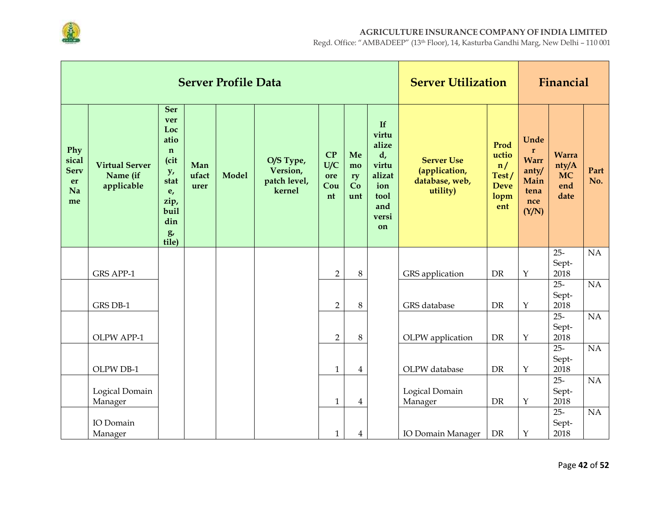

|                                               |                                                 |                                                                                                                  |                      | <b>Server Profile Data</b> |                                                 |                               | <b>Server Utilization</b>   |                                                                                             |                                                                  | Financial                                                  |                                                                              |                                                   |             |
|-----------------------------------------------|-------------------------------------------------|------------------------------------------------------------------------------------------------------------------|----------------------|----------------------------|-------------------------------------------------|-------------------------------|-----------------------------|---------------------------------------------------------------------------------------------|------------------------------------------------------------------|------------------------------------------------------------|------------------------------------------------------------------------------|---------------------------------------------------|-------------|
| Phy<br>sical<br><b>Serv</b><br>er<br>Na<br>me | <b>Virtual Server</b><br>Name (if<br>applicable | <b>Ser</b><br>ver<br>Loc<br>atio<br>$\mathbf n$<br>(cit<br>y,<br>stat<br>e,<br>zip,<br>buil<br>din<br>g<br>tile) | Man<br>ufact<br>urer | <b>Model</b>               | O/S Type,<br>Version,<br>patch level,<br>kernel | CP<br>U/C<br>ore<br>Cou<br>nt | Me<br>mo<br>ry<br>Co<br>unt | If<br>virtu<br>alize<br>$d_{\iota}$<br>virtu<br>alizat<br>ion<br>tool<br>and<br>versi<br>on | <b>Server Use</b><br>(application,<br>database, web,<br>utility) | Prod<br>uctio<br>n/<br>Test/<br><b>Deve</b><br>lopm<br>ent | Unde<br>$\mathbf{r}$<br><b>Warr</b><br>anty/<br>Main<br>tena<br>nce<br>(Y/N) | <b>Warra</b><br>nty/A<br><b>MC</b><br>end<br>date | Part<br>No. |
|                                               |                                                 |                                                                                                                  |                      |                            |                                                 |                               |                             |                                                                                             |                                                                  |                                                            |                                                                              | $25 -$<br>Sept-                                   | NA          |
|                                               | <b>GRS APP-1</b>                                |                                                                                                                  |                      |                            |                                                 | $\overline{2}$                | $\,8\,$                     |                                                                                             | GRS application                                                  | <b>DR</b>                                                  | $\mathbf Y$                                                                  | 2018                                              |             |
|                                               | GRS DB-1                                        |                                                                                                                  |                      |                            |                                                 | $\overline{2}$                | $\,8\,$                     |                                                                                             | GRS database                                                     | DR                                                         | $\mathbf Y$                                                                  | $25 -$<br>Sept-<br>2018                           | NA          |
|                                               | OLPW APP-1                                      |                                                                                                                  |                      |                            |                                                 | $\overline{2}$                | $\,8\,$                     |                                                                                             | OLPW application                                                 | DR                                                         | $\mathbf Y$                                                                  | $25 -$<br>Sept-<br>2018                           | NA          |
|                                               | OLPW DB-1                                       |                                                                                                                  |                      |                            |                                                 | $\mathbf{1}$                  | $\overline{4}$              |                                                                                             | OLPW database                                                    | <b>DR</b>                                                  | $\mathbf Y$                                                                  | $25 -$<br>Sept-<br>2018                           | NA          |
|                                               | Logical Domain<br>Manager                       |                                                                                                                  |                      |                            |                                                 | $\mathbf{1}$                  | 4                           |                                                                                             | Logical Domain<br>Manager                                        | DR                                                         | $\mathbf Y$                                                                  | $25 -$<br>Sept-<br>2018                           | NA          |
|                                               | IO Domain<br>Manager                            |                                                                                                                  |                      |                            |                                                 | $\mathbf{1}$                  | 4                           |                                                                                             | IO Domain Manager                                                | DR                                                         | $\mathbf Y$                                                                  | $25 -$<br>Sept-<br>2018                           | NA          |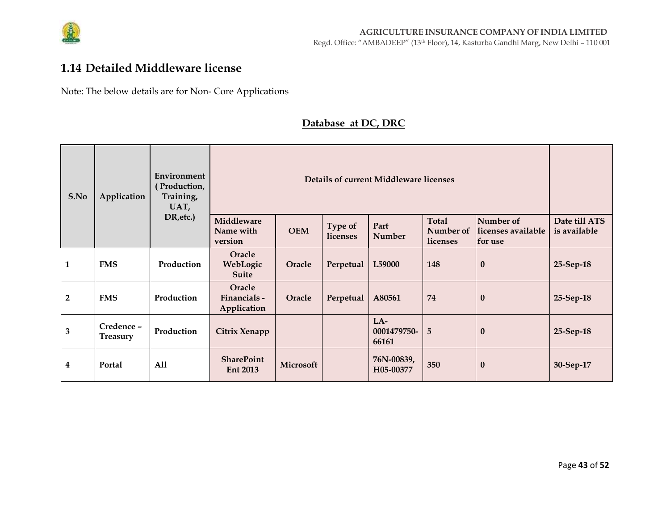

### **1.14 Detailed Middleware license**

Note: The below details are for Non- Core Applications

#### **Database at DC, DRC**

| S.No                    | Application                  | Environment<br>(Production,<br>Training,<br>UAT, |                                       |            |                     | Details of current Middleware licenses |                                       |                                             |                               |
|-------------------------|------------------------------|--------------------------------------------------|---------------------------------------|------------|---------------------|----------------------------------------|---------------------------------------|---------------------------------------------|-------------------------------|
|                         |                              | DR, etc.)                                        | Middleware<br>Name with<br>version    | <b>OEM</b> | Type of<br>licenses | Part<br><b>Number</b>                  | <b>Total</b><br>Number of<br>licenses | Number of<br>llicenses available<br>for use | Date till ATS<br>is available |
| $\mathbf{1}$            | <b>FMS</b>                   | Production                                       | Oracle<br>WebLogic<br><b>Suite</b>    | Oracle     | Perpetual           | L59000                                 | 148                                   | $\bf{0}$                                    | 25-Sep-18                     |
| $\overline{2}$          | <b>FMS</b>                   | Production                                       | Oracle<br>Financials -<br>Application | Oracle     | Perpetual           | A80561                                 | 74                                    | $\bf{0}$                                    | 25-Sep-18                     |
| $\overline{\mathbf{3}}$ | Credence-<br><b>Treasury</b> | Production                                       | Citrix Xenapp                         |            |                     | $LA-$<br>0001479750-<br>66161          | 5                                     | $\bf{0}$                                    | 25-Sep-18                     |
| 4                       | Portal                       | All                                              | <b>SharePoint</b><br><b>Ent 2013</b>  | Microsoft  |                     | 76N-00839,<br>H05-00377                | 350                                   | $\boldsymbol{0}$                            | 30-Sep-17                     |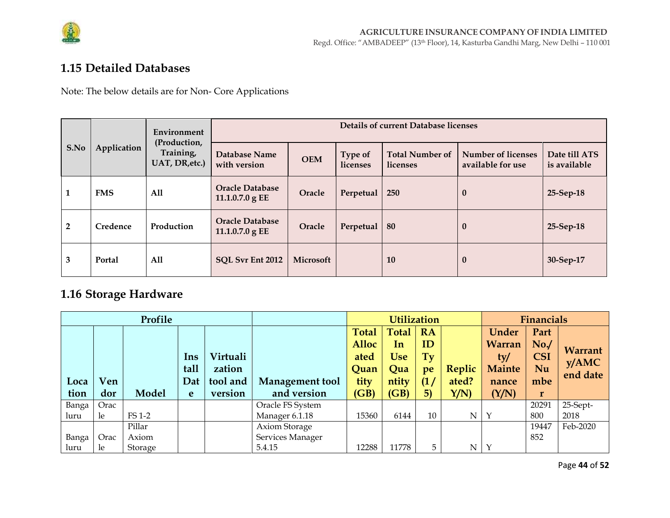

## 1.15 Detailed Databases

Note: The below details are for Non- Core Applications

|      |               | Environment                                 |                                             |            |                     | <b>Details of current Database licenses</b> |                                         |                               |
|------|---------------|---------------------------------------------|---------------------------------------------|------------|---------------------|---------------------------------------------|-----------------------------------------|-------------------------------|
| S.No | Application   | (Production,<br>Training,<br>UAT, DR, etc.) | Database Name<br>with version               | <b>OEM</b> | Type of<br>licenses | <b>Total Number of</b><br>licenses          | Number of licenses<br>available for use | Date till ATS<br>is available |
| Ŧ.   | <b>FMS</b>    | All                                         | <b>Oracle Database</b><br>11.1.0.7.0 g EE   | Oracle     | Perpetual           | 250                                         | $\mathbf{0}$                            | 25-Sep-18                     |
| 2    | Credence      | Production                                  | <b>Oracle Database</b><br>$11.1.0.7.0$ g EE | Oracle     | Perpetual           | 80                                          | $\bf{0}$                                | 25-Sep-18                     |
| 3    | <b>Portal</b> | All                                         | SQL Svr Ent 2012                            | Microsoft  |                     | 10                                          | $\bf{0}$                                | 30-Sep-17                     |

# 1.16 Storage Hardware

|       |      | Profile |      |          |                        |              | <b>Utilization</b> |           |        |               | <b>Financials</b> |          |
|-------|------|---------|------|----------|------------------------|--------------|--------------------|-----------|--------|---------------|-------------------|----------|
|       |      |         |      |          |                        | <b>Total</b> | <b>Total</b>       | <b>RA</b> |        | <b>Under</b>  | Part              |          |
|       |      |         |      |          |                        | <b>Alloc</b> | In                 | ID        |        | Warran        | No.               | Warrant  |
|       |      |         | Ins  | Virtuali |                        | ated         | <b>Use</b>         | Ty        |        | ty/           | <b>CSI</b>        | y/AMC    |
|       |      |         | tall | zation   |                        | Quan         | Qua                | pe        | Replic | <b>Mainte</b> | Nu                | end date |
| Loca  | Ven  |         | Dat  | tool and | <b>Management tool</b> | tity         | ntity              | (1)       | ated?  | nance         | mbe               |          |
| tion  | dor  | Model   | e    | version  | and version            | (GB)         | (GB)               | 5)        | Y/N    | (Y/N)         | r                 |          |
| Banga | Orac |         |      |          | Oracle FS System       |              |                    |           |        |               | 20291             | 25-Sept- |
| luru  | le   | FS 1-2  |      |          | Manager 6.1.18         | 15360        | 6144               | 10        | N      | $\mathbf{Y}$  | 800               | 2018     |
|       |      | Pillar  |      |          | Axiom Storage          |              |                    |           |        |               | 19447             | Feb-2020 |
| Banga | Orac | Axiom   |      |          | Services Manager       |              |                    |           |        |               | 852               |          |
| luru  | le.  | Storage |      |          | 5.4.15                 | 12288        | 11778              | 5         | N      | $\mathbf Y$   |                   |          |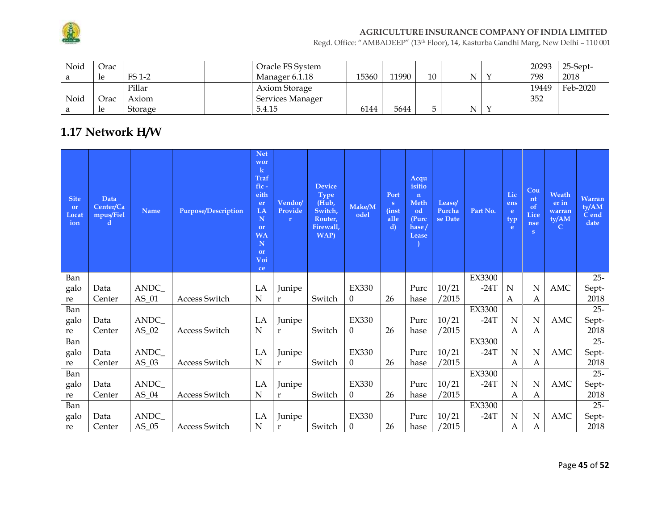

Regd. Office: "AMBADEEP" (13th Floor), 14, Kasturba Gandhi Marg, New Delhi – 110 001

| Noid | Orac |         | Oracle FS System |       |       |    |   | 20293 | 25-Sept- |
|------|------|---------|------------------|-------|-------|----|---|-------|----------|
|      | -le  | FS 1-2  | Manager 6.1.18   | 15360 | 11990 | 10 | N | 798   | 2018     |
|      |      | Pillar  | Axiom Storage    |       |       |    |   | 19449 | Feb-2020 |
| Noid | Orac | Axiom   | Services Manager |       |       |    |   | 352   |          |
|      | -le  | Storage | 5.4.15           | 6144  | 5644  |    | N |       |          |

# **1.17 Network H/W**

| <b>Site</b><br>or<br>Locat<br>ion | <b>Data</b><br>Center/Ca<br>mpus/Fiel<br>d | <b>Name</b> | <b>Purpose/Description</b> | <b>Net</b><br>wor<br>$\bf k$<br><b>Traf</b><br>fic-<br>eith<br>er<br>LA<br>N<br><b>or</b><br><b>WA</b><br>N<br>or<br>Voi<br>ce | Vendor/<br>Provide<br>$\mathbf{r}$ | <b>Device</b><br><b>Type</b><br>(Hub,<br>Switch,<br>Router,<br>Firewall,<br><b>WAP</b> ) | Make/M<br>odel   | Port<br>$\mathbf{s}$<br><i>(inst)</i><br>alle<br>$\mathbf{d}$ | Acqu<br>isitio<br>$\mathbf{n}$<br><b>Meth</b><br>od<br>(Purc<br>hase/<br>Lease | Lease/<br>Purcha<br>se Date | Part No.      | Lic<br>ens<br>e.<br>typ<br>e | Cou<br>nt<br>of<br>Lice<br>nse<br>S | Weath<br>er in<br>warran<br>ty/AM<br>$\mathbf C$ | <b>Warran</b><br>ty/AM<br>C end<br>date |
|-----------------------------------|--------------------------------------------|-------------|----------------------------|--------------------------------------------------------------------------------------------------------------------------------|------------------------------------|------------------------------------------------------------------------------------------|------------------|---------------------------------------------------------------|--------------------------------------------------------------------------------|-----------------------------|---------------|------------------------------|-------------------------------------|--------------------------------------------------|-----------------------------------------|
| Ban                               |                                            |             |                            |                                                                                                                                |                                    |                                                                                          |                  |                                                               |                                                                                |                             | EX3300        |                              |                                     |                                                  | $25 -$                                  |
| galo                              | Data                                       | ANDC_       |                            | LA                                                                                                                             | Junipe                             |                                                                                          | <b>EX330</b>     |                                                               | Purc                                                                           | 10/21                       | $-24T$        | N                            | N                                   | AMC                                              | Sept-                                   |
| re                                | Center                                     | $AS_01$     | Access Switch              | N                                                                                                                              | $\mathbf r$                        | Switch                                                                                   | $\theta$         | 26                                                            | hase                                                                           | /2015                       |               | A                            | A                                   |                                                  | 2018                                    |
| Ban                               |                                            |             |                            |                                                                                                                                |                                    |                                                                                          |                  |                                                               |                                                                                |                             | <b>EX3300</b> |                              |                                     |                                                  | $25 -$                                  |
| galo                              | Data                                       | ANDC_       |                            | LA                                                                                                                             | Junipe                             |                                                                                          | <b>EX330</b>     |                                                               | Purc                                                                           | 10/21                       | $-24T$        | N                            | N                                   | AMC                                              | Sept-                                   |
| re                                | Center                                     | $AS_02$     | Access Switch              | N                                                                                                                              | $\mathbf r$                        | Switch                                                                                   | $\theta$         | 26                                                            | hase                                                                           | /2015                       |               | А                            | А                                   |                                                  | 2018                                    |
| Ban                               |                                            |             |                            |                                                                                                                                |                                    |                                                                                          |                  |                                                               |                                                                                |                             | <b>EX3300</b> |                              |                                     |                                                  | $25 -$                                  |
| galo                              | Data                                       | ANDC_       |                            | LA                                                                                                                             | Junipe                             |                                                                                          | <b>EX330</b>     |                                                               | Purc                                                                           | 10/21                       | $-24T$        | N                            | N                                   | AMC                                              | Sept-                                   |
| re                                | Center                                     | $AS_03$     | Access Switch              | ${\bf N}$                                                                                                                      | $\mathbf r$                        | Switch                                                                                   | $\theta$         | 26                                                            | hase                                                                           | /2015                       |               | A                            | A                                   |                                                  | 2018                                    |
| Ban                               |                                            |             |                            |                                                                                                                                |                                    |                                                                                          |                  |                                                               |                                                                                |                             | EX3300        |                              |                                     |                                                  | $25 -$                                  |
| galo                              | Data                                       | ANDC_       |                            | LA                                                                                                                             | Junipe                             |                                                                                          | <b>EX330</b>     |                                                               | Purc                                                                           | 10/21                       | $-24T$        | N                            | N                                   | AMC                                              | Sept-                                   |
| re                                | Center                                     | $AS_04$     | Access Switch              | $\mathbf N$                                                                                                                    | $\bf r$                            | Switch                                                                                   | $\boldsymbol{0}$ | 26                                                            | hase                                                                           | /2015                       |               | A                            | A                                   |                                                  | 2018                                    |
| Ban                               |                                            |             |                            |                                                                                                                                |                                    |                                                                                          |                  |                                                               |                                                                                |                             | EX3300        |                              |                                     |                                                  | $25 -$                                  |
| galo                              | Data                                       | ANDC_       |                            | LA                                                                                                                             | Junipe                             |                                                                                          | <b>EX330</b>     |                                                               | Purc                                                                           | 10/21                       | $-24T$        | N                            | $\mathbf N$                         | <b>AMC</b>                                       | Sept-                                   |
| re                                | Center                                     | $AS_05$     | Access Switch              | N                                                                                                                              | $\mathbf{r}$                       | Switch                                                                                   | $\theta$         | 26                                                            | hase                                                                           | /2015                       |               | А                            | А                                   |                                                  | 2018                                    |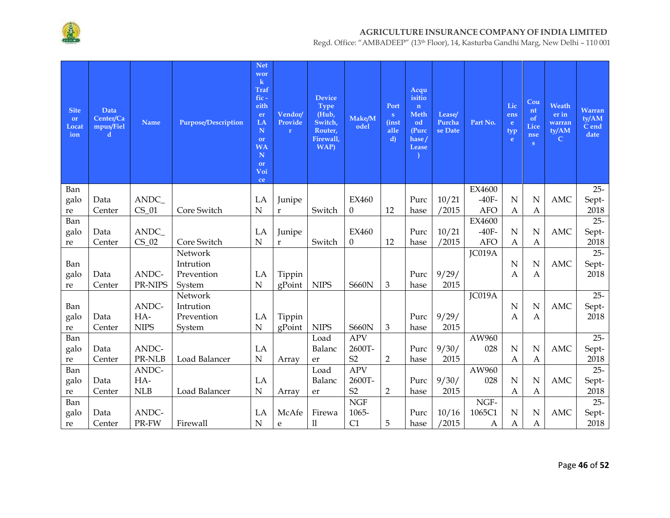

| <b>Site</b><br>or<br>Locat<br>ion | Data<br>Center/Ca<br>mpus/Fiel<br>d | <b>Name</b> | <b>Purpose/Description</b> | <b>Net</b><br>wor<br>$\bf k$<br><b>Traf</b><br>fic-<br>eith<br>er<br>LA<br>N<br>or<br><b>WA</b><br>$\mathbf N$<br>or<br>Voi<br>ce | Vendor/<br>Provide<br>$\mathbf r$ | <b>Device</b><br><b>Type</b><br>(Hub,<br>Switch,<br>Router,<br>Firewall,<br>WAP) | Make/M<br>odel | Port<br>S<br><i>(inst)</i><br>alle<br>$\mathbf{d}$ | Acqu<br>isitio<br>n<br>Meth<br>od<br>(Purc<br>hase/<br>Lease | Lease/<br>Purcha<br>se Date | Part No.     | Lic<br>ens<br>e.<br>typ<br>e | Cou<br>nt<br>of<br>Lice<br>nse<br>S | Weath<br>er in<br>warran<br>ty/AM<br>$\mathbf C$ | Warran<br>ty/AM<br>C end<br>date |
|-----------------------------------|-------------------------------------|-------------|----------------------------|-----------------------------------------------------------------------------------------------------------------------------------|-----------------------------------|----------------------------------------------------------------------------------|----------------|----------------------------------------------------|--------------------------------------------------------------|-----------------------------|--------------|------------------------------|-------------------------------------|--------------------------------------------------|----------------------------------|
| Ban                               |                                     |             |                            |                                                                                                                                   |                                   |                                                                                  |                |                                                    |                                                              |                             | EX4600       |                              |                                     |                                                  | $25 -$                           |
| galo                              | Data                                | ANDC_       |                            | LA                                                                                                                                | Junipe                            |                                                                                  | <b>EX460</b>   |                                                    | Purc                                                         | 10/21                       | $-40F-$      | $\mathbf N$                  | N                                   | <b>AMC</b>                                       | Sept-                            |
| re                                | Center                              | $CS_01$     | Core Switch                | $\mathbf N$                                                                                                                       | $\mathbf r$                       | Switch                                                                           | $\theta$       | 12                                                 | hase                                                         | /2015                       | <b>AFO</b>   | A                            | Α                                   |                                                  | 2018                             |
| Ban                               |                                     |             |                            |                                                                                                                                   |                                   |                                                                                  |                |                                                    |                                                              |                             | EX4600       |                              |                                     |                                                  | $25 -$                           |
| galo                              | Data                                | ANDC_       |                            | LA                                                                                                                                | Junipe                            |                                                                                  | <b>EX460</b>   |                                                    | Purc                                                         | 10/21                       | $-40F-$      | $\mathbf N$                  | N                                   | <b>AMC</b>                                       | Sept-                            |
| re                                | Center                              | $CS_02$     | Core Switch                | $\mathbf N$                                                                                                                       | $\mathbf r$                       | Switch                                                                           | $\mathbf{0}$   | 12                                                 | hase                                                         | /2015                       | <b>AFO</b>   | Α                            | А                                   |                                                  | 2018                             |
|                                   |                                     |             | Network                    |                                                                                                                                   |                                   |                                                                                  |                |                                                    |                                                              |                             | JC019A       |                              |                                     |                                                  | $25 -$                           |
| Ban                               |                                     |             | Intrution                  |                                                                                                                                   |                                   |                                                                                  |                |                                                    |                                                              |                             |              | N                            | N                                   | <b>AMC</b>                                       | Sept-                            |
| galo                              | Data                                | ANDC-       | Prevention                 | LA                                                                                                                                | Tippin                            |                                                                                  |                |                                                    | Purc                                                         | 9/29/                       |              | A                            | A                                   |                                                  | 2018                             |
| re                                | Center                              | PR-NIPS     | System                     | $\mathbf N$                                                                                                                       | gPoint                            | <b>NIPS</b>                                                                      | <b>S660N</b>   | 3                                                  | hase                                                         | 2015                        |              |                              |                                     |                                                  |                                  |
|                                   |                                     |             | Network                    |                                                                                                                                   |                                   |                                                                                  |                |                                                    |                                                              |                             | JC019A       |                              |                                     |                                                  | $25 -$                           |
| Ban                               |                                     | ANDC-       | Intrution                  |                                                                                                                                   |                                   |                                                                                  |                |                                                    |                                                              |                             |              | $\mathbf N$                  | $\mathbf N$                         | <b>AMC</b>                                       | Sept-                            |
| galo                              | Data                                | HA-         | Prevention                 | LA                                                                                                                                | Tippin                            |                                                                                  |                |                                                    | Purc                                                         | 9/29/                       |              | A                            | A                                   |                                                  | 2018                             |
| re                                | Center                              | <b>NIPS</b> | System                     | N                                                                                                                                 | gPoint                            | <b>NIPS</b>                                                                      | <b>S660N</b>   | 3                                                  | hase                                                         | 2015                        |              |                              |                                     |                                                  |                                  |
| Ban                               |                                     |             |                            |                                                                                                                                   |                                   | Load                                                                             | <b>APV</b>     |                                                    |                                                              |                             | AW960        |                              |                                     |                                                  | $25 -$                           |
| galo                              | Data                                | ANDC-       |                            | LA                                                                                                                                |                                   | Balanc                                                                           | 2600T-         |                                                    | Purc                                                         | 9/30/                       | 028          | N                            | N                                   | <b>AMC</b>                                       | Sept-                            |
| re                                | Center                              | PR-NLB      | Load Balancer              | $\mathbf N$                                                                                                                       | Array                             | er                                                                               | S <sub>2</sub> | $\overline{2}$                                     | hase                                                         | 2015                        |              | Α                            | A                                   |                                                  | 2018                             |
| Ban                               |                                     | ANDC-       |                            |                                                                                                                                   |                                   | Load                                                                             | <b>APV</b>     |                                                    |                                                              |                             | AW960        |                              |                                     |                                                  | $25 -$                           |
| galo                              | Data                                | HA-         |                            | LA                                                                                                                                |                                   | Balanc                                                                           | 2600T-         |                                                    | Purc                                                         | 9/30/                       | 028          | N                            | N                                   | <b>AMC</b>                                       | Sept-                            |
| re                                | Center                              | <b>NLB</b>  | Load Balancer              | $\mathbf N$                                                                                                                       | Array                             | er                                                                               | S <sub>2</sub> | $\overline{2}$                                     | hase                                                         | 2015                        |              | A                            | Α                                   |                                                  | 2018                             |
| Ban                               |                                     |             |                            |                                                                                                                                   |                                   |                                                                                  | <b>NGF</b>     |                                                    |                                                              |                             | NGF-         |                              |                                     |                                                  | $25 -$                           |
| galo                              | Data                                | ANDC-       |                            | LA                                                                                                                                | McAfe                             | Firewa                                                                           | 1065-          |                                                    | Purc                                                         | 10/16                       | 1065C1       | N                            | N                                   | <b>AMC</b>                                       | Sept-                            |
| re                                | Center                              | PR-FW       | Firewall                   | $\mathbf N$                                                                                                                       | ${\bf e}$                         | 11                                                                               | C1             | 5                                                  | hase                                                         | /2015                       | $\mathbf{A}$ | $\mathbf{A}$                 | $\mathbf{A}$                        |                                                  | 2018                             |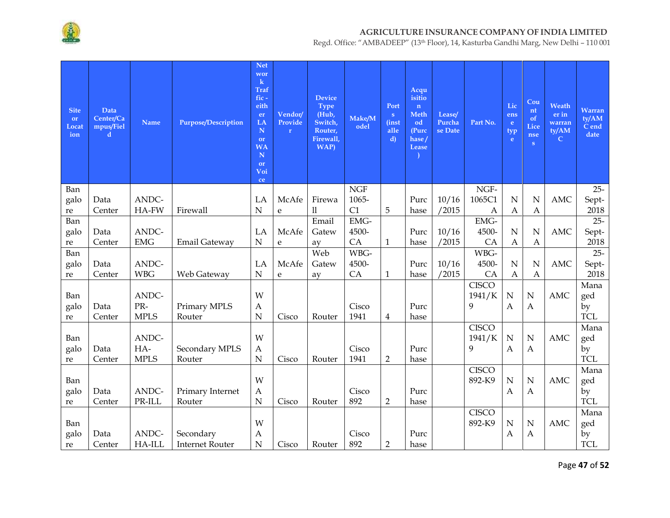

| <b>Site</b><br>or<br>Locat<br>ion | Data<br>Center/Ca<br>mpus/Fiel<br>d | <b>Name</b> | Purpose/Description    | <b>Net</b><br>wor<br>$\bf k$<br><b>Traf</b><br>$fic -$<br>eith<br>er<br>LA<br>N<br>or<br><b>WA</b><br>$\mathbf N$<br><sub>or</sub><br>Voi<br>ce | Vendor/<br>Provide<br>$\mathbf{r}$ | <b>Device</b><br><b>Type</b><br>(Hub,<br>Switch,<br>Router,<br>Firewall,<br>WAP) | Make/M<br>odel | Port<br>S<br><i>(inst)</i><br>alle<br>$\mathbf{d}$ | Acqu<br>isitio<br>n<br>Meth<br>od<br>(Purc<br>hase/<br>Lease | Lease/<br>Purcha<br>se Date | Part No.     | Lic<br>ens<br>e<br>typ<br>e | Cou<br>nt<br><sup>of</sup><br><b>Lice</b><br>nse<br>S | Weath<br>er in<br>warran<br>ty/AM<br>$\mathbf C$ | Warran<br>tV/AM<br>C end<br>date |
|-----------------------------------|-------------------------------------|-------------|------------------------|-------------------------------------------------------------------------------------------------------------------------------------------------|------------------------------------|----------------------------------------------------------------------------------|----------------|----------------------------------------------------|--------------------------------------------------------------|-----------------------------|--------------|-----------------------------|-------------------------------------------------------|--------------------------------------------------|----------------------------------|
| Ban                               |                                     |             |                        |                                                                                                                                                 |                                    |                                                                                  | <b>NGF</b>     |                                                    |                                                              |                             | NGF-         |                             |                                                       |                                                  | $25 -$                           |
| galo                              | Data                                | ANDC-       |                        | LA                                                                                                                                              | McAfe                              | Firewa                                                                           | 1065-          |                                                    | Purc                                                         | 10/16                       | 1065C1       | N                           | N                                                     | <b>AMC</b>                                       | Sept-                            |
| re                                | Center                              | HA-FW       | Firewall               | N                                                                                                                                               | e                                  | 11                                                                               | C1             | 5                                                  | hase                                                         | /2015                       | Α            | Α                           | $\mathbf{A}$                                          |                                                  | 2018                             |
| Ban                               |                                     |             |                        |                                                                                                                                                 |                                    | Email                                                                            | EMG-           |                                                    |                                                              |                             | EMG-         |                             |                                                       |                                                  | $25 -$                           |
| galo                              | Data                                | ANDC-       |                        | LA                                                                                                                                              | McAfe                              | Gatew                                                                            | 4500-          |                                                    | Purc                                                         | 10/16                       | 4500-        | $\mathbf N$                 | $\mathbf N$                                           | <b>AMC</b>                                       | Sept-                            |
| re                                | Center                              | <b>EMG</b>  | <b>Email Gateway</b>   | N                                                                                                                                               | e                                  | ay                                                                               | CA             | 1                                                  | hase                                                         | /2015                       | CA           | $\boldsymbol{A}$            | A                                                     |                                                  | 2018                             |
| Ban                               |                                     |             |                        |                                                                                                                                                 |                                    | Web                                                                              | WBG-           |                                                    |                                                              |                             | WBG-         |                             |                                                       |                                                  | $25 -$                           |
| galo                              | Data                                | ANDC-       |                        | LA                                                                                                                                              | McAfe                              | Gatew                                                                            | 4500-          |                                                    | Purc                                                         | 10/16                       | 4500-        | $\mathbf N$                 | $\mathbf N$                                           | <b>AMC</b>                                       | Sept-                            |
| re                                | Center                              | <b>WBG</b>  | Web Gateway            | $\mathbf N$                                                                                                                                     | e                                  | av                                                                               | CA             | $\mathbf{1}$                                       | hase                                                         | /2015                       | CA           | Α                           | A                                                     |                                                  | 2018                             |
|                                   |                                     | ANDC-       |                        | W                                                                                                                                               |                                    |                                                                                  |                |                                                    |                                                              |                             | <b>CISCO</b> |                             |                                                       | <b>AMC</b>                                       | Mana                             |
| Ban<br>galo                       | Data                                | PR-         | Primary MPLS           | A                                                                                                                                               |                                    |                                                                                  | Cisco          |                                                    | Purc                                                         |                             | 1941/K<br>9  | $\mathbf N$<br>$\mathbf{A}$ | $\mathbf N$<br>$\mathbf{A}$                           |                                                  | ged<br>by                        |
| re                                | Center                              | <b>MPLS</b> | Router                 | $\mathbf N$                                                                                                                                     | Cisco                              | Router                                                                           | 1941           | $\overline{4}$                                     | hase                                                         |                             |              |                             |                                                       |                                                  | <b>TCL</b>                       |
|                                   |                                     |             |                        |                                                                                                                                                 |                                    |                                                                                  |                |                                                    |                                                              |                             | <b>CISCO</b> |                             |                                                       |                                                  | Mana                             |
| Ban                               |                                     | ANDC-       |                        | W                                                                                                                                               |                                    |                                                                                  |                |                                                    |                                                              |                             | 1941/K       | ${\bf N}$                   | ${\bf N}$                                             | <b>AMC</b>                                       | ged                              |
| galo                              | Data                                | HA-         | Secondary MPLS         | A                                                                                                                                               |                                    |                                                                                  | Cisco          |                                                    | Purc                                                         |                             | 9            | $\mathbf{A}$                | $\mathbf{A}$                                          |                                                  | by                               |
| re                                | Center                              | <b>MPLS</b> | Router                 | $\mathbf N$                                                                                                                                     | Cisco                              | Router                                                                           | 1941           | $\overline{2}$                                     | hase                                                         |                             |              |                             |                                                       |                                                  | <b>TCL</b>                       |
|                                   |                                     |             |                        |                                                                                                                                                 |                                    |                                                                                  |                |                                                    |                                                              |                             | <b>CISCO</b> |                             |                                                       |                                                  | Mana                             |
| Ban                               |                                     |             |                        | W                                                                                                                                               |                                    |                                                                                  |                |                                                    |                                                              |                             | 892-K9       | $\mathbf N$                 | $\mathbf N$                                           | AMC                                              | ged                              |
| galo                              | Data                                | ANDC-       | Primary Internet       | А                                                                                                                                               |                                    |                                                                                  | Cisco          |                                                    | Purc                                                         |                             |              | A                           | $\boldsymbol{A}$                                      |                                                  | by                               |
| re                                | Center                              | PR-ILL      | Router                 | $\mathbf N$                                                                                                                                     | Cisco                              | Router                                                                           | 892            | $\overline{2}$                                     | hase                                                         |                             |              |                             |                                                       |                                                  | <b>TCL</b>                       |
|                                   |                                     |             |                        |                                                                                                                                                 |                                    |                                                                                  |                |                                                    |                                                              |                             | <b>CISCO</b> |                             |                                                       |                                                  | Mana                             |
| Ban                               |                                     |             |                        | W                                                                                                                                               |                                    |                                                                                  |                |                                                    |                                                              |                             | 892-K9       | $\mathbf N$                 | ${\bf N}$                                             | <b>AMC</b>                                       | ged                              |
| galo                              | Data                                | ANDC-       | Secondary              | $\boldsymbol{A}$                                                                                                                                |                                    |                                                                                  | Cisco          |                                                    | Purc                                                         |                             |              | $\boldsymbol{A}$            | $\boldsymbol{A}$                                      |                                                  | by                               |
| re                                | Center                              | HA-ILL      | <b>Internet Router</b> | $\mathbf N$                                                                                                                                     | Cisco                              | Router                                                                           | 892            | $\overline{2}$                                     | hase                                                         |                             |              |                             |                                                       |                                                  | <b>TCL</b>                       |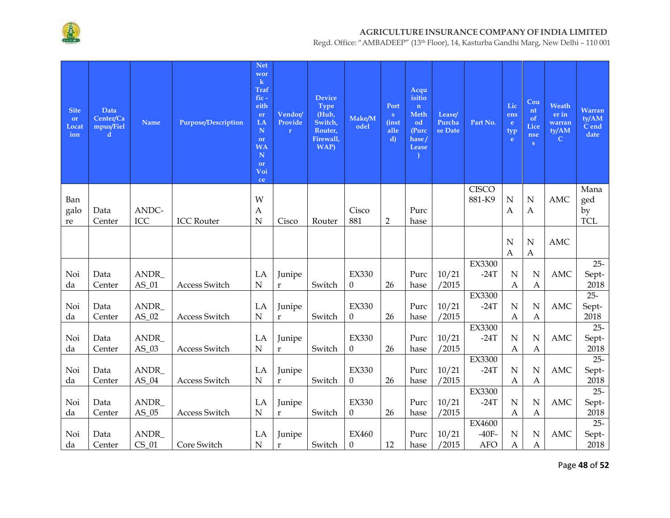

Regd. Office: "AMBADEEP" (13th Floor), 14, Kasturba Gandhi Marg, New Delhi – 110 001

| <b>Site</b><br>or<br>Locat<br>ion | Data<br>Center/Ca<br>mpus/Fiel<br>d | <b>Name</b>      | Purpose/Description | <b>Net</b><br>wor<br>$\mathbf k$<br>Traf<br>$fic -$<br>eith<br>er<br>LA<br>$\mathbf N$<br>or<br><b>WA</b><br>$\mathbf N$<br>or<br>Voi<br>ce | Vendor/<br>Provide<br>$\mathbf{r}$ | <b>Device</b><br><b>Type</b><br>(Hub,<br>Switch,<br>Router,<br>Firewall,<br>WAP) | Make/M<br>odel           | Port<br>$\mathbf{s}$<br><i>(inst)</i><br>alle<br>$\mathbf{d}$ | Acqu<br>isitio<br>$\mathbf{n}$<br>Meth<br>od<br>(Purc<br>hase/<br>Lease | Lease/<br>Purcha<br>se Date | Part No.               | Lic<br>ens<br>e.<br>typ<br>e.   | Cou<br>nt<br>of<br>Lice<br>nse<br>S | Weath<br>er in<br>warran<br>ty/AM<br>$\mathsf{C}$ | <b>Warran</b><br>ty/AM<br>C end<br>date |
|-----------------------------------|-------------------------------------|------------------|---------------------|---------------------------------------------------------------------------------------------------------------------------------------------|------------------------------------|----------------------------------------------------------------------------------|--------------------------|---------------------------------------------------------------|-------------------------------------------------------------------------|-----------------------------|------------------------|---------------------------------|-------------------------------------|---------------------------------------------------|-----------------------------------------|
| Ban                               |                                     |                  |                     | W                                                                                                                                           |                                    |                                                                                  |                          |                                                               |                                                                         |                             | <b>CISCO</b><br>881-K9 | $\mathbf N$                     | ${\bf N}$                           | AMC                                               | Mana                                    |
| galo                              | Data                                | ANDC-            |                     | $\mathbf{A}$                                                                                                                                |                                    |                                                                                  | Cisco                    |                                                               | Purc                                                                    |                             |                        | $\mathbf{A}$                    | $\boldsymbol{A}$                    |                                                   | ged<br>by                               |
| re                                | Center                              | ICC              | <b>ICC Router</b>   | $\mathbf N$                                                                                                                                 | Cisco                              | Router                                                                           | 881                      | $\overline{2}$                                                | hase                                                                    |                             |                        |                                 |                                     |                                                   | <b>TCL</b>                              |
|                                   |                                     |                  |                     |                                                                                                                                             |                                    |                                                                                  |                          |                                                               |                                                                         |                             |                        | ${\bf N}$<br>Α                  | ${\bf N}$<br>$\boldsymbol{A}$       | <b>AMC</b>                                        |                                         |
|                                   |                                     |                  |                     |                                                                                                                                             |                                    |                                                                                  |                          |                                                               |                                                                         |                             | EX3300                 |                                 |                                     |                                                   | $25 -$                                  |
| Noi                               | Data                                | ANDR_            |                     | LA                                                                                                                                          | Junipe                             |                                                                                  | <b>EX330</b>             |                                                               | Purc                                                                    | 10/21                       | $-24T$                 | N                               | N                                   | <b>AMC</b>                                        | Sept-                                   |
| da                                | Center                              | $AS_01$          | Access Switch       | ${\bf N}$                                                                                                                                   | $\mathbf{r}$                       | Switch                                                                           | $\theta$                 | 26                                                            | hase                                                                    | /2015                       |                        | Α                               | A                                   |                                                   | 2018                                    |
|                                   |                                     |                  |                     |                                                                                                                                             |                                    |                                                                                  |                          |                                                               |                                                                         |                             | EX3300                 |                                 |                                     |                                                   | $25 -$                                  |
| Noi<br>da                         | Data<br>Center                      | ANDR_<br>$AS_02$ | Access Switch       | LA<br>${\bf N}$                                                                                                                             | Junipe<br>$\mathbf{r}$             | Switch                                                                           | <b>EX330</b><br>$\theta$ | 26                                                            | Purc<br>hase                                                            | 10/21<br>/2015              | $-24T$                 | N<br>$\boldsymbol{A}$           | $\mathbf N$<br>А                    | <b>AMC</b>                                        | Sept-<br>2018                           |
|                                   |                                     |                  |                     |                                                                                                                                             |                                    |                                                                                  |                          |                                                               |                                                                         |                             | EX3300                 |                                 |                                     |                                                   | $25 -$                                  |
| Noi                               | Data                                | ANDR_            |                     | LA                                                                                                                                          | Junipe                             |                                                                                  | <b>EX330</b>             |                                                               | Purc                                                                    | 10/21                       | $-24T$                 | $\mathbf N$                     | $\mathbf N$                         | <b>AMC</b>                                        | Sept-                                   |
| da                                | Center                              | $AS_03$          | Access Switch       | $\mathbf N$                                                                                                                                 | $\mathbf{r}$                       | Switch                                                                           | $\theta$                 | 26                                                            | hase                                                                    | /2015                       |                        | $\boldsymbol{A}$                | Α                                   |                                                   | 2018                                    |
|                                   |                                     |                  |                     |                                                                                                                                             |                                    |                                                                                  |                          |                                                               |                                                                         |                             | EX3300                 |                                 |                                     |                                                   | $25 -$                                  |
| Noi<br>da                         | Data<br>Center                      | ANDR_<br>$AS_04$ | Access Switch       | LA<br>${\bf N}$                                                                                                                             | Junipe<br>$\mathbf r$              | Switch                                                                           | <b>EX330</b><br>$\theta$ | 26                                                            | Purc<br>hase                                                            | 10/21<br>/2015              | $-24T$                 | $\mathbf N$<br>$\boldsymbol{A}$ | $\mathbf N$<br>$\boldsymbol{A}$     | <b>AMC</b>                                        | Sept-<br>2018                           |
|                                   |                                     |                  |                     |                                                                                                                                             |                                    |                                                                                  |                          |                                                               |                                                                         |                             | EX3300                 |                                 |                                     |                                                   | $25 -$                                  |
| Noi                               | Data                                | ANDR_            |                     | LA                                                                                                                                          | Junipe                             |                                                                                  | <b>EX330</b>             |                                                               | Purc                                                                    | 10/21                       | $-24T$                 | $\mathbf N$                     | $\mathbf N$                         | <b>AMC</b>                                        | Sept-                                   |
| da                                | Center                              | $AS_05$          | Access Switch       | ${\bf N}$                                                                                                                                   | $\mathbf{r}$                       | Switch                                                                           | $\boldsymbol{0}$         | 26                                                            | hase                                                                    | /2015                       |                        | Α                               | Α                                   |                                                   | 2018                                    |
|                                   |                                     |                  |                     |                                                                                                                                             |                                    |                                                                                  |                          |                                                               |                                                                         |                             | EX4600                 |                                 |                                     |                                                   | $25 -$                                  |
| Noi                               | Data                                | ANDR_            |                     | LA                                                                                                                                          | Junipe                             |                                                                                  | <b>EX460</b>             |                                                               | Purc                                                                    | 10/21                       | $-40F-$                | N                               | $\mathbf N$                         | <b>AMC</b>                                        | Sept-                                   |
| da                                | Center                              | $CS_01$          | Core Switch         | ${\bf N}$                                                                                                                                   | $\mathbf r$                        | Switch                                                                           | $\boldsymbol{0}$         | 12                                                            | hase                                                                    | /2015                       | <b>AFO</b>             | Α                               | A                                   |                                                   | 2018                                    |

Page **48** of **52**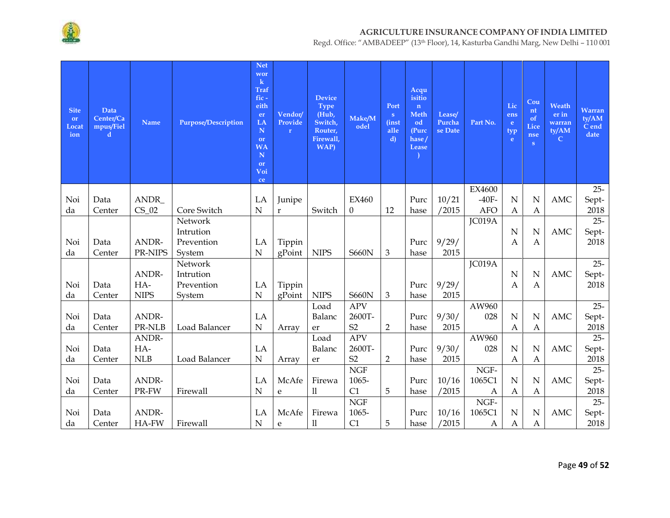

| <b>Site</b><br>or<br>Locat<br>ion | Data<br>Center/Ca<br>mpus/Fiel<br>d | <b>Name</b>     | <b>Purpose/Description</b> | <b>Net</b><br>wor<br>$\bf k$<br><b>Traf</b><br>fic-<br>eith<br>er<br>LA<br>$\mathbf N$<br><b>or</b><br><b>WA</b><br>${\bf N}$<br>or<br>Voi<br>ce | Vendor/<br>Provide<br>$\mathbf{r}$ | <b>Device</b><br><b>Type</b><br>(Hub,<br>Switch,<br>Router,<br>Firewall,<br>WAP) | Make/M<br>odel           | Port<br>S<br><i>(inst)</i><br>alle<br>d) | Acqu<br>isitio<br>n<br><b>Meth</b><br>od<br>(Purc<br>hase/<br>Lease | Lease/<br>Purcha<br>se Date | Part No.         | Lic<br>ens<br>e.<br>typ<br>e | Cou<br>nt<br>of<br>Lice<br>nse<br>S | Weath<br>er in<br>warran<br>ty/AM<br>${\bf C}$ | Warran<br>ty/AM<br>C end<br>date |
|-----------------------------------|-------------------------------------|-----------------|----------------------------|--------------------------------------------------------------------------------------------------------------------------------------------------|------------------------------------|----------------------------------------------------------------------------------|--------------------------|------------------------------------------|---------------------------------------------------------------------|-----------------------------|------------------|------------------------------|-------------------------------------|------------------------------------------------|----------------------------------|
|                                   |                                     |                 |                            |                                                                                                                                                  |                                    |                                                                                  |                          |                                          |                                                                     |                             | EX4600           |                              |                                     |                                                | $25 -$                           |
| Noi                               | Data                                | ANDR_           |                            | LA                                                                                                                                               | Junipe                             |                                                                                  | <b>EX460</b>             |                                          | Purc                                                                | 10/21                       | $-40F-$          | N                            | N                                   | <b>AMC</b>                                     | Sept-                            |
| da                                | Center                              | $CS_02$         | Core Switch                | $\mathbf N$                                                                                                                                      | $\bf r$                            | Switch                                                                           | $\theta$                 | 12                                       | hase                                                                | /2015                       | <b>AFO</b>       | A                            | A                                   |                                                | 2018                             |
|                                   |                                     |                 | Network                    |                                                                                                                                                  |                                    |                                                                                  |                          |                                          |                                                                     |                             | JC019A           |                              |                                     |                                                | $25 -$                           |
|                                   |                                     |                 | Intrution                  |                                                                                                                                                  |                                    |                                                                                  |                          |                                          |                                                                     |                             |                  | $\mathbf N$                  | N                                   | <b>AMC</b>                                     | Sept-                            |
| Noi                               | Data                                | ANDR-           | Prevention                 | LA                                                                                                                                               | Tippin                             |                                                                                  |                          |                                          | Purc                                                                | 9/29/                       |                  | $\mathbf{A}$                 | A                                   |                                                | 2018                             |
| da                                | Center                              | PR-NIPS         | System                     | $\mathbf N$                                                                                                                                      | gPoint                             | <b>NIPS</b>                                                                      | <b>S660N</b>             | 3                                        | hase                                                                | 2015                        |                  |                              |                                     |                                                |                                  |
|                                   |                                     |                 | Network                    |                                                                                                                                                  |                                    |                                                                                  |                          |                                          |                                                                     |                             | JC019A           |                              |                                     |                                                | $25 -$                           |
|                                   |                                     | ANDR-           | Intrution                  |                                                                                                                                                  |                                    |                                                                                  |                          |                                          |                                                                     |                             |                  | N                            | N                                   | <b>AMC</b>                                     | Sept-                            |
| Noi                               | Data                                | HA-             | Prevention                 | LA                                                                                                                                               | Tippin                             |                                                                                  |                          |                                          | Purc                                                                | 9/29/                       |                  | A                            | А                                   |                                                | 2018                             |
| da                                | Center                              | <b>NIPS</b>     | System                     | $\overline{N}$                                                                                                                                   | gPoint                             | <b>NIPS</b>                                                                      | <b>S660N</b>             | 3                                        | hase                                                                | 2015                        |                  |                              |                                     |                                                |                                  |
|                                   |                                     |                 |                            |                                                                                                                                                  |                                    | Load                                                                             | <b>APV</b>               |                                          |                                                                     |                             | AW960            |                              |                                     |                                                | $25 -$                           |
| Noi                               | Data                                | ANDR-           |                            | LA<br>$\mathbf N$                                                                                                                                |                                    | Balanc                                                                           | 2600T-<br>S <sub>2</sub> |                                          | Purc                                                                | 9/30/                       | 028              | N                            | N                                   | <b>AMC</b>                                     | Sept-                            |
| da                                | Center                              | PR-NLB<br>ANDR- | Load Balancer              |                                                                                                                                                  | Array                              | er                                                                               | <b>APV</b>               | $\overline{2}$                           | hase                                                                | 2015                        | AW960            | A                            | Α                                   |                                                | 2018<br>$25 -$                   |
| Noi                               | Data                                | HA-             |                            | LA                                                                                                                                               |                                    | Load<br>Balanc                                                                   | 2600T-                   |                                          | Purc                                                                | 9/30/                       | 028              | $\mathbf N$                  | N                                   | <b>AMC</b>                                     |                                  |
| da                                | Center                              | NLB             | Load Balancer              | $\mathbf N$                                                                                                                                      | Array                              |                                                                                  | S <sub>2</sub>           | $\overline{2}$                           | hase                                                                | 2015                        |                  | Α                            | Α                                   |                                                | Sept-<br>2018                    |
|                                   |                                     |                 |                            |                                                                                                                                                  |                                    | er                                                                               | NGF                      |                                          |                                                                     |                             | NGF-             |                              |                                     |                                                | $25 -$                           |
| Noi                               | Data                                | ANDR-           |                            | LA                                                                                                                                               | McAfe                              | Firewa                                                                           | 1065-                    |                                          | Purc                                                                | 10/16                       | 1065C1           | N                            | N                                   | <b>AMC</b>                                     | Sept-                            |
| da                                | Center                              | PR-FW           | Firewall                   | $\mathbf N$                                                                                                                                      | e                                  | 11                                                                               | C1                       | 5                                        | hase                                                                | /2015                       | A                | A                            | Α                                   |                                                | 2018                             |
|                                   |                                     |                 |                            |                                                                                                                                                  |                                    |                                                                                  | <b>NGF</b>               |                                          |                                                                     |                             | NGF-             |                              |                                     |                                                | $25 -$                           |
| Noi                               | Data                                | ANDR-           |                            | LA                                                                                                                                               | McAfe                              | Firewa                                                                           | 1065-                    |                                          | Purc                                                                | 10/16                       | 1065C1           | $\mathbf N$                  | N                                   | <b>AMC</b>                                     | Sept-                            |
| da                                | Center                              | HA-FW           | Firewall                   | $\mathbf N$                                                                                                                                      | ${\bf e}$                          | $\rm ll$                                                                         | C1                       | 5                                        | hase                                                                | /2015                       | $\boldsymbol{A}$ | $\boldsymbol{A}$             | $\mathbf{A}$                        |                                                | 2018                             |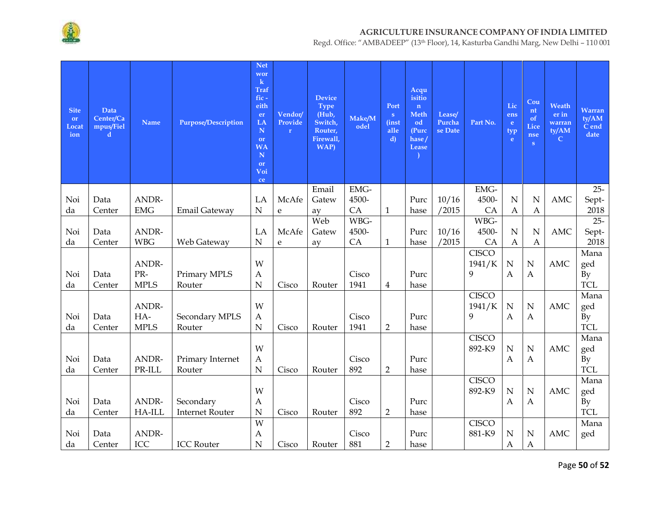

| <b>Site</b><br>or<br>Locat<br>ion | Data<br>Center/Ca<br>mpus/Fiel<br>d | <b>Name</b> | <b>Purpose/Description</b> | <b>Net</b><br>wor<br>$\bf k$<br><b>Traf</b><br>$fic -$<br>eith<br>er<br>LA<br>N<br>or<br><b>WA</b><br>N<br>or<br>Voi<br>ce | Vendor/<br>Provide<br>$\mathbf{r}$ | <b>Device</b><br><b>Type</b><br>(Hub,<br>Switch,<br>Router,<br>Firewall,<br><b>WAP</b> ) | Make/M<br>odel | Port<br>$\mathbf{s}$<br><i>(inst)</i><br>alle<br>$\mathbf{d}$ | Acqu<br>isitio<br>$\mathbf n$<br>Meth<br>od<br>(Purc<br>hase/<br>Lease | Lease/<br>Purcha<br>se Date | Part No.               | Lic<br>ens<br>e.<br>typ<br>e | Cou<br>nt<br>of<br>Lice<br>nse<br>S | Weath<br>er in<br>warran<br>ty/AM<br>$\mathbf C$ | <b>Warran</b><br>tV/AM<br>C end<br>date |
|-----------------------------------|-------------------------------------|-------------|----------------------------|----------------------------------------------------------------------------------------------------------------------------|------------------------------------|------------------------------------------------------------------------------------------|----------------|---------------------------------------------------------------|------------------------------------------------------------------------|-----------------------------|------------------------|------------------------------|-------------------------------------|--------------------------------------------------|-----------------------------------------|
|                                   |                                     |             |                            |                                                                                                                            |                                    | Email                                                                                    | EMG-           |                                                               |                                                                        |                             | EMG-                   |                              |                                     |                                                  | $25 -$                                  |
| Noi                               | Data                                | ANDR-       |                            | LA                                                                                                                         | McAfe                              | Gatew                                                                                    | 4500-          |                                                               | Purc                                                                   | 10/16                       | 4500-                  | $\mathbf N$                  | $\mathbf N$                         | <b>AMC</b>                                       | Sept-                                   |
| da                                | Center                              | <b>EMG</b>  | <b>Email Gateway</b>       | $\mathbf N$                                                                                                                | e                                  | ay                                                                                       | CA             | $\mathbf{1}$                                                  | hase                                                                   | /2015                       | CA                     | A                            | $\mathbf{A}$                        |                                                  | 2018                                    |
|                                   |                                     |             |                            |                                                                                                                            |                                    | Web                                                                                      | WBG-           |                                                               |                                                                        |                             | WBG-                   |                              |                                     |                                                  | $25 -$                                  |
| Noi                               | Data                                | ANDR-       |                            | LA                                                                                                                         | McAfe                              | Gatew                                                                                    | 4500-          |                                                               | Purc                                                                   | 10/16                       | 4500-                  | ${\bf N}$                    | $\mathbf N$                         | <b>AMC</b>                                       | Sept-                                   |
| da                                | Center                              | <b>WBG</b>  | Web Gateway                | N                                                                                                                          | e                                  | av                                                                                       | CA             | $\mathbf{1}$                                                  | hase                                                                   | /2015                       | CA                     | А                            | $\mathbf{A}$                        |                                                  | 2018                                    |
|                                   |                                     | ANDR-       |                            | W                                                                                                                          |                                    |                                                                                          |                |                                                               |                                                                        |                             | <b>CISCO</b><br>1941/K | $\mathbf N$                  | $\mathbf N$                         | <b>AMC</b>                                       | Mana                                    |
| Noi                               | Data                                | PR-         | Primary MPLS               | A                                                                                                                          |                                    |                                                                                          | Cisco          |                                                               | Purc                                                                   |                             | 9                      | $\mathbf{A}$                 | $\mathbf{A}$                        |                                                  | ged<br>By                               |
| da                                | Center                              | <b>MPLS</b> | Router                     | $\mathbf N$                                                                                                                | Cisco                              | Router                                                                                   | 1941           | 4                                                             | hase                                                                   |                             |                        |                              |                                     |                                                  | <b>TCL</b>                              |
|                                   |                                     |             |                            |                                                                                                                            |                                    |                                                                                          |                |                                                               |                                                                        |                             | <b>CISCO</b>           |                              |                                     |                                                  | Mana                                    |
|                                   |                                     | ANDR-       |                            | W                                                                                                                          |                                    |                                                                                          |                |                                                               |                                                                        |                             | 1941/K                 | $\mathbf N$                  | $\mathbf N$                         | <b>AMC</b>                                       | ged                                     |
| Noi                               | Data                                | HA-         | Secondary MPLS             | A                                                                                                                          |                                    |                                                                                          | Cisco          |                                                               | Purc                                                                   |                             | 9                      | $\mathbf{A}$                 | $\mathbf{A}$                        |                                                  | By                                      |
| da                                | Center                              | <b>MPLS</b> | Router                     | $\mathbf N$                                                                                                                | Cisco                              | Router                                                                                   | 1941           | $\overline{2}$                                                | hase                                                                   |                             |                        |                              |                                     |                                                  | <b>TCL</b>                              |
|                                   |                                     |             |                            |                                                                                                                            |                                    |                                                                                          |                |                                                               |                                                                        |                             | <b>CISCO</b>           |                              |                                     |                                                  | Mana                                    |
|                                   |                                     |             |                            | W                                                                                                                          |                                    |                                                                                          |                |                                                               |                                                                        |                             | 892-K9                 | $\mathbf N$                  | $\mathbf N$                         | <b>AMC</b>                                       | ged                                     |
| Noi                               | Data                                | ANDR-       | Primary Internet           | A                                                                                                                          |                                    |                                                                                          | Cisco          |                                                               | Purc                                                                   |                             |                        | $\mathbf{A}$                 | $\boldsymbol{A}$                    |                                                  | By                                      |
| da                                | Center                              | PR-ILL      | Router                     | ${\bf N}$                                                                                                                  | Cisco                              | Router                                                                                   | 892            | $\overline{2}$                                                | hase                                                                   |                             |                        |                              |                                     |                                                  | <b>TCL</b>                              |
|                                   |                                     |             |                            | W                                                                                                                          |                                    |                                                                                          |                |                                                               |                                                                        |                             | <b>CISCO</b><br>892-K9 | N                            | $\mathbf N$                         | <b>AMC</b>                                       | Mana                                    |
| Noi                               | Data                                | ANDR-       | Secondary                  | A                                                                                                                          |                                    |                                                                                          | Cisco          |                                                               | Purc                                                                   |                             |                        | $\mathbf{A}$                 | $\boldsymbol{A}$                    |                                                  | ged<br>By                               |
| da                                | Center                              | HA-ILL      | <b>Internet Router</b>     | $\mathbf N$                                                                                                                | Cisco                              | Router                                                                                   | 892            | $\overline{2}$                                                | hase                                                                   |                             |                        |                              |                                     |                                                  | <b>TCL</b>                              |
|                                   |                                     |             |                            | W                                                                                                                          |                                    |                                                                                          |                |                                                               |                                                                        |                             | <b>CISCO</b>           |                              |                                     |                                                  | Mana                                    |
| Noi                               | Data                                | ANDR-       |                            | Α                                                                                                                          |                                    |                                                                                          | Cisco          |                                                               | Purc                                                                   |                             | 881-K9                 | N                            | $\mathbf N$                         | AMC                                              | ged                                     |
| da                                | Center                              | <b>ICC</b>  | <b>ICC Router</b>          | N                                                                                                                          | Cisco                              | Router                                                                                   | 881            | $\overline{2}$                                                | hase                                                                   |                             |                        | $\mathbf{A}$                 | A                                   |                                                  |                                         |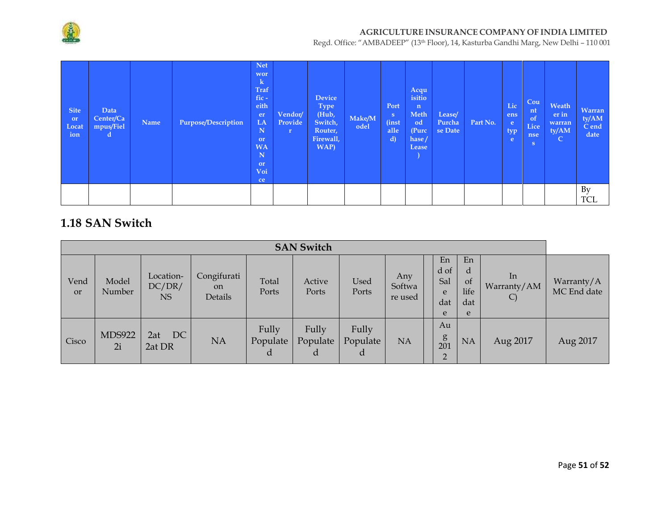

Regd. Office: "AMBADEEP" (13th Floor), 14, Kasturba Gandhi Marg, New Delhi – 110 001

| <b>Site</b><br>or<br>Locat<br>ion | Data<br>Center/Ca<br>mpus/Fiel<br>d | Name | <b>Purpose/Description</b> | <b>Net</b><br>wor<br>$\bf k$<br><b>Traf</b><br>fic-<br>eith<br>er<br>LA<br>N<br>or<br><b>WA</b><br>N<br>or<br>Voi<br>ce | Vendor/<br>Provide<br>$\mathbf{r}$ | Device<br><b>Type</b><br>(Hub,<br>Switch,<br>Router,<br>Firewall,<br>WAP) | Make/M<br>odel | Port<br>S<br><i>(inst)</i><br>alle<br>d) | Acqu<br>isitio<br>$\mathbf{n}$<br>Meth<br>od<br>(Purc<br>hase/<br>Lease | Lease/<br>Purcha<br>se Date | Part No. | Lic<br>ens<br>e<br>typ<br>e | Cou<br>nt<br>of<br>Lice<br>nse<br>S. | Weath<br>er in<br>warran<br>ty/AM<br>$\mathsf{C}$ | Warran<br>ty/AM<br>C end<br>date |
|-----------------------------------|-------------------------------------|------|----------------------------|-------------------------------------------------------------------------------------------------------------------------|------------------------------------|---------------------------------------------------------------------------|----------------|------------------------------------------|-------------------------------------------------------------------------|-----------------------------|----------|-----------------------------|--------------------------------------|---------------------------------------------------|----------------------------------|
|                                   |                                     |      |                            |                                                                                                                         |                                    |                                                                           |                |                                          |                                                                         |                             |          |                             |                                      |                                                   | <b>By</b><br><b>TCL</b>          |

## **1.18 SAN Switch**

|                   | <b>SAN Switch</b>   |                                  |                                         |                        |                        |                        |                          |                                    |                                   |                                    |                           |  |  |  |
|-------------------|---------------------|----------------------------------|-----------------------------------------|------------------------|------------------------|------------------------|--------------------------|------------------------------------|-----------------------------------|------------------------------------|---------------------------|--|--|--|
| Vend<br><b>or</b> | Model<br>Number     | Location-<br>DC/DR/<br><b>NS</b> | Congifurati<br><sub>on</sub><br>Details | Total<br>Ports         | Active<br>Ports        | Used<br>Ports          | Any<br>Softwa<br>re used | En<br>d of<br>Sal<br>e<br>dat<br>e | En<br>d<br>of<br>life<br>dat<br>e | In<br>Warranty/AM<br>$\mathcal{C}$ | Warranty/A<br>MC End date |  |  |  |
| Cisco             | <b>MDS922</b><br>2i | DC<br>2at<br>2at DR              | <b>NA</b>                               | Fully<br>Populate<br>d | Fully<br>Populate<br>d | Fully<br>Populate<br>d | <b>NA</b>                | Au<br>g<br>201<br>$\overline{2}$   | NA                                | Aug 2017                           | Aug 2017                  |  |  |  |